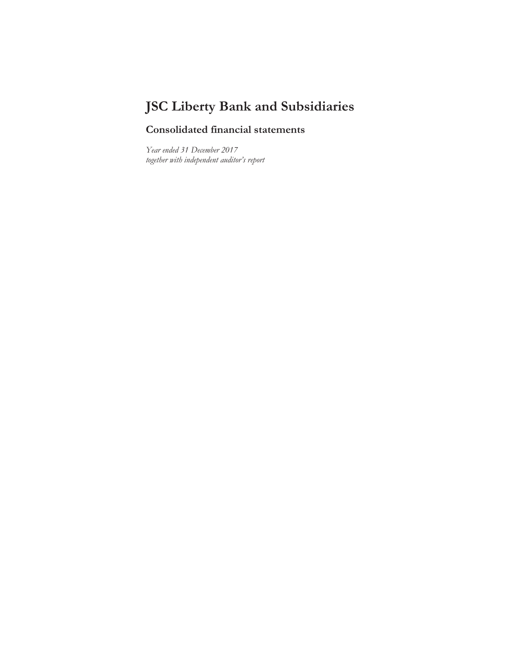# **JSC Liberty Bank and Subsidiaries**

## **Consolidated financial statements**

*Year ended 31 December 2017 together with independent auditor's report*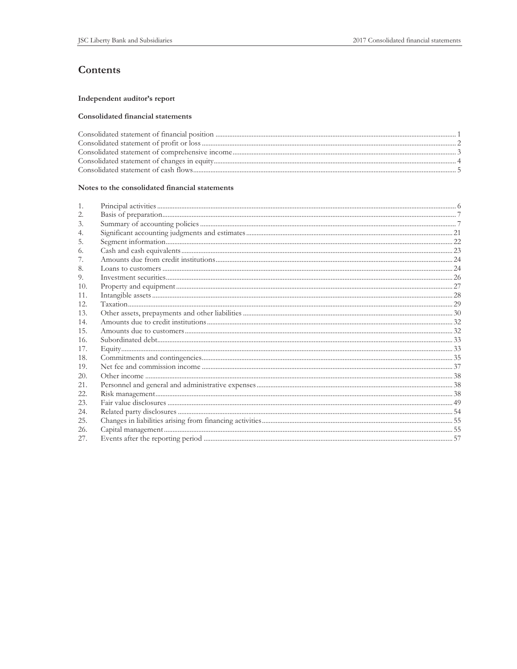## **Contents**

### Independent auditor's report

### Consolidated financial statements

### Notes to the consolidated financial statements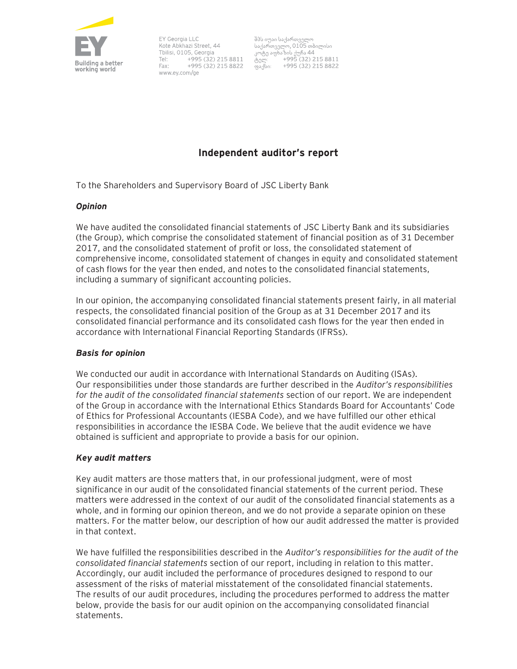

EY Georgia LLC Kote Abkhazi Street, 44 Tbilisi, 0105, Georgia  $+995(32)$  215 8811 Tel: +995 (32) 215 8822 Fax: www.ev.com/ae

შპს იუაი საქართველო<br>საქართველო, 0105 თბილისი კოტე აფხაზის ქუჩა 44<br>კოტე აფხაზის ქუჩა 44<br>ტელ: +995 (32) 215 8811<br>ფაქსი: +995 (32) 215 8822

## **Independent auditor's report**

To the Shareholders and Supervisory Board of JSC Liberty Bank

### *Opinion*

We have audited the consolidated financial statements of JSC Liberty Bank and its subsidiaries (the Group), which comprise the consolidated statement of financial position as of 31 December 2017, and the consolidated statement of profit or loss, the consolidated statement of comprehensive income, consolidated statement of changes in equity and consolidated statement of cash flows for the year then ended, and notes to the consolidated financial statements, including a summary of significant accounting policies.

In our opinion, the accompanying consolidated financial statements present fairly, in all material respects, the consolidated financial position of the Group as at 31 December 2017 and its consolidated financial performance and its consolidated cash flows for the year then ended in accordance with International Financial Reporting Standards (IFRSs).

## *Basis for opinion*

We conducted our audit in accordance with International Standards on Auditing (ISAs). Our responsibilities under those standards are further described in the *Auditor's responsibilities for the audit of the consolidated financial statements* section of our report. We are independent of the Group in accordance with the International Ethics Standards Board for Accountants' Code of Ethics for Professional Accountants (IESBA Code), and we have fulfilled our other ethical responsibilities in accordance the IESBA Code. We believe that the audit evidence we have obtained is sufficient and appropriate to provide a basis for our opinion.

## *Key audit matters*

Key audit matters are those matters that, in our professional judgment, were of most significance in our audit of the consolidated financial statements of the current period. These matters were addressed in the context of our audit of the consolidated financial statements as a whole, and in forming our opinion thereon, and we do not provide a separate opinion on these matters. For the matter below, our description of how our audit addressed the matter is provided in that context.

We have fulfilled the responsibilities described in the *Auditor's responsibilities for the audit of the consolidated financial statements* section of our report, including in relation to this matter. Accordingly, our audit included the performance of procedures designed to respond to our assessment of the risks of material misstatement of the consolidated financial statements. The results of our audit procedures, including the procedures performed to address the matter below, provide the basis for our audit opinion on the accompanying consolidated financial statements.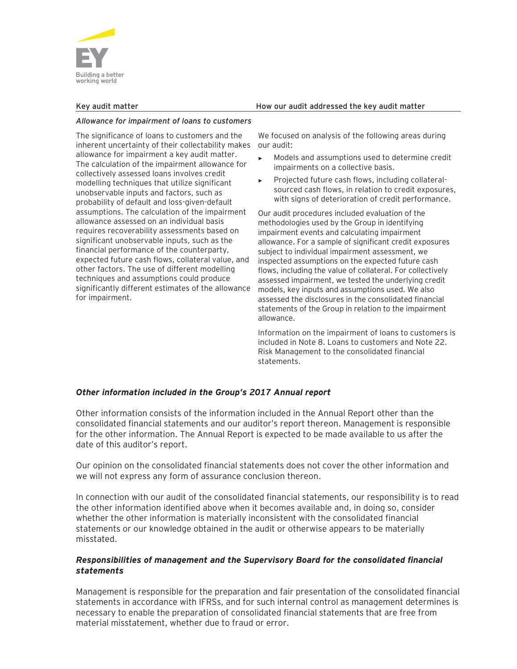

## Key audit matter **How our audit addressed the key audit matter**

### **Allowance for impairment of loans to customers**

The significance of loans to customers and the inherent uncertainty of their collectability makes allowance for impairment a key audit matter. The calculation of the impairment allowance for collectively assessed loans involves credit modelling techniques that utilize significant unobservable inputs and factors, such as probability of default and loss-given-default assumptions. The calculation of the impairment allowance assessed on an individual basis requires recoverability assessments based on significant unobservable inputs, such as the financial performance of the counterparty, expected future cash flows, collateral value, and other factors. The use of different modelling techniques and assumptions could produce significantly different estimates of the allowance for impairment.

We focused on analysis of the following areas during our audit:

- Models and assumptions used to determine credit impairments on a collective basis.
- ► Projected future cash flows, including collateralsourced cash flows, in relation to credit exposures, with signs of deterioration of credit performance.

Our audit procedures included evaluation of the methodologies used by the Group in identifying impairment events and calculating impairment allowance. For a sample of significant credit exposures subject to individual impairment assessment, we inspected assumptions on the expected future cash flows, including the value of collateral. For collectively assessed impairment, we tested the underlying credit models, key inputs and assumptions used. We also assessed the disclosures in the consolidated financial statements of the Group in relation to the impairment allowance.

Information on the impairment of loans to customers is included in Note 8. Loans to customers and Note 22. Risk Management to the consolidated financial statements.

## *Other information included in the Group's 2017 Annual report*

Other information consists of the information included in the Annual Report other than the consolidated financial statements and our auditor's report thereon. Management is responsible for the other information. The Annual Report is expected to be made available to us after the date of this auditor's report.

Our opinion on the consolidated financial statements does not cover the other information and we will not express any form of assurance conclusion thereon.

In connection with our audit of the consolidated financial statements, our responsibility is to read the other information identified above when it becomes available and, in doing so, consider whether the other information is materially inconsistent with the consolidated financial statements or our knowledge obtained in the audit or otherwise appears to be materially misstated.

### *Responsibilities of management and the Supervisory Board for the consolidated financial statements*

Management is responsible for the preparation and fair presentation of the consolidated financial statements in accordance with IFRSs, and for such internal control as management determines is necessary to enable the preparation of consolidated financial statements that are free from material misstatement, whether due to fraud or error.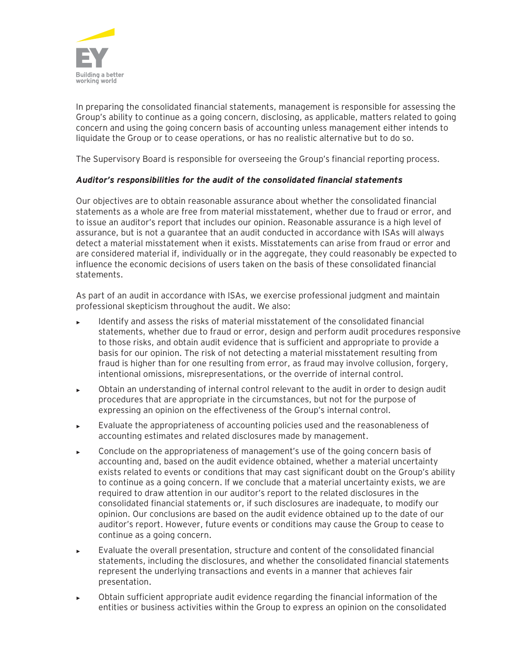

In preparing the consolidated financial statements, management is responsible for assessing the Group's ability to continue as a going concern, disclosing, as applicable, matters related to going concern and using the going concern basis of accounting unless management either intends to liquidate the Group or to cease operations, or has no realistic alternative but to do so.

The Supervisory Board is responsible for overseeing the Group's financial reporting process.

## *Auditor's responsibilities for the audit of the consolidated financial statements*

Our objectives are to obtain reasonable assurance about whether the consolidated financial statements as a whole are free from material misstatement, whether due to fraud or error, and to issue an auditor's report that includes our opinion. Reasonable assurance is a high level of assurance, but is not a guarantee that an audit conducted in accordance with ISAs will always detect a material misstatement when it exists. Misstatements can arise from fraud or error and are considered material if, individually or in the aggregate, they could reasonably be expected to influence the economic decisions of users taken on the basis of these consolidated financial statements.

As part of an audit in accordance with ISAs, we exercise professional judgment and maintain professional skepticism throughout the audit. We also:

- Identify and assess the risks of material misstatement of the consolidated financial statements, whether due to fraud or error, design and perform audit procedures responsive to those risks, and obtain audit evidence that is sufficient and appropriate to provide a basis for our opinion. The risk of not detecting a material misstatement resulting from fraud is higher than for one resulting from error, as fraud may involve collusion, forgery, intentional omissions, misrepresentations, or the override of internal control.
- ► Obtain an understanding of internal control relevant to the audit in order to design audit procedures that are appropriate in the circumstances, but not for the purpose of expressing an opinion on the effectiveness of the Group's internal control.
- ► Evaluate the appropriateness of accounting policies used and the reasonableness of accounting estimates and related disclosures made by management.
- Conclude on the appropriateness of management's use of the going concern basis of accounting and, based on the audit evidence obtained, whether a material uncertainty exists related to events or conditions that may cast significant doubt on the Group's ability to continue as a going concern. If we conclude that a material uncertainty exists, we are required to draw attention in our auditor's report to the related disclosures in the consolidated financial statements or, if such disclosures are inadequate, to modify our opinion. Our conclusions are based on the audit evidence obtained up to the date of our auditor's report. However, future events or conditions may cause the Group to cease to continue as a going concern.
- ► Evaluate the overall presentation, structure and content of the consolidated financial statements, including the disclosures, and whether the consolidated financial statements represent the underlying transactions and events in a manner that achieves fair presentation.
- ► Obtain sufficient appropriate audit evidence regarding the financial information of the entities or business activities within the Group to express an opinion on the consolidated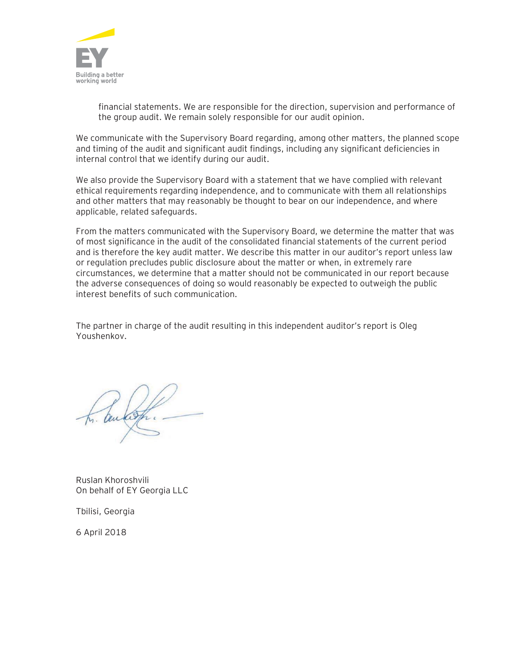

financial statements. We are responsible for the direction, supervision and performance of the group audit. We remain solely responsible for our audit opinion.

We communicate with the Supervisory Board regarding, among other matters, the planned scope and timing of the audit and significant audit findings, including any significant deficiencies in internal control that we identify during our audit.

We also provide the Supervisory Board with a statement that we have complied with relevant ethical requirements regarding independence, and to communicate with them all relationships and other matters that may reasonably be thought to bear on our independence, and where applicable, related safeguards.

From the matters communicated with the Supervisory Board, we determine the matter that was of most significance in the audit of the consolidated financial statements of the current period and is therefore the key audit matter. We describe this matter in our auditor's report unless law or regulation precludes public disclosure about the matter or when, in extremely rare circumstances, we determine that a matter should not be communicated in our report because the adverse consequences of doing so would reasonably be expected to outweigh the public interest benefits of such communication.

The partner in charge of the audit resulting in this independent auditor's report is Oleg Youshenkov.

Ruslan Khoroshvili On behalf of EY Georgia LLC

Tbilisi, Georgia

6 April 2018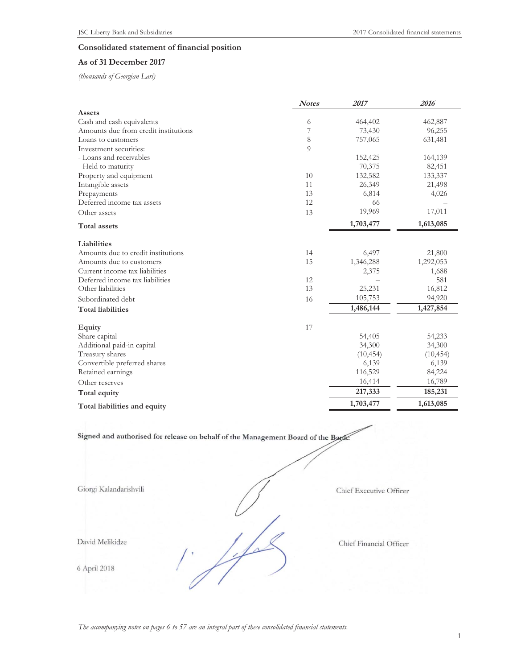### **Consolidated statement of financial position**

### **As of 31 December 2017**

*(thousands of Georgian Lari)* 

|                                      | <b>Notes</b> | 2017      | 2016      |
|--------------------------------------|--------------|-----------|-----------|
| Assets                               |              |           |           |
| Cash and cash equivalents            | 6            | 464,402   | 462,887   |
| Amounts due from credit institutions | 7            | 73,430    | 96,255    |
| Loans to customers                   | 8            | 757,065   | 631,481   |
| Investment securities:               | $\circ$      |           |           |
| - Loans and receivables              |              | 152,425   | 164,139   |
| - Held to maturity                   |              | 70,375    | 82,451    |
| Property and equipment               | 10           | 132,582   | 133,337   |
| Intangible assets                    | 11           | 26,349    | 21,498    |
| Prepayments                          | 13           | 6,814     | 4,026     |
| Deferred income tax assets           | 12           | 66        |           |
| Other assets                         | 13           | 19,969    | 17,011    |
| Total assets                         |              | 1,703,477 | 1,613,085 |
| Liabilities                          |              |           |           |
| Amounts due to credit institutions   | 14           | 6,497     | 21,800    |
| Amounts due to customers             | 15           | 1,346,288 | 1,292,053 |
| Current income tax liabilities       |              | 2,375     | 1,688     |
| Deferred income tax liabilities      | 12           |           | 581       |
| Other liabilities                    | 13           | 25,231    | 16,812    |
| Subordinated debt                    | 16           | 105,753   | 94,920    |
| <b>Total liabilities</b>             |              | 1,486,144 | 1,427,854 |
| Equity                               | 17           |           |           |
| Share capital                        |              | 54,405    | 54,233    |
| Additional paid-in capital           |              | 34,300    | 34,300    |
| Treasury shares                      |              | (10, 454) | (10, 454) |
| Convertible preferred shares         |              | 6,139     | 6,139     |
| Retained earnings                    |              | 116,529   | 84,224    |
| Other reserves                       |              | 16,414    | 16,789    |
| Total equity                         |              | 217,333   | 185,231   |
| Total liabilities and equity         |              | 1,703,477 | 1,613,085 |

**Signed and authorised for release on behalf of the Management Board of the Bank:** 

Giorgi Kalandarishvili Chief Executive Officer

David Melikidze<br>
6 April 2018<br>
Chief Financial Officer<br>
Chief Financial Officer

6 April 2018

*The accompanying notes on pages 6 to 57 are an integral part of these consolidated financial statements.*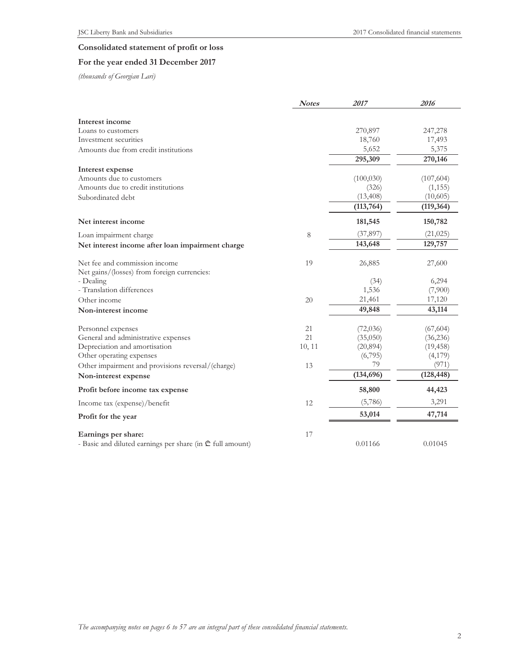### **Consolidated statement of profit or loss**

## **For the year ended 31 December 2017**

*(thousands of Georgian Lari)* 

|                                                                              | <b>Notes</b> | <i>2017</i> | 2016       |
|------------------------------------------------------------------------------|--------------|-------------|------------|
| Interest income                                                              |              |             |            |
| Loans to customers                                                           |              | 270,897     | 247,278    |
| Investment securities                                                        |              | 18,760      | 17,493     |
| Amounts due from credit institutions                                         |              | 5,652       | 5,375      |
|                                                                              |              | 295,309     | 270,146    |
| Interest expense                                                             |              |             |            |
| Amounts due to customers                                                     |              | (100, 030)  | (107, 604) |
| Amounts due to credit institutions                                           |              | (326)       | (1, 155)   |
| Subordinated debt                                                            |              | (13, 408)   | (10,605)   |
|                                                                              |              | (113, 764)  | (119, 364) |
| Net interest income                                                          |              | 181,545     | 150,782    |
| Loan impairment charge                                                       | 8            | (37, 897)   | (21, 025)  |
| Net interest income after loan impairment charge                             |              | 143,648     | 129,757    |
| Net fee and commission income<br>Net gains/(losses) from foreign currencies: | 19           | 26,885      | 27,600     |
| - Dealing                                                                    |              | (34)        | 6,294      |
| - Translation differences                                                    |              | 1,536       | (7,900)    |
| Other income                                                                 | 20           | 21,461      | 17,120     |
| Non-interest income                                                          |              | 49,848      | 43,114     |
| Personnel expenses                                                           | 21           | (72,036)    | (67, 604)  |
| General and administrative expenses                                          | 21           | (35,050)    | (36, 236)  |
| Depreciation and amortisation                                                | 10, 11       | (20, 894)   | (19, 458)  |
| Other operating expenses                                                     |              | (6,795)     | (4,179)    |
| Other impairment and provisions reversal/(charge)                            | 13           | 79          | (971)      |
| Non-interest expense                                                         |              | (134, 696)  | (128, 448) |
| Profit before income tax expense                                             |              | 58,800      | 44,423     |
| Income tax (expense)/benefit                                                 | 12           | (5,786)     | 3,291      |
| Profit for the year                                                          |              | 53,014      | 47,714     |
| Earnings per share:                                                          | 17           |             |            |
| - Basic and diluted earnings per share (in $\mathbb{C}$ full amount)         |              | 0.01166     | 0.01045    |

*The accompanying notes on pages 6 to 57 are an integral part of these consolidated financial statements.*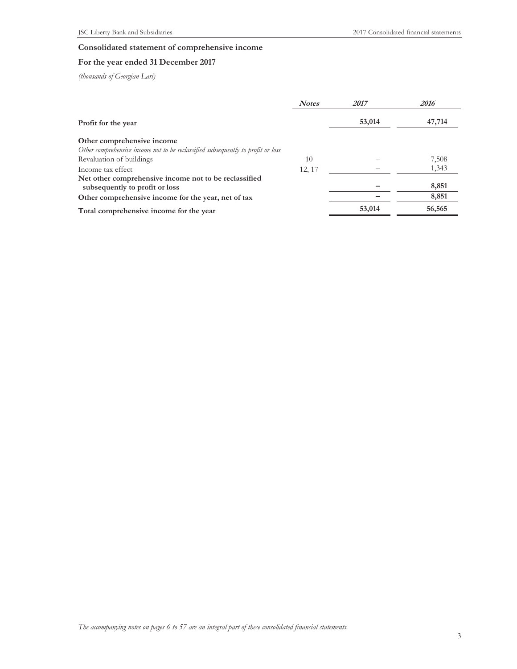### **Consolidated statement of comprehensive income**

## **For the year ended 31 December 2017**

*(thousands of Georgian Lari)* 

|                                                                                  | <b>Notes</b> | 2017   | 2016   |
|----------------------------------------------------------------------------------|--------------|--------|--------|
| Profit for the year                                                              |              | 53,014 | 47,714 |
| Other comprehensive income                                                       |              |        |        |
| Other comprehensive income not to be reclassified subsequently to profit or loss |              |        |        |
| Revaluation of buildings                                                         | 10           |        | 7,508  |
| Income tax effect                                                                | 12, 17       |        | 1,343  |
| Net other comprehensive income not to be reclassified                            |              |        |        |
| subsequently to profit or loss                                                   |              |        | 8,851  |
| Other comprehensive income for the year, net of tax                              |              |        | 8,851  |
| Total comprehensive income for the year                                          |              | 53,014 | 56,565 |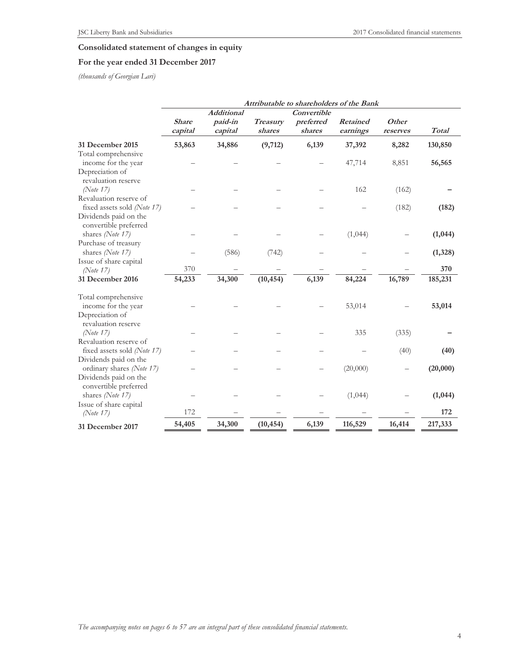### **Consolidated statement of changes in equity**

## **For the year ended 31 December 2017**

*(thousands of Georgian Lari)* 

|                                                |                         |                                         |                           | Attributable to shareholders of the Bank |                             |                   |          |
|------------------------------------------------|-------------------------|-----------------------------------------|---------------------------|------------------------------------------|-----------------------------|-------------------|----------|
|                                                | <b>Share</b><br>capital | <b>Additional</b><br>paid-in<br>capital | <b>Treasury</b><br>shares | Convertible<br>preferred<br>shares       | <b>Retained</b><br>earnings | Other<br>reserves | Total    |
| 31 December 2015                               | 53,863                  | 34,886                                  | (9,712)                   | 6,139                                    | 37,392                      | 8,282             | 130,850  |
| Total comprehensive                            |                         |                                         |                           |                                          |                             |                   |          |
| income for the year                            |                         |                                         |                           |                                          | 47,714                      | 8,851             | 56,565   |
| Depreciation of                                |                         |                                         |                           |                                          |                             |                   |          |
| revaluation reserve                            |                         |                                         |                           |                                          |                             |                   |          |
| (Note $17$ )                                   |                         |                                         |                           |                                          | 162                         | (162)             |          |
| Revaluation reserve of                         |                         |                                         |                           |                                          |                             |                   |          |
| fixed assets sold (Note 17)                    |                         |                                         |                           |                                          |                             | (182)             | (182)    |
| Dividends paid on the<br>convertible preferred |                         |                                         |                           |                                          |                             |                   |          |
| shares (Note 17)                               |                         |                                         |                           |                                          | (1,044)                     |                   | (1,044)  |
| Purchase of treasury                           |                         |                                         |                           |                                          |                             |                   |          |
| shares (Note 17)                               |                         | (586)                                   | (742)                     |                                          |                             |                   | (1,328)  |
| Issue of share capital                         |                         |                                         |                           |                                          |                             |                   |          |
| (Note 17)                                      | 370                     |                                         |                           |                                          |                             |                   | 370      |
| 31 December 2016                               | 54,233                  | 34,300                                  | (10, 454)                 | 6,139                                    | 84,224                      | 16,789            | 185,231  |
|                                                |                         |                                         |                           |                                          |                             |                   |          |
| Total comprehensive                            |                         |                                         |                           |                                          |                             |                   |          |
| income for the year                            |                         |                                         |                           |                                          | 53,014                      |                   | 53,014   |
| Depreciation of<br>revaluation reserve         |                         |                                         |                           |                                          |                             |                   |          |
| (Note 17)                                      |                         |                                         |                           |                                          | 335                         | (335)             |          |
| Revaluation reserve of                         |                         |                                         |                           |                                          |                             |                   |          |
| fixed assets sold (Note 17)                    |                         |                                         |                           |                                          |                             | (40)              | (40)     |
| Dividends paid on the                          |                         |                                         |                           |                                          |                             |                   |          |
| ordinary shares (Note 17)                      |                         |                                         |                           |                                          | (20,000)                    |                   | (20,000) |
| Dividends paid on the                          |                         |                                         |                           |                                          |                             |                   |          |
| convertible preferred                          |                         |                                         |                           |                                          |                             |                   |          |
| shares (Note 17)                               |                         |                                         |                           |                                          | (1,044)                     |                   | (1,044)  |
| Issue of share capital                         |                         |                                         |                           |                                          |                             |                   |          |
| (Note 17)                                      | 172                     |                                         |                           |                                          |                             |                   | 172      |
| 31 December 2017                               | 54,405                  | 34,300                                  | (10, 454)                 | 6,139                                    | 116,529                     | 16,414            | 217,333  |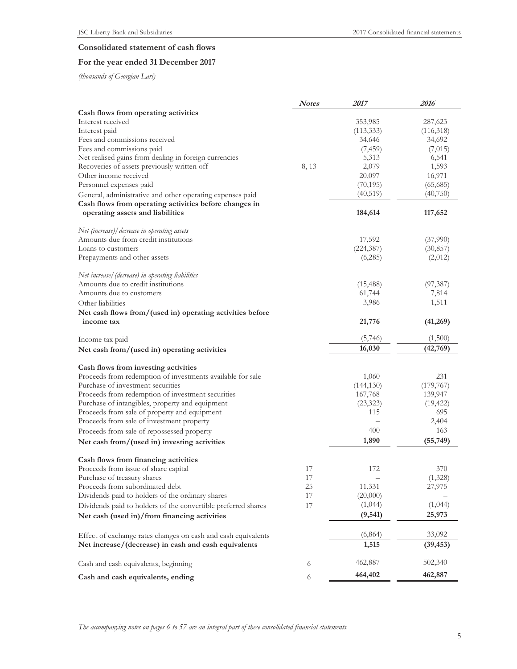### **Consolidated statement of cash flows**

## **For the year ended 31 December 2017**

*(thousands of Georgian Lari)* 

|                                                               | <b>Notes</b> | 2017       | 2016       |
|---------------------------------------------------------------|--------------|------------|------------|
| Cash flows from operating activities                          |              |            |            |
| Interest received                                             |              | 353,985    | 287,623    |
| Interest paid                                                 |              | (113, 333) | (116,318)  |
| Fees and commissions received                                 |              | 34,646     | 34,692     |
| Fees and commissions paid                                     |              | (7, 459)   | (7,015)    |
| Net realised gains from dealing in foreign currencies         |              | 5,313      | 6,541      |
| Recoveries of assets previously written off                   | 8, 13        | 2,079      | 1,593      |
| Other income received                                         |              | 20,097     | 16,971     |
| Personnel expenses paid                                       |              | (70, 195)  | (65,685)   |
| General, administrative and other operating expenses paid     |              | (40, 519)  | (40,750)   |
| Cash flows from operating activities before changes in        |              |            |            |
| operating assets and liabilities                              |              | 184,614    | 117,652    |
|                                                               |              |            |            |
| Net (increase) / decrease in operating assets                 |              |            |            |
| Amounts due from credit institutions                          |              | 17,592     | (37,990)   |
| Loans to customers                                            |              | (224, 387) | (30, 857)  |
| Prepayments and other assets                                  |              | (6,285)    | (2,012)    |
|                                                               |              |            |            |
| Net increase/ (decrease) in operating liabilities             |              |            |            |
| Amounts due to credit institutions                            |              | (15, 488)  | (97, 387)  |
| Amounts due to customers                                      |              | 61,744     | 7,814      |
| Other liabilities                                             |              | 3,986      | 1,511      |
| Net cash flows from/(used in) operating activities before     |              |            |            |
| income tax                                                    |              | 21,776     | (41,269)   |
|                                                               |              | (5,746)    | (1,500)    |
| Income tax paid                                               |              | 16,030     | (42,769)   |
| Net cash from/(used in) operating activities                  |              |            |            |
| Cash flows from investing activities                          |              |            |            |
| Proceeds from redemption of investments available for sale    |              | 1,060      | 231        |
| Purchase of investment securities                             |              | (144, 130) | (179, 767) |
| Proceeds from redemption of investment securities             |              | 167,768    | 139,947    |
| Purchase of intangibles, property and equipment               |              | (23, 323)  | (19, 422)  |
| Proceeds from sale of property and equipment                  |              | 115        | 695        |
| Proceeds from sale of investment property                     |              |            | 2,404      |
|                                                               |              | 400        | 163        |
| Proceeds from sale of repossessed property                    |              | 1,890      | (55, 749)  |
| Net cash from/(used in) investing activities                  |              |            |            |
| Cash flows from financing activities                          |              |            |            |
| Proceeds from issue of share capital                          | 17           | 172        | 370        |
| Purchase of treasury shares                                   | 17           |            | (1,328)    |
| Proceeds from subordinated debt                               | 25           | 11,331     | 27,975     |
| Dividends paid to holders of the ordinary shares              | 17           | (20,000)   |            |
| Dividends paid to holders of the convertible preferred shares | 17           | (1,044)    | (1,044)    |
|                                                               |              | (9, 541)   | 25,973     |
| Net cash (used in)/from financing activities                  |              |            |            |
| Effect of exchange rates changes on cash and cash equivalents |              | (6,864)    | 33,092     |
| Net increase/(decrease) in cash and cash equivalents          |              | 1,515      | (39, 453)  |
|                                                               |              |            |            |
| Cash and cash equivalents, beginning                          | 6            | 462,887    | 502,340    |
| Cash and cash equivalents, ending                             | 6            | 464,402    | 462,887    |

*The accompanying notes on pages 6 to 57 are an integral part of these consolidated financial statements.*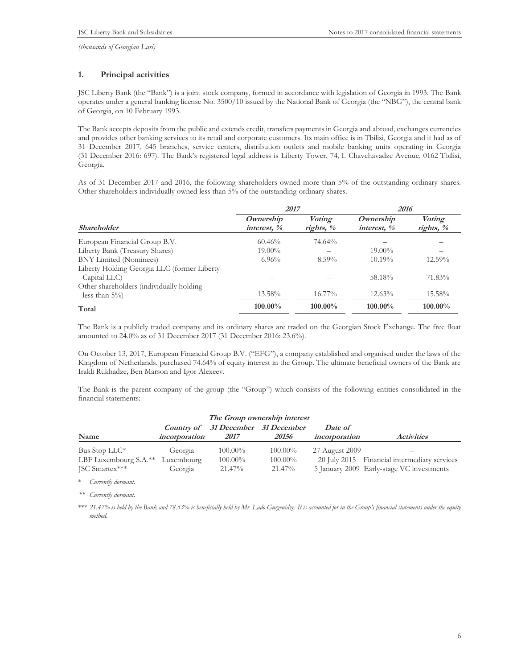### **1. Principal activities**

JSC Liberty Bank (the "Bank") is a joint stock company, formed in accordance with legislation of Georgia in 1993. The Bank operates under a general banking license No. 3500/10 issued by the National Bank of Georgia (the "NBG"), the central bank of Georgia, on 10 February 1993.

The Bank accepts deposits from the public and extends credit, transfers payments in Georgia and abroad, exchanges currencies and provides other banking services to its retail and corporate customers. Its main office is in Tbilisi, Georgia and it had as of 31 December 2017, 645 branches, service centers, distribution outlets and mobile banking units operating in Georgia (31 December 2016: 697). The Bank's registered legal address is Liberty Tower, 74, I. Chavchavadze Avenue, 0162 Tbilisi, Georgia.

As of 31 December 2017 and 2016, the following shareholders owned more than 5% of the outstanding ordinary shares. Other shareholders individually owned less than 5% of the outstanding ordinary shares.

|                                             | <i>2017</i>                |                        | 2016                     |                       |
|---------------------------------------------|----------------------------|------------------------|--------------------------|-----------------------|
| <i><b>Shareholder</b></i>                   | Ownership<br>interest, $%$ | Voting<br>rights, $\%$ | Ownership<br>interest, % | Voting<br>rights, $%$ |
| European Financial Group B.V.               | 60.46%                     | 74.64%                 |                          |                       |
| Liberty Bank (Treasury Shares)              | $19.00\%$                  |                        | $19.00\%$                |                       |
| <b>BNY Limited (Nominees)</b>               | $6.96\%$                   | $8.59\%$               | $10.19\%$                | 12.59%                |
| Liberty Holding Georgia LLC (former Liberty |                            |                        |                          |                       |
| Capital LLC                                 |                            |                        | 58.18%                   | 71.83%                |
| Other shareholders (individually holding    |                            |                        |                          |                       |
| less than $5\%$ )                           | 13.58%                     | $16.77\%$              | $12.63\%$                | 15.58%                |
| Total                                       | $100.00\%$                 | $100.00\%$             | $100.00\%$               | $100.00\%$            |

The Bank is a publicly traded company and its ordinary shares are traded on the Georgian Stock Exchange. The free float amounted to 24.0% as of 31 December 2017 (31 December 2016: 23.6%).

On October 13, 2017, European Financial Group B.V. ("EFG"), a company established and organised under the laws of the Kingdom of Netherlands, purchased 74.64% of equity interest in the Group. The ultimate beneficial owners of the Bank are Irakli Rukhadze, Ben Marson and Igor Alexeev.

The Bank is the parent company of the group (the "Group") which consists of the following entities consolidated in the financial statements:

|                       |               |                         | The Group ownership interest |                |                                              |
|-----------------------|---------------|-------------------------|------------------------------|----------------|----------------------------------------------|
|                       | Country of    | 31 December 31 December |                              | Date of        |                                              |
| Name                  | incorporation | <i>2017</i>             | <i>20156</i>                 | incorporation  | <b>Activities</b>                            |
| Bus Stop LLC*         | Georgia       | $100.00\%$              | $100.00\%$                   | 27 August 2009 |                                              |
| LBF Luxembourg S.A.** | Luxembourg    | $100.00\%$              | 100.00%                      |                | 20 July 2015 Financial intermediary services |
| <b>ISC Smartex***</b> | Georgia       | 21.47%                  | 21.47%                       |                | 5 January 2009 Early-stage VC investments    |

\* *Currently dormant.*

*\*\* Currently dormant.* 

\*\*\* *21.47% is held by the Bank and 78.53% is beneficially held by Mr. Lado Gurgenidze. It is accounted for in the Group's financial statements under the equity method.*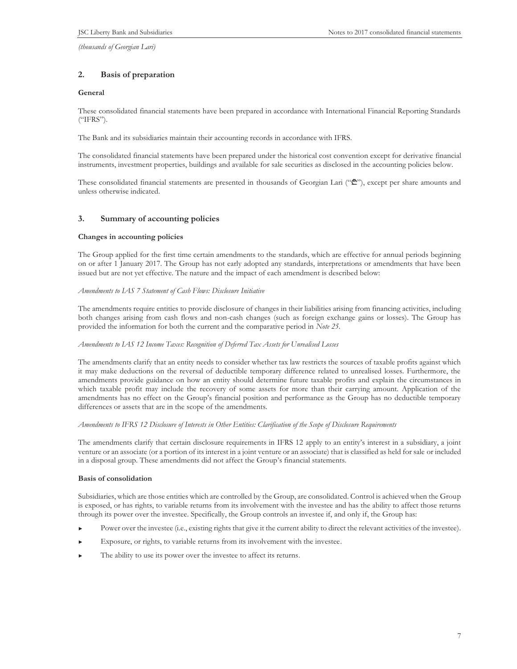### **2. Basis of preparation**

### **General**

These consolidated financial statements have been prepared in accordance with International Financial Reporting Standards ("IFRS").

The Bank and its subsidiaries maintain their accounting records in accordance with IFRS.

The consolidated financial statements have been prepared under the historical cost convention except for derivative financial instruments, investment properties, buildings and available for sale securities as disclosed in the accounting policies below.

These consolidated financial statements are presented in thousands of Georgian Lari ("₾"), except per share amounts and unless otherwise indicated.

### **3. Summary of accounting policies**

### **Changes in accounting policies**

The Group applied for the first time certain amendments to the standards, which are effective for annual periods beginning on or after 1 January 2017. The Group has not early adopted any standards, interpretations or amendments that have been issued but are not yet effective. The nature and the impact of each amendment is described below:

### *Amendments to IAS 7 Statement of Cash Flows: Disclosure Initiative*

The amendments require entities to provide disclosure of changes in their liabilities arising from financing activities, including both changes arising from cash flows and non-cash changes (such as foreign exchange gains or losses). The Group has provided the information for both the current and the comparative period in *Note 25*.

### *Amendments to IAS 12 Income Taxes: Recognition of Deferred Tax Assets for Unrealised Losses*

The amendments clarify that an entity needs to consider whether tax law restricts the sources of taxable profits against which it may make deductions on the reversal of deductible temporary difference related to unrealised losses. Furthermore, the amendments provide guidance on how an entity should determine future taxable profits and explain the circumstances in which taxable profit may include the recovery of some assets for more than their carrying amount. Application of the amendments has no effect on the Group's financial position and performance as the Group has no deductible temporary differences or assets that are in the scope of the amendments.

### *Amendments to IFRS 12 Disclosure of Interests in Other Entities: Clarification of the Scope of Disclosure Requirements*

The amendments clarify that certain disclosure requirements in IFRS 12 apply to an entity's interest in a subsidiary, a joint venture or an associate (or a portion of its interest in a joint venture or an associate) that is classified as held for sale or included in a disposal group. These amendments did not affect the Group's financial statements.

### **Basis of consolidation**

Subsidiaries, which are those entities which are controlled by the Group, are consolidated. Control is achieved when the Group is exposed, or has rights, to variable returns from its involvement with the investee and has the ability to affect those returns through its power over the investee. Specifically, the Group controls an investee if, and only if, the Group has:

- Power over the investee (i.e., existing rights that give it the current ability to direct the relevant activities of the investee).
- Exposure, or rights, to variable returns from its involvement with the investee.
- The ability to use its power over the investee to affect its returns.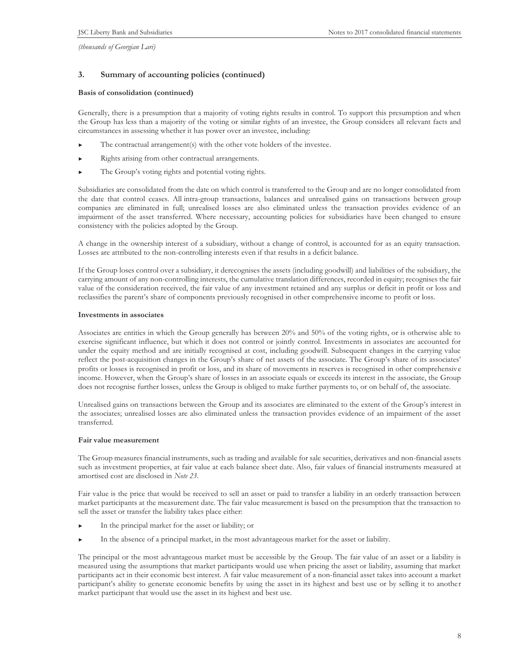### **3. Summary of accounting policies (continued)**

### **Basis of consolidation (continued)**

Generally, there is a presumption that a majority of voting rights results in control. To support this presumption and when the Group has less than a majority of the voting or similar rights of an investee, the Group considers all relevant facts and circumstances in assessing whether it has power over an investee, including:

- The contractual arrangement(s) with the other vote holders of the investee.
- Rights arising from other contractual arrangements.
- The Group's voting rights and potential voting rights.

Subsidiaries are consolidated from the date on which control is transferred to the Group and are no longer consolidated from the date that control ceases. All intra-group transactions, balances and unrealised gains on transactions between group companies are eliminated in full; unrealised losses are also eliminated unless the transaction provides evidence of an impairment of the asset transferred. Where necessary, accounting policies for subsidiaries have been changed to ensure consistency with the policies adopted by the Group.

A change in the ownership interest of a subsidiary, without a change of control, is accounted for as an equity transaction. Losses are attributed to the non-controlling interests even if that results in a deficit balance.

If the Group loses control over a subsidiary, it derecognises the assets (including goodwill) and liabilities of the subsidiary, the carrying amount of any non-controlling interests, the cumulative translation differences, recorded in equity; recognises the fair value of the consideration received, the fair value of any investment retained and any surplus or deficit in profit or loss and reclassifies the parent's share of components previously recognised in other comprehensive income to profit or loss.

### **Investments in associates**

Associates are entities in which the Group generally has between 20% and 50% of the voting rights, or is otherwise able to exercise significant influence, but which it does not control or jointly control. Investments in associates are accounted for under the equity method and are initially recognised at cost, including goodwill. Subsequent changes in the carrying value reflect the post-acquisition changes in the Group's share of net assets of the associate. The Group's share of its associates' profits or losses is recognised in profit or loss, and its share of movements in reserves is recognised in other comprehensive income. However, when the Group's share of losses in an associate equals or exceeds its interest in the associate, the Group does not recognise further losses, unless the Group is obliged to make further payments to, or on behalf of, the associate.

Unrealised gains on transactions between the Group and its associates are eliminated to the extent of the Group's interest in the associates; unrealised losses are also eliminated unless the transaction provides evidence of an impairment of the asset transferred.

### **Fair value measurement**

The Group measures financial instruments, such as trading and available for sale securities, derivatives and non-financial assets such as investment properties, at fair value at each balance sheet date. Also, fair values of financial instruments measured at amortised cost are disclosed in *Note 23*.

Fair value is the price that would be received to sell an asset or paid to transfer a liability in an orderly transaction between market participants at the measurement date. The fair value measurement is based on the presumption that the transaction to sell the asset or transfer the liability takes place either:

- In the principal market for the asset or liability; or
- In the absence of a principal market, in the most advantageous market for the asset or liability.

The principal or the most advantageous market must be accessible by the Group. The fair value of an asset or a liability is measured using the assumptions that market participants would use when pricing the asset or liability, assuming that market participants act in their economic best interest. A fair value measurement of a non-financial asset takes into account a market participant's ability to generate economic benefits by using the asset in its highest and best use or by selling it to another market participant that would use the asset in its highest and best use.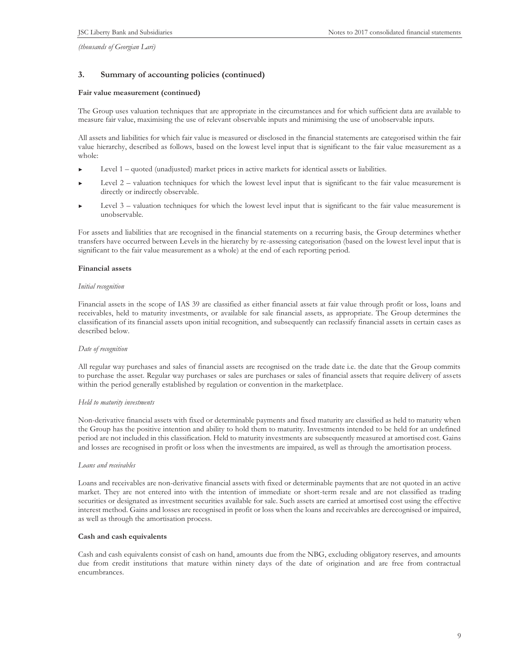### **3. Summary of accounting policies (continued)**

#### **Fair value measurement (continued)**

The Group uses valuation techniques that are appropriate in the circumstances and for which sufficient data are available to measure fair value, maximising the use of relevant observable inputs and minimising the use of unobservable inputs.

All assets and liabilities for which fair value is measured or disclosed in the financial statements are categorised within the fair value hierarchy, described as follows, based on the lowest level input that is significant to the fair value measurement as a whole:

- ► Level 1 quoted (unadjusted) market prices in active markets for identical assets or liabilities.
- Level 2 valuation techniques for which the lowest level input that is significant to the fair value measurement is directly or indirectly observable.
- Level 3 valuation techniques for which the lowest level input that is significant to the fair value measurement is unobservable.

For assets and liabilities that are recognised in the financial statements on a recurring basis, the Group determines whether transfers have occurred between Levels in the hierarchy by re-assessing categorisation (based on the lowest level input that is significant to the fair value measurement as a whole) at the end of each reporting period.

#### **Financial assets**

#### *Initial recognition*

Financial assets in the scope of IAS 39 are classified as either financial assets at fair value through profit or loss, loans and receivables, held to maturity investments, or available for sale financial assets, as appropriate. The Group determines the classification of its financial assets upon initial recognition, and subsequently can reclassify financial assets in certain cases as described below.

#### *Date of recognition*

All regular way purchases and sales of financial assets are recognised on the trade date i.e. the date that the Group commits to purchase the asset. Regular way purchases or sales are purchases or sales of financial assets that require delivery of assets within the period generally established by regulation or convention in the marketplace.

#### *Held to maturity investments*

Non-derivative financial assets with fixed or determinable payments and fixed maturity are classified as held to maturity when the Group has the positive intention and ability to hold them to maturity. Investments intended to be held for an undefined period are not included in this classification. Held to maturity investments are subsequently measured at amortised cost. Gains and losses are recognised in profit or loss when the investments are impaired, as well as through the amortisation process.

#### *Loans and receivables*

Loans and receivables are non-derivative financial assets with fixed or determinable payments that are not quoted in an active market. They are not entered into with the intention of immediate or short-term resale and are not classified as trading securities or designated as investment securities available for sale. Such assets are carried at amortised cost using the effective interest method. Gains and losses are recognised in profit or loss when the loans and receivables are derecognised or impaired, as well as through the amortisation process.

#### **Cash and cash equivalents**

Cash and cash equivalents consist of cash on hand, amounts due from the NBG, excluding obligatory reserves, and amounts due from credit institutions that mature within ninety days of the date of origination and are free from contractual encumbrances.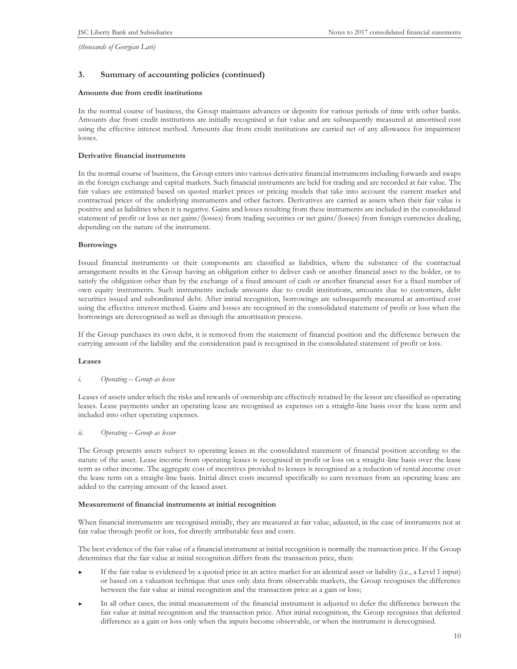### **3. Summary of accounting policies (continued)**

#### **Amounts due from credit institutions**

In the normal course of business, the Group maintains advances or deposits for various periods of time with other banks. Amounts due from credit institutions are initially recognised at fair value and are subsequently measured at amortised cost using the effective interest method. Amounts due from credit institutions are carried net of any allowance for impairment losses.

### **Derivative financial instruments**

In the normal course of business, the Group enters into various derivative financial instruments including forwards and swaps in the foreign exchange and capital markets. Such financial instruments are held for trading and are recorded at fair value. The fair values are estimated based on quoted market prices or pricing models that take into account the current market and contractual prices of the underlying instruments and other factors. Derivatives are carried as assets when their fair value is positive and as liabilities when it is negative. Gains and losses resulting from these instruments are included in the consolidated statement of profit or loss as net gains/(losses) from trading securities or net gains/(losses) from foreign currencies dealing, depending on the nature of the instrument.

### **Borrowings**

Issued financial instruments or their components are classified as liabilities, where the substance of the contractual arrangement results in the Group having an obligation either to deliver cash or another financial asset to the holder, or to satisfy the obligation other than by the exchange of a fixed amount of cash or another financial asset for a fixed number of own equity instruments. Such instruments include amounts due to credit institutions, amounts due to customers, debt securities issued and subordinated debt. After initial recognition, borrowings are subsequently measured at amortised cost using the effective interest method. Gains and losses are recognised in the consolidated statement of profit or loss when the borrowings are derecognised as well as through the amortisation process.

If the Group purchases its own debt, it is removed from the statement of financial position and the difference between the carrying amount of the liability and the consideration paid is recognised in the consolidated statement of profit or loss.

### **Leases**

### *i. Operating – Group as lessee*

Leases of assets under which the risks and rewards of ownership are effectively retained by the lessor are classified as operating leases. Lease payments under an operating lease are recognised as expenses on a straight-line basis over the lease term and included into other operating expenses.

### *ii. Operating – Group as lessor*

The Group presents assets subject to operating leases in the consolidated statement of financial position according to the nature of the asset. Lease income from operating leases is recognised in profit or loss on a straight-line basis over the lease term as other income. The aggregate cost of incentives provided to lessees is recognised as a reduction of rental income over the lease term on a straight-line basis. Initial direct costs incurred specifically to earn revenues from an operating lease are added to the carrying amount of the leased asset.

### **Measurement of financial instruments at initial recognition**

When financial instruments are recognised initially, they are measured at fair value, adjusted, in the case of instruments not at fair value through profit or loss, for directly attributable fees and costs.

The best evidence of the fair value of a financial instrument at initial recognition is normally the transaction price. If the Group determines that the fair value at initial recognition differs from the transaction price, then:

- If the fair value is evidenced by a quoted price in an active market for an identical asset or liability (i.e., a Level 1 input) or based on a valuation technique that uses only data from observable markets, the Group recognises the difference between the fair value at initial recognition and the transaction price as a gain or loss;
- In all other cases, the initial measurement of the financial instrument is adjusted to defer the difference between the fair value at initial recognition and the transaction price. After initial recognition, the Group recognises that deferred difference as a gain or loss only when the inputs become observable, or when the instrument is derecognised.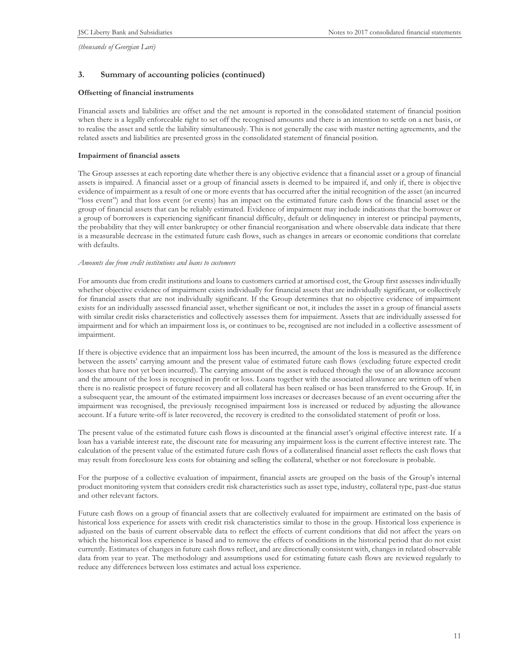### **3. Summary of accounting policies (continued)**

### **Offsetting of financial instruments**

Financial assets and liabilities are offset and the net amount is reported in the consolidated statement of financial position when there is a legally enforceable right to set off the recognised amounts and there is an intention to settle on a net basis, or to realise the asset and settle the liability simultaneously. This is not generally the case with master netting agreements, and the related assets and liabilities are presented gross in the consolidated statement of financial position.

### **Impairment of financial assets**

The Group assesses at each reporting date whether there is any objective evidence that a financial asset or a group of financial assets is impaired. A financial asset or a group of financial assets is deemed to be impaired if, and only if, there is objective evidence of impairment as a result of one or more events that has occurred after the initial recognition of the asset (an incurred "loss event") and that loss event (or events) has an impact on the estimated future cash flows of the financial asset or the group of financial assets that can be reliably estimated. Evidence of impairment may include indications that the borrower or a group of borrowers is experiencing significant financial difficulty, default or delinquency in interest or principal payments, the probability that they will enter bankruptcy or other financial reorganisation and where observable data indicate that there is a measurable decrease in the estimated future cash flows, such as changes in arrears or economic conditions that correlate with defaults.

#### *Amounts due from credit institutions and loans to customers*

For amounts due from credit institutions and loans to customers carried at amortised cost, the Group first assesses individually whether objective evidence of impairment exists individually for financial assets that are individually significant, or collectively for financial assets that are not individually significant. If the Group determines that no objective evidence of impairment exists for an individually assessed financial asset, whether significant or not, it includes the asset in a group of financial assets with similar credit risks characteristics and collectively assesses them for impairment. Assets that are individually assessed for impairment and for which an impairment loss is, or continues to be, recognised are not included in a collective assessment of impairment.

If there is objective evidence that an impairment loss has been incurred, the amount of the loss is measured as the difference between the assets' carrying amount and the present value of estimated future cash flows (excluding future expected credit losses that have not yet been incurred). The carrying amount of the asset is reduced through the use of an allowance account and the amount of the loss is recognised in profit or loss. Loans together with the associated allowance are written off when there is no realistic prospect of future recovery and all collateral has been realised or has been transferred to the Group. If, in a subsequent year, the amount of the estimated impairment loss increases or decreases because of an event occurring after the impairment was recognised, the previously recognised impairment loss is increased or reduced by adjusting the allowance account. If a future write-off is later recovered, the recovery is credited to the consolidated statement of profit or loss.

The present value of the estimated future cash flows is discounted at the financial asset's original effective interest rate. If a loan has a variable interest rate, the discount rate for measuring any impairment loss is the current effective interest rate. The calculation of the present value of the estimated future cash flows of a collateralised financial asset reflects the cash flows that may result from foreclosure less costs for obtaining and selling the collateral, whether or not foreclosure is probable.

For the purpose of a collective evaluation of impairment, financial assets are grouped on the basis of the Group's internal product monitoring system that considers credit risk characteristics such as asset type, industry, collateral type, past-due status and other relevant factors.

Future cash flows on a group of financial assets that are collectively evaluated for impairment are estimated on the basis of historical loss experience for assets with credit risk characteristics similar to those in the group. Historical loss experience is adjusted on the basis of current observable data to reflect the effects of current conditions that did not affect the years on which the historical loss experience is based and to remove the effects of conditions in the historical period that do not exist currently. Estimates of changes in future cash flows reflect, and are directionally consistent with, changes in related observable data from year to year. The methodology and assumptions used for estimating future cash flows are reviewed regularly to reduce any differences between loss estimates and actual loss experience.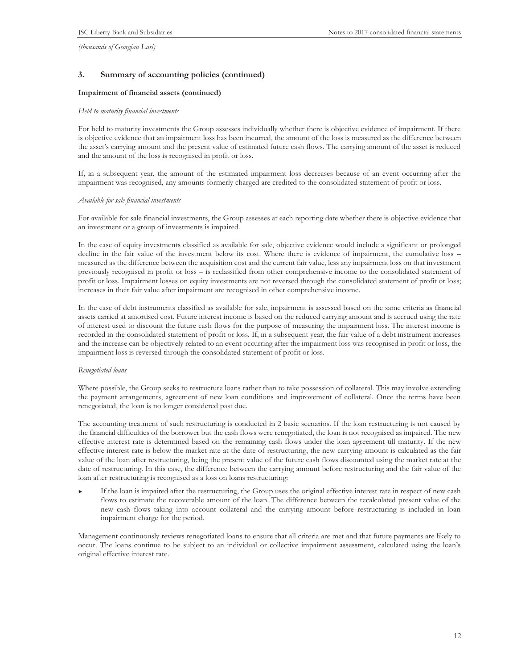### **3. Summary of accounting policies (continued)**

#### **Impairment of financial assets (continued)**

#### *Held to maturity financial investments*

For held to maturity investments the Group assesses individually whether there is objective evidence of impairment. If there is objective evidence that an impairment loss has been incurred, the amount of the loss is measured as the difference between the asset's carrying amount and the present value of estimated future cash flows. The carrying amount of the asset is reduced and the amount of the loss is recognised in profit or loss.

If, in a subsequent year, the amount of the estimated impairment loss decreases because of an event occurring after the impairment was recognised, any amounts formerly charged are credited to the consolidated statement of profit or loss.

#### *Available for sale financial investments*

For available for sale financial investments, the Group assesses at each reporting date whether there is objective evidence that an investment or a group of investments is impaired.

In the case of equity investments classified as available for sale, objective evidence would include a significant or prolonged decline in the fair value of the investment below its cost. Where there is evidence of impairment, the cumulative loss – measured as the difference between the acquisition cost and the current fair value, less any impairment loss on that investment previously recognised in profit or loss – is reclassified from other comprehensive income to the consolidated statement of profit or loss. Impairment losses on equity investments are not reversed through the consolidated statement of profit or loss; increases in their fair value after impairment are recognised in other comprehensive income.

In the case of debt instruments classified as available for sale, impairment is assessed based on the same criteria as financial assets carried at amortised cost. Future interest income is based on the reduced carrying amount and is accrued using the rate of interest used to discount the future cash flows for the purpose of measuring the impairment loss. The interest income is recorded in the consolidated statement of profit or loss. If, in a subsequent year, the fair value of a debt instrument increases and the increase can be objectively related to an event occurring after the impairment loss was recognised in profit or loss, the impairment loss is reversed through the consolidated statement of profit or loss.

#### *Renegotiated loans*

Where possible, the Group seeks to restructure loans rather than to take possession of collateral. This may involve extending the payment arrangements, agreement of new loan conditions and improvement of collateral. Once the terms have been renegotiated, the loan is no longer considered past due.

The accounting treatment of such restructuring is conducted in 2 basic scenarios. If the loan restructuring is not caused by the financial difficulties of the borrower but the cash flows were renegotiated, the loan is not recognised as impaired. The new effective interest rate is determined based on the remaining cash flows under the loan agreement till maturity. If the new effective interest rate is below the market rate at the date of restructuring, the new carrying amount is calculated as the fair value of the loan after restructuring, being the present value of the future cash flows discounted using the market rate at the date of restructuring. In this case, the difference between the carrying amount before restructuring and the fair value of the loan after restructuring is recognised as a loss on loans restructuring:

If the loan is impaired after the restructuring, the Group uses the original effective interest rate in respect of new cash flows to estimate the recoverable amount of the loan. The difference between the recalculated present value of the new cash flows taking into account collateral and the carrying amount before restructuring is included in loan impairment charge for the period.

Management continuously reviews renegotiated loans to ensure that all criteria are met and that future payments are likely to occur. The loans continue to be subject to an individual or collective impairment assessment, calculated using the loan's original effective interest rate.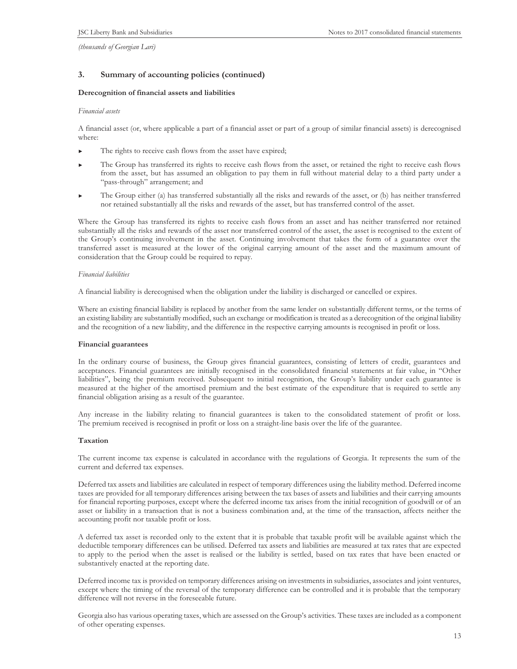### **3. Summary of accounting policies (continued)**

#### **Derecognition of financial assets and liabilities**

#### *Financial assets*

A financial asset (or, where applicable a part of a financial asset or part of a group of similar financial assets) is derecognised where:

- The rights to receive cash flows from the asset have expired;
- The Group has transferred its rights to receive cash flows from the asset, or retained the right to receive cash flows from the asset, but has assumed an obligation to pay them in full without material delay to a third party under a "pass-through" arrangement; and
- The Group either (a) has transferred substantially all the risks and rewards of the asset, or (b) has neither transferred nor retained substantially all the risks and rewards of the asset, but has transferred control of the asset.

Where the Group has transferred its rights to receive cash flows from an asset and has neither transferred nor retained substantially all the risks and rewards of the asset nor transferred control of the asset, the asset is recognised to the extent of the Group's continuing involvement in the asset. Continuing involvement that takes the form of a guarantee over the transferred asset is measured at the lower of the original carrying amount of the asset and the maximum amount of consideration that the Group could be required to repay.

#### *Financial liabilities*

A financial liability is derecognised when the obligation under the liability is discharged or cancelled or expires.

Where an existing financial liability is replaced by another from the same lender on substantially different terms, or the terms of an existing liability are substantially modified, such an exchange or modification is treated as a derecognition of the original liability and the recognition of a new liability, and the difference in the respective carrying amounts is recognised in profit or loss.

### **Financial guarantees**

In the ordinary course of business, the Group gives financial guarantees, consisting of letters of credit, guarantees and acceptances. Financial guarantees are initially recognised in the consolidated financial statements at fair value, in "Other liabilities", being the premium received. Subsequent to initial recognition, the Group's liability under each guarantee is measured at the higher of the amortised premium and the best estimate of the expenditure that is required to settle any financial obligation arising as a result of the guarantee.

Any increase in the liability relating to financial guarantees is taken to the consolidated statement of profit or loss. The premium received is recognised in profit or loss on a straight-line basis over the life of the guarantee.

#### **Taxation**

The current income tax expense is calculated in accordance with the regulations of Georgia. It represents the sum of the current and deferred tax expenses.

Deferred tax assets and liabilities are calculated in respect of temporary differences using the liability method. Deferred income taxes are provided for all temporary differences arising between the tax bases of assets and liabilities and their carrying amounts for financial reporting purposes, except where the deferred income tax arises from the initial recognition of goodwill or of an asset or liability in a transaction that is not a business combination and, at the time of the transaction, affects neither the accounting profit nor taxable profit or loss.

A deferred tax asset is recorded only to the extent that it is probable that taxable profit will be available against which the deductible temporary differences can be utilised. Deferred tax assets and liabilities are measured at tax rates that are expected to apply to the period when the asset is realised or the liability is settled, based on tax rates that have been enacted or substantively enacted at the reporting date.

Deferred income tax is provided on temporary differences arising on investments in subsidiaries, associates and joint ventures, except where the timing of the reversal of the temporary difference can be controlled and it is probable that the temporary difference will not reverse in the foreseeable future.

Georgia also has various operating taxes, which are assessed on the Group's activities. These taxes are included as a component of other operating expenses.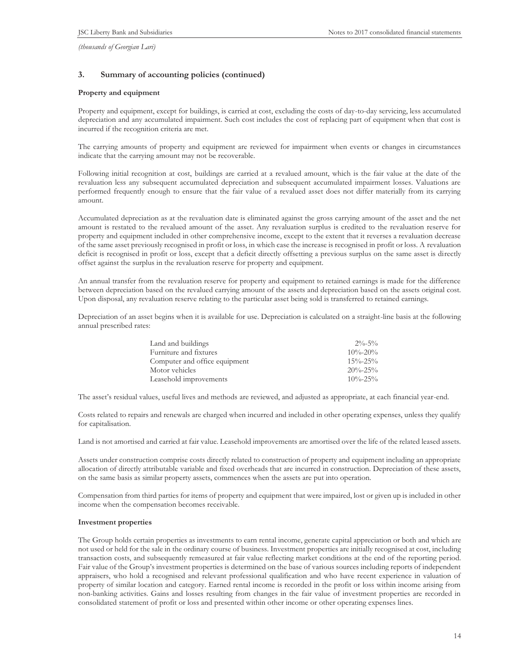### **3. Summary of accounting policies (continued)**

#### **Property and equipment**

Property and equipment, except for buildings, is carried at cost, excluding the costs of day-to-day servicing, less accumulated depreciation and any accumulated impairment. Such cost includes the cost of replacing part of equipment when that cost is incurred if the recognition criteria are met.

The carrying amounts of property and equipment are reviewed for impairment when events or changes in circumstances indicate that the carrying amount may not be recoverable.

Following initial recognition at cost, buildings are carried at a revalued amount, which is the fair value at the date of the revaluation less any subsequent accumulated depreciation and subsequent accumulated impairment losses. Valuations are performed frequently enough to ensure that the fair value of a revalued asset does not differ materially from its carrying amount.

Accumulated depreciation as at the revaluation date is eliminated against the gross carrying amount of the asset and the net amount is restated to the revalued amount of the asset. Any revaluation surplus is credited to the revaluation reserve for property and equipment included in other comprehensive income, except to the extent that it reverses a revaluation decrease of the same asset previously recognised in profit or loss, in which case the increase is recognised in profit or loss. A revaluation deficit is recognised in profit or loss, except that a deficit directly offsetting a previous surplus on the same asset is directly offset against the surplus in the revaluation reserve for property and equipment.

An annual transfer from the revaluation reserve for property and equipment to retained earnings is made for the difference between depreciation based on the revalued carrying amount of the assets and depreciation based on the assets original cost. Upon disposal, any revaluation reserve relating to the particular asset being sold is transferred to retained earnings.

Depreciation of an asset begins when it is available for use. Depreciation is calculated on a straight-line basis at the following annual prescribed rates:

| Land and buildings            | $2\% - 5\%$   |
|-------------------------------|---------------|
| Furniture and fixtures        | $10\% - 20\%$ |
| Computer and office equipment | $15\% - 25\%$ |
| Motor vehicles                | $20\% - 25\%$ |
| Leasehold improvements        | $10\% - 25\%$ |

The asset's residual values, useful lives and methods are reviewed, and adjusted as appropriate, at each financial year-end.

Costs related to repairs and renewals are charged when incurred and included in other operating expenses, unless they qualify for capitalisation.

Land is not amortised and carried at fair value. Leasehold improvements are amortised over the life of the related leased assets.

Assets under construction comprise costs directly related to construction of property and equipment including an appropriate allocation of directly attributable variable and fixed overheads that are incurred in construction. Depreciation of these assets, on the same basis as similar property assets, commences when the assets are put into operation.

Compensation from third parties for items of property and equipment that were impaired, lost or given up is included in other income when the compensation becomes receivable.

### **Investment properties**

The Group holds certain properties as investments to earn rental income, generate capital appreciation or both and which are not used or held for the sale in the ordinary course of business. Investment properties are initially recognised at cost, including transaction costs, and subsequently remeasured at fair value reflecting market conditions at the end of the reporting period. Fair value of the Group's investment properties is determined on the base of various sources including reports of independent appraisers, who hold a recognised and relevant professional qualification and who have recent experience in valuation of property of similar location and category. Earned rental income is recorded in the profit or loss within income arising from non-banking activities. Gains and losses resulting from changes in the fair value of investment properties are recorded in consolidated statement of profit or loss and presented within other income or other operating expenses lines.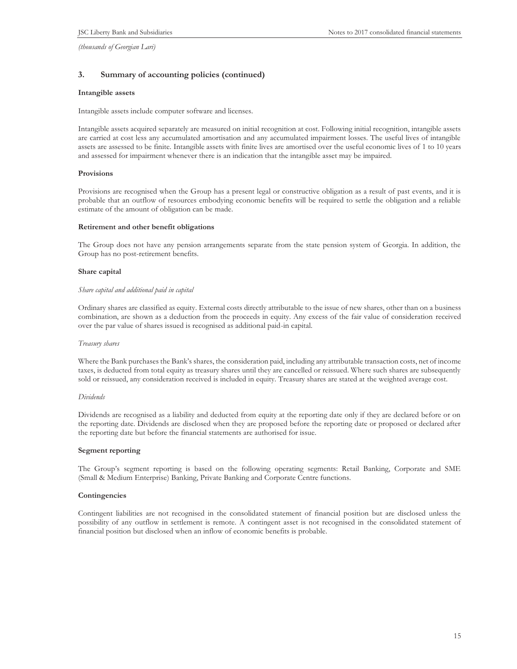### **3. Summary of accounting policies (continued)**

#### **Intangible assets**

Intangible assets include computer software and licenses.

Intangible assets acquired separately are measured on initial recognition at cost. Following initial recognition, intangible assets are carried at cost less any accumulated amortisation and any accumulated impairment losses. The useful lives of intangible assets are assessed to be finite. Intangible assets with finite lives are amortised over the useful economic lives of 1 to 10 years and assessed for impairment whenever there is an indication that the intangible asset may be impaired.

### **Provisions**

Provisions are recognised when the Group has a present legal or constructive obligation as a result of past events, and it is probable that an outflow of resources embodying economic benefits will be required to settle the obligation and a reliable estimate of the amount of obligation can be made.

### **Retirement and other benefit obligations**

The Group does not have any pension arrangements separate from the state pension system of Georgia. In addition, the Group has no post-retirement benefits.

### **Share capital**

#### *Share capital and additional paid in capital*

Ordinary shares are classified as equity. External costs directly attributable to the issue of new shares, other than on a business combination, are shown as a deduction from the proceeds in equity. Any excess of the fair value of consideration received over the par value of shares issued is recognised as additional paid-in capital.

### *Treasury shares*

Where the Bank purchases the Bank's shares, the consideration paid, including any attributable transaction costs, net of income taxes, is deducted from total equity as treasury shares until they are cancelled or reissued. Where such shares are subsequently sold or reissued, any consideration received is included in equity. Treasury shares are stated at the weighted average cost.

### *Dividends*

Dividends are recognised as a liability and deducted from equity at the reporting date only if they are declared before or on the reporting date. Dividends are disclosed when they are proposed before the reporting date or proposed or declared after the reporting date but before the financial statements are authorised for issue.

### **Segment reporting**

The Group's segment reporting is based on the following operating segments: Retail Banking, Corporate and SME (Small & Medium Enterprise) Banking, Private Banking and Corporate Centre functions.

### **Contingencies**

Contingent liabilities are not recognised in the consolidated statement of financial position but are disclosed unless the possibility of any outflow in settlement is remote. A contingent asset is not recognised in the consolidated statement of financial position but disclosed when an inflow of economic benefits is probable.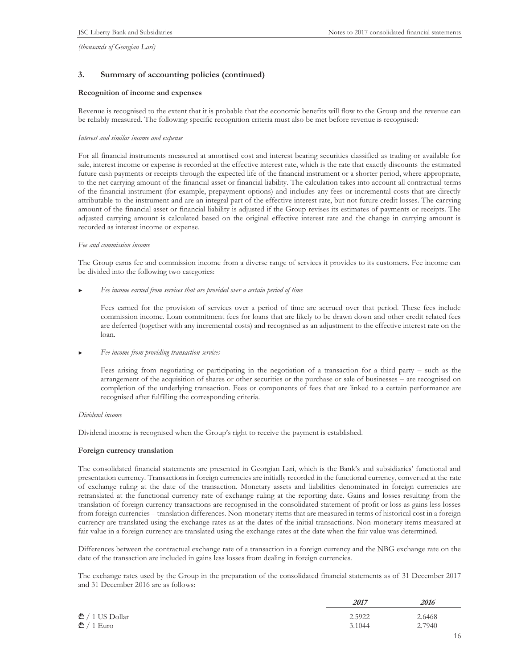### **3. Summary of accounting policies (continued)**

### **Recognition of income and expenses**

Revenue is recognised to the extent that it is probable that the economic benefits will flow to the Group and the revenue can be reliably measured. The following specific recognition criteria must also be met before revenue is recognised:

#### *Interest and similar income and expense*

For all financial instruments measured at amortised cost and interest bearing securities classified as trading or available for sale, interest income or expense is recorded at the effective interest rate, which is the rate that exactly discounts the estimated future cash payments or receipts through the expected life of the financial instrument or a shorter period, where appropriate, to the net carrying amount of the financial asset or financial liability. The calculation takes into account all contractual terms of the financial instrument (for example, prepayment options) and includes any fees or incremental costs that are directly attributable to the instrument and are an integral part of the effective interest rate, but not future credit losses. The carrying amount of the financial asset or financial liability is adjusted if the Group revises its estimates of payments or receipts. The adjusted carrying amount is calculated based on the original effective interest rate and the change in carrying amount is recorded as interest income or expense.

#### *Fee and commission income*

The Group earns fee and commission income from a diverse range of services it provides to its customers. Fee income can be divided into the following two categories:

### Fee income earned from services that are provided over a certain period of time

Fees earned for the provision of services over a period of time are accrued over that period. These fees include commission income. Loan commitment fees for loans that are likely to be drawn down and other credit related fees are deferred (together with any incremental costs) and recognised as an adjustment to the effective interest rate on the loan.

### ► *Fee income from providing transaction services*

Fees arising from negotiating or participating in the negotiation of a transaction for a third party – such as the arrangement of the acquisition of shares or other securities or the purchase or sale of businesses – are recognised on completion of the underlying transaction. Fees or components of fees that are linked to a certain performance are recognised after fulfilling the corresponding criteria.

### *Dividend income*

Dividend income is recognised when the Group's right to receive the payment is established.

### **Foreign currency translation**

The consolidated financial statements are presented in Georgian Lari, which is the Bank's and subsidiaries' functional and presentation currency. Transactions in foreign currencies are initially recorded in the functional currency, converted at the rate of exchange ruling at the date of the transaction. Monetary assets and liabilities denominated in foreign currencies are retranslated at the functional currency rate of exchange ruling at the reporting date. Gains and losses resulting from the translation of foreign currency transactions are recognised in the consolidated statement of profit or loss as gains less losses from foreign currencies – translation differences. Non-monetary items that are measured in terms of historical cost in a foreign currency are translated using the exchange rates as at the dates of the initial transactions. Non-monetary items measured at fair value in a foreign currency are translated using the exchange rates at the date when the fair value was determined.

Differences between the contractual exchange rate of a transaction in a foreign currency and the NBG exchange rate on the date of the transaction are included in gains less losses from dealing in foreign currencies.

The exchange rates used by the Group in the preparation of the consolidated financial statements as of 31 December 2017 and 31 December 2016 are as follows:

|                          | 2017   | 2016   |
|--------------------------|--------|--------|
| $\Phi$ / 1 US Dollar     | 2.5922 | 2.6468 |
| $\mathbf{\Phi}$ / 1 Euro | 3.1044 | 2.7940 |
|                          |        | $\sim$ |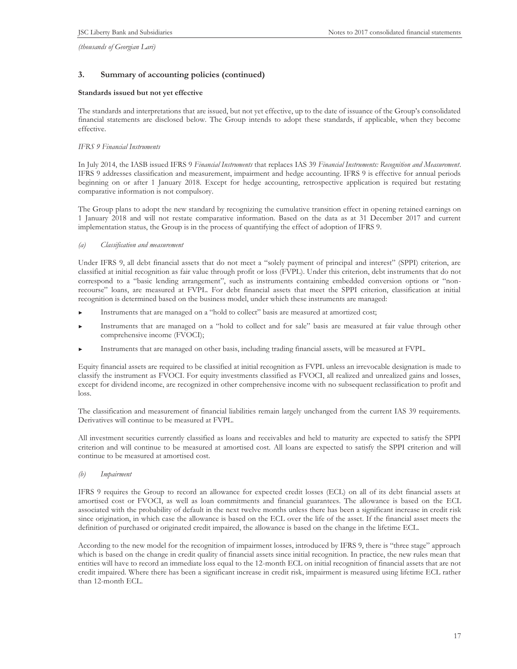### **3. Summary of accounting policies (continued)**

### **Standards issued but not yet effective**

The standards and interpretations that are issued, but not yet effective, up to the date of issuance of the Group's consolidated financial statements are disclosed below. The Group intends to adopt these standards, if applicable, when they become effective.

### *IFRS 9 Financial Instruments*

In July 2014, the IASB issued IFRS 9 *Financial Instruments* that replaces IAS 39 *Financial Instruments: Recognition and Measurement*. IFRS 9 addresses classification and measurement, impairment and hedge accounting. IFRS 9 is effective for annual periods beginning on or after 1 January 2018. Except for hedge accounting, retrospective application is required but restating comparative information is not compulsory.

The Group plans to adopt the new standard by recognizing the cumulative transition effect in opening retained earnings on 1 January 2018 and will not restate comparative information. Based on the data as at 31 December 2017 and current implementation status, the Group is in the process of quantifying the effect of adoption of IFRS 9.

### *(a) Classification and measurement*

Under IFRS 9, all debt financial assets that do not meet a "solely payment of principal and interest" (SPPI) criterion, are classified at initial recognition as fair value through profit or loss (FVPL). Under this criterion, debt instruments that do not correspond to a "basic lending arrangement", such as instruments containing embedded conversion options or "nonrecourse" loans, are measured at FVPL. For debt financial assets that meet the SPPI criterion, classification at initial recognition is determined based on the business model, under which these instruments are managed:

- Instruments that are managed on a "hold to collect" basis are measured at amortized cost;
- ► Instruments that are managed on a "hold to collect and for sale" basis are measured at fair value through other comprehensive income (FVOCI);
- Instruments that are managed on other basis, including trading financial assets, will be measured at FVPL.

Equity financial assets are required to be classified at initial recognition as FVPL unless an irrevocable designation is made to classify the instrument as FVOCI. For equity investments classified as FVOCI, all realized and unrealized gains and losses, except for dividend income, are recognized in other comprehensive income with no subsequent reclassification to profit and loss.

The classification and measurement of financial liabilities remain largely unchanged from the current IAS 39 requirements. Derivatives will continue to be measured at FVPL.

All investment securities currently classified as loans and receivables and held to maturity are expected to satisfy the SPPI criterion and will continue to be measured at amortised cost. All loans are expected to satisfy the SPPI criterion and will continue to be measured at amortised cost.

### *(b) Impairment*

IFRS 9 requires the Group to record an allowance for expected credit losses (ECL) on all of its debt financial assets at amortised cost or FVOCI, as well as loan commitments and financial guarantees. The allowance is based on the ECL associated with the probability of default in the next twelve months unless there has been a significant increase in credit risk since origination, in which case the allowance is based on the ECL over the life of the asset. If the financial asset meets the definition of purchased or originated credit impaired, the allowance is based on the change in the lifetime ECL.

According to the new model for the recognition of impairment losses, introduced by IFRS 9, there is "three stage" approach which is based on the change in credit quality of financial assets since initial recognition. In practice, the new rules mean that entities will have to record an immediate loss equal to the 12-month ECL on initial recognition of financial assets that are not credit impaired. Where there has been a significant increase in credit risk, impairment is measured using lifetime ECL rather than 12-month ECL.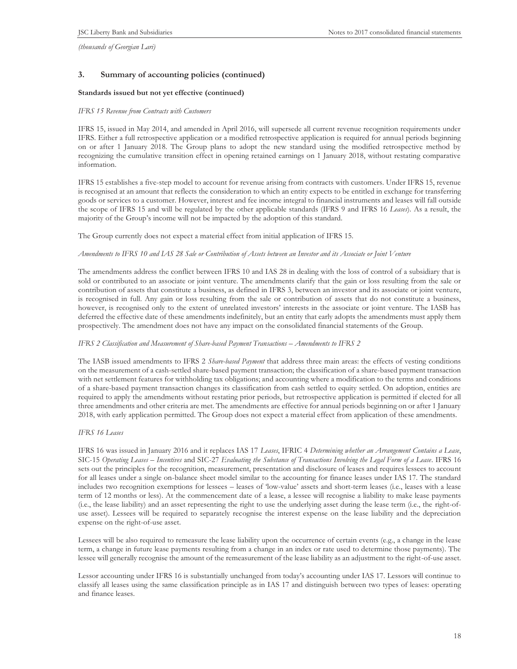### **3. Summary of accounting policies (continued)**

#### **Standards issued but not yet effective (continued)**

#### *IFRS 15 Revenue from Contracts with Customers*

IFRS 15, issued in May 2014, and amended in April 2016, will supersede all current revenue recognition requirements under IFRS. Either a full retrospective application or a modified retrospective application is required for annual periods beginning on or after 1 January 2018. The Group plans to adopt the new standard using the modified retrospective method by recognizing the cumulative transition effect in opening retained earnings on 1 January 2018, without restating comparative information.

IFRS 15 establishes a five-step model to account for revenue arising from contracts with customers. Under IFRS 15, revenue is recognised at an amount that reflects the consideration to which an entity expects to be entitled in exchange for transferring goods or services to a customer. However, interest and fee income integral to financial instruments and leases will fall outside the scope of IFRS 15 and will be regulated by the other applicable standards (IFRS 9 and IFRS 16 *Leases*). As a result, the majority of the Group's income will not be impacted by the adoption of this standard.

The Group currently does not expect a material effect from initial application of IFRS 15.

#### *Amendments to IFRS 10 and IAS 28 Sale or Contribution of Assets between an Investor and its Associate or Joint Venture*

The amendments address the conflict between IFRS 10 and IAS 28 in dealing with the loss of control of a subsidiary that is sold or contributed to an associate or joint venture. The amendments clarify that the gain or loss resulting from the sale or contribution of assets that constitute a business, as defined in IFRS 3, between an investor and its associate or joint venture, is recognised in full. Any gain or loss resulting from the sale or contribution of assets that do not constitute a business, however, is recognised only to the extent of unrelated investors' interests in the associate or joint venture. The IASB has deferred the effective date of these amendments indefinitely, but an entity that early adopts the amendments must apply them prospectively. The amendment does not have any impact on the consolidated financial statements of the Group.

#### *IFRS 2 Classification and Measurement of Share-based Payment Transactions – Amendments to IFRS 2*

The IASB issued amendments to IFRS 2 *Share-based Payment* that address three main areas: the effects of vesting conditions on the measurement of a cash-settled share-based payment transaction; the classification of a share-based payment transaction with net settlement features for withholding tax obligations; and accounting where a modification to the terms and conditions of a share-based payment transaction changes its classification from cash settled to equity settled. On adoption, entities are required to apply the amendments without restating prior periods, but retrospective application is permitted if elected for all three amendments and other criteria are met. The amendments are effective for annual periods beginning on or after 1 January 2018, with early application permitted. The Group does not expect a material effect from application of these amendments.

### *IFRS 16 Leases*

IFRS 16 was issued in January 2016 and it replaces IAS 17 *Leases*, IFRIC 4 *Determining whether an Arrangement Contains a Lease*, SIC-15 *Operating Leases – Incentives* and SIC-27 *Evaluating the Substance of Transactions Involving the Legal Form of a Lease*. IFRS 16 sets out the principles for the recognition, measurement, presentation and disclosure of leases and requires lessees to account for all leases under a single on-balance sheet model similar to the accounting for finance leases under IAS 17. The standard includes two recognition exemptions for lessees – leases of 'low-value' assets and short-term leases (i.e., leases with a lease term of 12 months or less). At the commencement date of a lease, a lessee will recognise a liability to make lease payments (i.e., the lease liability) and an asset representing the right to use the underlying asset during the lease term (i.e., the right-ofuse asset). Lessees will be required to separately recognise the interest expense on the lease liability and the depreciation expense on the right-of-use asset.

Lessees will be also required to remeasure the lease liability upon the occurrence of certain events (e.g., a change in the lease term, a change in future lease payments resulting from a change in an index or rate used to determine those payments). The lessee will generally recognise the amount of the remeasurement of the lease liability as an adjustment to the right-of-use asset.

Lessor accounting under IFRS 16 is substantially unchanged from today's accounting under IAS 17. Lessors will continue to classify all leases using the same classification principle as in IAS 17 and distinguish between two types of leases: operating and finance leases.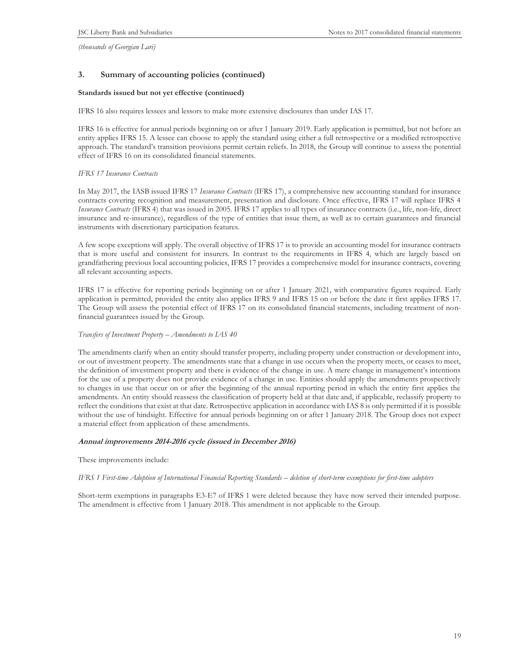### **3. Summary of accounting policies (continued)**

### **Standards issued but not yet effective (continued)**

IFRS 16 also requires lessees and lessors to make more extensive disclosures than under IAS 17.

IFRS 16 is effective for annual periods beginning on or after 1 January 2019. Early application is permitted, but not before an entity applies IFRS 15. A lessee can choose to apply the standard using either a full retrospective or a modified retrospective approach. The standard's transition provisions permit certain reliefs. In 2018, the Group will continue to assess the potential effect of IFRS 16 on its consolidated financial statements.

### *IFRS 17 Insurance Contracts*

In May 2017, the IASB issued IFRS 17 *Insurance Contracts* (IFRS 17), a comprehensive new accounting standard for insurance contracts covering recognition and measurement, presentation and disclosure. Once effective, IFRS 17 will replace IFRS 4 *Insurance Contracts* (IFRS 4) that was issued in 2005. IFRS 17 applies to all types of insurance contracts (i.e., life, non-life, direct insurance and re-insurance), regardless of the type of entities that issue them, as well as to certain guarantees and financial instruments with discretionary participation features.

A few scope exceptions will apply. The overall objective of IFRS 17 is to provide an accounting model for insurance contracts that is more useful and consistent for insurers. In contrast to the requirements in IFRS 4, which are largely based on grandfathering previous local accounting policies, IFRS 17 provides a comprehensive model for insurance contracts, covering all relevant accounting aspects.

IFRS 17 is effective for reporting periods beginning on or after 1 January 2021, with comparative figures required. Early application is permitted, provided the entity also applies IFRS 9 and IFRS 15 on or before the date it first applies IFRS 17. The Group will assess the potential effect of IFRS 17 on its consolidated financial statements, including treatment of nonfinancial guarantees issued by the Group.

### *Transfers of Investment Property – Amendments to IAS 40*

The amendments clarify when an entity should transfer property, including property under construction or development into, or out of investment property. The amendments state that a change in use occurs when the property meets, or ceases to meet, the definition of investment property and there is evidence of the change in use. A mere change in management's intentions for the use of a property does not provide evidence of a change in use. Entities should apply the amendments prospectively to changes in use that occur on or after the beginning of the annual reporting period in which the entity first applies the amendments. An entity should reassess the classification of property held at that date and, if applicable, reclassify property to reflect the conditions that exist at that date. Retrospective application in accordance with IAS 8 is only permitted if it is possible without the use of hindsight. Effective for annual periods beginning on or after 1 January 2018. The Group does not expect a material effect from application of these amendments.

### **Annual improvements 2014-2016 cycle (issued in December 2016)**

These improvements include:

*IFRS 1 First-time Adoption of International Financial Reporting Standards – deletion of short-term exemptions for first-time adopters* 

Short-term exemptions in paragraphs E3-E7 of IFRS 1 were deleted because they have now served their intended purpose. The amendment is effective from 1 January 2018. This amendment is not applicable to the Group.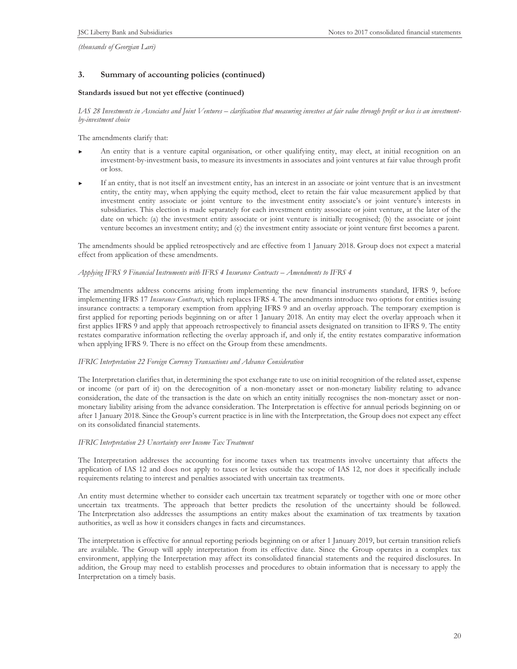### **3. Summary of accounting policies (continued)**

#### **Standards issued but not yet effective (continued)**

*IAS 28 Investments in Associates and Joint Ventures – clarification that measuring investees at fair value through profit or loss is an investmentby-investment choice* 

The amendments clarify that:

- An entity that is a venture capital organisation, or other qualifying entity, may elect, at initial recognition on an investment-by-investment basis, to measure its investments in associates and joint ventures at fair value through profit or loss.
- ► If an entity, that is not itself an investment entity, has an interest in an associate or joint venture that is an investment entity, the entity may, when applying the equity method, elect to retain the fair value measurement applied by that investment entity associate or joint venture to the investment entity associate's or joint venture's interests in subsidiaries. This election is made separately for each investment entity associate or joint venture, at the later of the date on which: (a) the investment entity associate or joint venture is initially recognised; (b) the associate or joint venture becomes an investment entity; and (c) the investment entity associate or joint venture first becomes a parent.

The amendments should be applied retrospectively and are effective from 1 January 2018. Group does not expect a material effect from application of these amendments.

#### *Applying IFRS 9 Financial Instruments with IFRS 4 Insurance Contracts – Amendments to IFRS 4*

The amendments address concerns arising from implementing the new financial instruments standard, IFRS 9, before implementing IFRS 17 *Insurance Contracts*, which replaces IFRS 4. The amendments introduce two options for entities issuing insurance contracts: a temporary exemption from applying IFRS 9 and an overlay approach. The temporary exemption is first applied for reporting periods beginning on or after 1 January 2018. An entity may elect the overlay approach when it first applies IFRS 9 and apply that approach retrospectively to financial assets designated on transition to IFRS 9. The entity restates comparative information reflecting the overlay approach if, and only if, the entity restates comparative information when applying IFRS 9. There is no effect on the Group from these amendments.

#### *IFRIC Interpretation 22 Foreign Currency Transactions and Advance Consideration*

The Interpretation clarifies that, in determining the spot exchange rate to use on initial recognition of the related asset, expense or income (or part of it) on the derecognition of a non-monetary asset or non-monetary liability relating to advance consideration, the date of the transaction is the date on which an entity initially recognises the non-monetary asset or nonmonetary liability arising from the advance consideration. The Interpretation is effective for annual periods beginning on or after 1 January 2018. Since the Group's current practice is in line with the Interpretation, the Group does not expect any effect on its consolidated financial statements.

### *IFRIC Interpretation 23 Uncertainty over Income Tax Treatment*

The Interpretation addresses the accounting for income taxes when tax treatments involve uncertainty that affects the application of IAS 12 and does not apply to taxes or levies outside the scope of IAS 12, nor does it specifically include requirements relating to interest and penalties associated with uncertain tax treatments.

An entity must determine whether to consider each uncertain tax treatment separately or together with one or more other uncertain tax treatments. The approach that better predicts the resolution of the uncertainty should be followed. The Interpretation also addresses the assumptions an entity makes about the examination of tax treatments by taxation authorities, as well as how it considers changes in facts and circumstances.

The interpretation is effective for annual reporting periods beginning on or after 1 January 2019, but certain transition reliefs are available. The Group will apply interpretation from its effective date. Since the Group operates in a complex tax environment, applying the Interpretation may affect its consolidated financial statements and the required disclosures. In addition, the Group may need to establish processes and procedures to obtain information that is necessary to apply the Interpretation on a timely basis.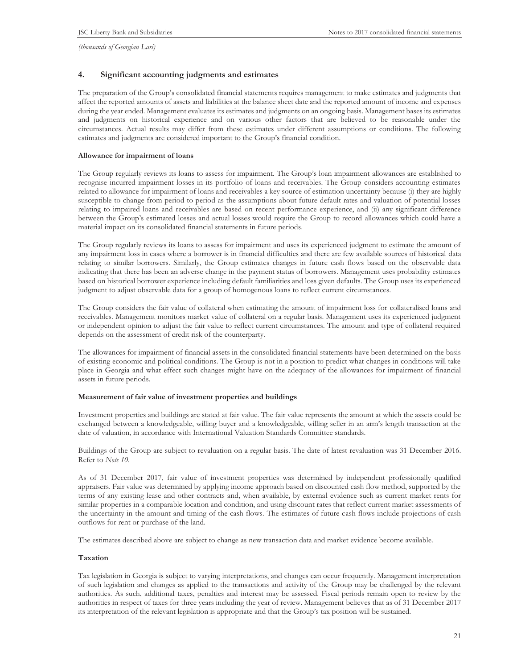### **4. Significant accounting judgments and estimates**

The preparation of the Group's consolidated financial statements requires management to make estimates and judgments that affect the reported amounts of assets and liabilities at the balance sheet date and the reported amount of income and expenses during the year ended. Management evaluates its estimates and judgments on an ongoing basis. Management bases its estimates and judgments on historical experience and on various other factors that are believed to be reasonable under the circumstances. Actual results may differ from these estimates under different assumptions or conditions. The following estimates and judgments are considered important to the Group's financial condition.

### **Allowance for impairment of loans**

The Group regularly reviews its loans to assess for impairment. The Group's loan impairment allowances are established to recognise incurred impairment losses in its portfolio of loans and receivables. The Group considers accounting estimates related to allowance for impairment of loans and receivables a key source of estimation uncertainty because (i) they are highly susceptible to change from period to period as the assumptions about future default rates and valuation of potential losses relating to impaired loans and receivables are based on recent performance experience, and (ii) any significant difference between the Group's estimated losses and actual losses would require the Group to record allowances which could have a material impact on its consolidated financial statements in future periods.

The Group regularly reviews its loans to assess for impairment and uses its experienced judgment to estimate the amount of any impairment loss in cases where a borrower is in financial difficulties and there are few available sources of historical data relating to similar borrowers. Similarly, the Group estimates changes in future cash flows based on the observable data indicating that there has been an adverse change in the payment status of borrowers. Management uses probability estimates based on historical borrower experience including default familiarities and loss given defaults. The Group uses its experienced judgment to adjust observable data for a group of homogenous loans to reflect current circumstances.

The Group considers the fair value of collateral when estimating the amount of impairment loss for collateralised loans and receivables. Management monitors market value of collateral on a regular basis. Management uses its experienced judgment or independent opinion to adjust the fair value to reflect current circumstances. The amount and type of collateral required depends on the assessment of credit risk of the counterparty.

The allowances for impairment of financial assets in the consolidated financial statements have been determined on the basis of existing economic and political conditions. The Group is not in a position to predict what changes in conditions will take place in Georgia and what effect such changes might have on the adequacy of the allowances for impairment of financial assets in future periods.

### **Measurement of fair value of investment properties and buildings**

Investment properties and buildings are stated at fair value. The fair value represents the amount at which the assets could be exchanged between a knowledgeable, willing buyer and a knowledgeable, willing seller in an arm's length transaction at the date of valuation, in accordance with International Valuation Standards Committee standards.

Buildings of the Group are subject to revaluation on a regular basis. The date of latest revaluation was 31 December 2016. Refer to *Note 10*.

As of 31 December 2017, fair value of investment properties was determined by independent professionally qualified appraisers. Fair value was determined by applying income approach based on discounted cash flow method, supported by the terms of any existing lease and other contracts and, when available, by external evidence such as current market rents for similar properties in a comparable location and condition, and using discount rates that reflect current market assessments of the uncertainty in the amount and timing of the cash flows. The estimates of future cash flows include projections of cash outflows for rent or purchase of the land.

The estimates described above are subject to change as new transaction data and market evidence become available.

### **Taxation**

Tax legislation in Georgia is subject to varying interpretations, and changes can occur frequently. Management interpretation of such legislation and changes as applied to the transactions and activity of the Group may be challenged by the relevant authorities. As such, additional taxes, penalties and interest may be assessed. Fiscal periods remain open to review by the authorities in respect of taxes for three years including the year of review. Management believes that as of 31 December 2017 its interpretation of the relevant legislation is appropriate and that the Group's tax position will be sustained.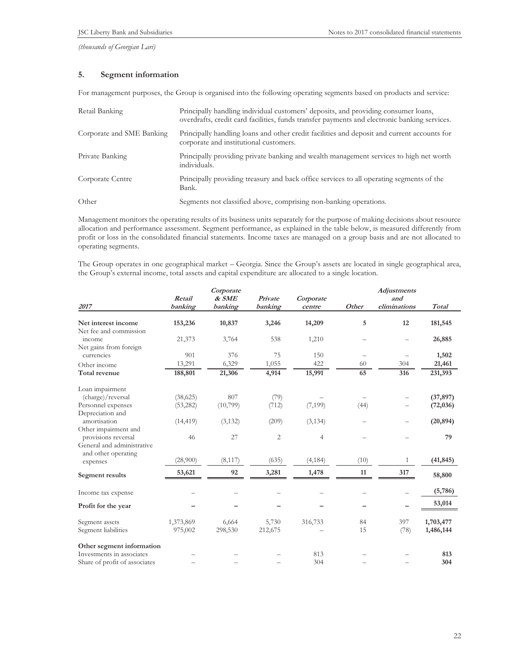### **5. Segment information**

For management purposes, the Group is organised into the following operating segments based on products and service:

| Retail Banking            | Principally handling individual customers' deposits, and providing consumer loans,<br>overdrafts, credit card facilities, funds transfer payments and electronic banking services. |
|---------------------------|------------------------------------------------------------------------------------------------------------------------------------------------------------------------------------|
| Corporate and SME Banking | Principally handling loans and other credit facilities and deposit and current accounts for<br>corporate and institutional customers.                                              |
| Private Banking           | Principally providing private banking and wealth management services to high net worth<br>individuals.                                                                             |
| Corporate Centre          | Principally providing treasury and back office services to all operating segments of the<br>Bank.                                                                                  |
| Other                     | Segments not classified above, comprising non-banking operations.                                                                                                                  |

Management monitors the operating results of its business units separately for the purpose of making decisions about resource allocation and performance assessment. Segment performance, as explained in the table below, is measured differently from profit or loss in the consolidated financial statements. Income taxes are managed on a group basis and are not allocated to operating segments.

The Group operates in one geographical market – Georgia. Since the Group's assets are located in single geographical area, the Group's external income, total assets and capital expenditure are allocated to a single location.

| 2017                          | Retail<br>banking | Corporate<br>& SME<br>banking | Private<br>banking | Corporate<br>centre | Other | <b>Adjustments</b><br>and<br>eliminations | Total     |
|-------------------------------|-------------------|-------------------------------|--------------------|---------------------|-------|-------------------------------------------|-----------|
|                               |                   |                               |                    |                     |       |                                           |           |
| Net interest income           | 153,236           | 10,837                        | 3,246              | 14,209              | 5     | 12                                        | 181,545   |
| Net fee and commission        |                   |                               |                    |                     |       |                                           |           |
| income                        | 21,373            | 3,764                         | 538                | 1,210               |       |                                           | 26,885    |
| Net gains from foreign        |                   |                               |                    |                     |       |                                           |           |
| currencies                    | 901               | 376                           | 75                 | 150                 |       |                                           | 1,502     |
| Other income                  | 13,291            | 6,329                         | 1,055              | 422                 | 60    | 304                                       | 21,461    |
| <b>Total revenue</b>          | 188,801           | 21,306                        | 4,914              | 15,991              | 65    | 316                                       | 231,393   |
| Loan impairment               |                   |                               |                    |                     |       |                                           |           |
| (charge)/reversal             | (38,625)          | 807                           | (79)               |                     |       |                                           | (37, 897) |
| Personnel expenses            | (53, 282)         | (10,799)                      | (712)              | (7, 199)            | (44)  |                                           | (72, 036) |
| Depreciation and              |                   |                               |                    |                     |       |                                           |           |
| amortisation                  | (14, 419)         | (3, 132)                      | (209)              | (3, 134)            |       |                                           | (20, 894) |
| Other impairment and          |                   |                               |                    |                     |       |                                           |           |
| provisions reversal           | 46                | 27                            | $\overline{2}$     | $\overline{4}$      |       |                                           | 79        |
| General and administrative    |                   |                               |                    |                     |       |                                           |           |
| and other operating           | (28,900)          |                               | (635)              |                     |       |                                           |           |
| expenses                      |                   | (8,117)                       |                    | (4, 184)            | (10)  | 1                                         | (41, 845) |
| Segment results               | 53,621            | 92                            | 3,281              | 1,478               | 11    | 317                                       | 58,800    |
| Income tax expense            |                   |                               |                    |                     |       |                                           | (5,786)   |
|                               |                   |                               |                    |                     |       |                                           |           |
| Profit for the year           |                   |                               |                    |                     |       |                                           | 53,014    |
| Segment assets                | 1,373,869         | 6,664                         | 5,730              | 316,733             | 84    | 397                                       | 1,703,477 |
| Segment liabilities           | 975,002           | 298,530                       | 212,675            |                     | 15    | (78)                                      | 1,486,144 |
| Other segment information     |                   |                               |                    |                     |       |                                           |           |
| Investments in associates     |                   |                               |                    | 813                 |       |                                           | 813       |
| Share of profit of associates |                   |                               |                    | 304                 |       |                                           | 304       |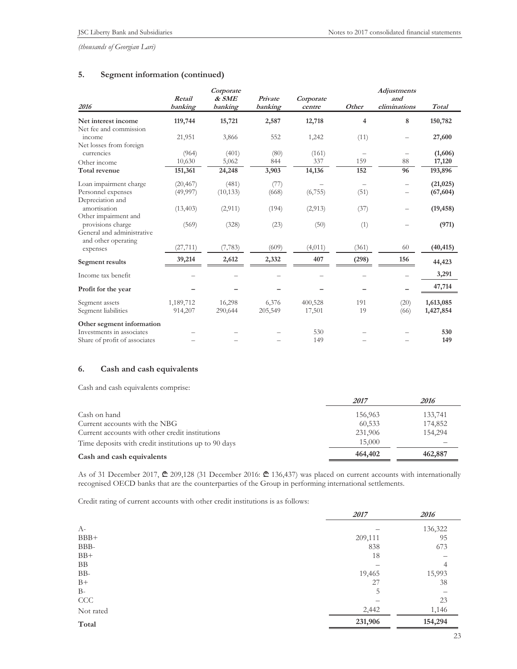### **5. Segment information (continued)**

|                                                                         | Corporate         |                  |                    |                     | <b>Adjustments</b> |                     |           |
|-------------------------------------------------------------------------|-------------------|------------------|--------------------|---------------------|--------------------|---------------------|-----------|
| 2016                                                                    | Retail<br>banking | & SME<br>banking | Private<br>banking | Corporate<br>centre | <b>Other</b>       | and<br>eliminations | Total     |
| Net interest income                                                     | 119,744           | 15,721           | 2,587              | 12,718              | 4                  | 8                   | 150,782   |
| Net fee and commission<br>income                                        | 21,951            | 3,866            | 552                | 1,242               | (11)               |                     | 27,600    |
| Net losses from foreign<br>currencies                                   | (964)             | (401)            | (80)               | (161)               |                    |                     | (1,606)   |
| Other income                                                            | 10,630            | 5,062            | 844                | 337                 | 159                | 88                  | 17,120    |
| <b>Total revenue</b>                                                    | 151,361           | 24,248           | 3,903              | 14,136              | 152                | 96                  | 193,896   |
| Loan impairment charge                                                  | (20, 467)         | (481)            | (77)               |                     |                    |                     | (21, 025) |
| Personnel expenses<br>Depreciation and                                  | (49,997)          | (10, 133)        | (668)              | (6, 755)            | (51)               |                     | (67, 604) |
| amortisation                                                            | (13,403)          | (2,911)          | (194)              | (2,913)             | (37)               |                     | (19, 458) |
| Other impairment and<br>provisions charge<br>General and administrative | (569)             | (328)            | (23)               | (50)                | (1)                |                     | (971)     |
| and other operating<br>expenses                                         | (27, 711)         | (7, 783)         | (609)              | (4,011)             | (361)              | 60                  | (40, 415) |
| Segment results                                                         | 39,214            | 2,612            | 2,332              | 407                 | (298)              | 156                 | 44,423    |
| Income tax benefit                                                      |                   |                  |                    |                     |                    |                     | 3,291     |
| Profit for the year                                                     |                   |                  |                    |                     |                    |                     | 47,714    |
| Segment assets                                                          | 1,189,712         | 16,298           | 6,376              | 400,528             | 191                | (20)                | 1,613,085 |
| Segment liabilities                                                     | 914,207           | 290,644          | 205,549            | 17,501              | 19                 | (66)                | 1,427,854 |
| Other segment information                                               |                   |                  |                    |                     |                    |                     |           |
| Investments in associates                                               |                   |                  |                    | 530                 |                    |                     | 530       |
| Share of profit of associates                                           |                   |                  |                    | 149                 |                    |                     | 149       |

### **6. Cash and cash equivalents**

Cash and cash equivalents comprise:

|                                                      | 2017    | 2016    |
|------------------------------------------------------|---------|---------|
| Cash on hand                                         | 156,963 | 133,741 |
| Current accounts with the NBG                        | 60,533  | 174,852 |
| Current accounts with other credit institutions      | 231,906 | 154.294 |
| Time deposits with credit institutions up to 90 days | 15,000  |         |
| Cash and cash equivalents                            | 464,402 | 462,887 |

As of 31 December 2017, ₾ 209,128 (31 December 2016: ₾ 136,437) was placed on current accounts with internationally recognised OECD banks that are the counterparties of the Group in performing international settlements.

Credit rating of current accounts with other credit institutions is as follows:

|           | 2017    | 2016           |
|-----------|---------|----------------|
| А-        |         | 136,322        |
| $BBB+$    | 209,111 | 95             |
| BBB-      | 838     | 673            |
| $BB+$     | 18      |                |
| $\rm BB$  |         | $\overline{4}$ |
| BB-       | 19,465  | 15,993         |
| $B+$      | 27      | 38             |
| $B-$      | 5       |                |
| CCC       |         | 23             |
| Not rated | 2,442   | 1,146          |
| Total     | 231,906 | 154,294        |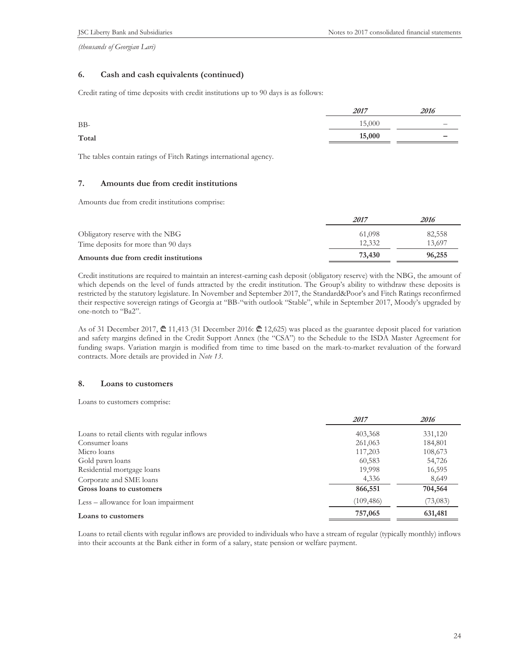### **6. Cash and cash equivalents (continued)**

Credit rating of time deposits with credit institutions up to 90 days is as follows:

|       | 2017   | 2016                     |
|-------|--------|--------------------------|
| BB-   | 15,000 | $\hspace{0.05cm}$        |
| Total | 15,000 | $\overline{\phantom{0}}$ |

The tables contain ratings of Fitch Ratings international agency.

### **7. Amounts due from credit institutions**

Amounts due from credit institutions comprise:

|                                      | 2017   | 2016   |
|--------------------------------------|--------|--------|
| Obligatory reserve with the NBG      | 61,098 | 82,558 |
| Time deposits for more than 90 days  | 12.332 | 13.697 |
| Amounts due from credit institutions | 73,430 | 96,255 |

Credit institutions are required to maintain an interest-earning cash deposit (obligatory reserve) with the NBG, the amount of which depends on the level of funds attracted by the credit institution. The Group's ability to withdraw these deposits is restricted by the statutory legislature. In November and September 2017, the Standard&Poor's and Fitch Ratings reconfirmed their respective sovereign ratings of Georgia at "BB-"with outlook "Stable", while in September 2017, Moody's upgraded by one-notch to "Ba2".

As of 31 December 2017, ₾ 11,413 (31 December 2016: ₾ 12,625) was placed as the guarantee deposit placed for variation and safety margins defined in the Credit Support Annex (the "CSA") to the Schedule to the ISDA Master Agreement for funding swaps. Variation margin is modified from time to time based on the mark-to-market revaluation of the forward contracts. More details are provided in *Note 13*.

### **8. Loans to customers**

Loans to customers comprise:

|                                              | 2017       | 2016     |
|----------------------------------------------|------------|----------|
| Loans to retail clients with regular inflows | 403,368    | 331,120  |
| Consumer loans                               | 261,063    | 184,801  |
| Micro loans                                  | 117,203    | 108,673  |
| Gold pawn loans                              | 60,583     | 54,726   |
| Residential mortgage loans                   | 19,998     | 16,595   |
| Corporate and SME loans                      | 4,336      | 8,649    |
| Gross loans to customers                     | 866,551    | 704,564  |
| Less – allowance for loan impairment         | (109, 486) | (73,083) |
| Loans to customers                           | 757,065    | 631,481  |

Loans to retail clients with regular inflows are provided to individuals who have a stream of regular (typically monthly) inflows into their accounts at the Bank either in form of a salary, state pension or welfare payment.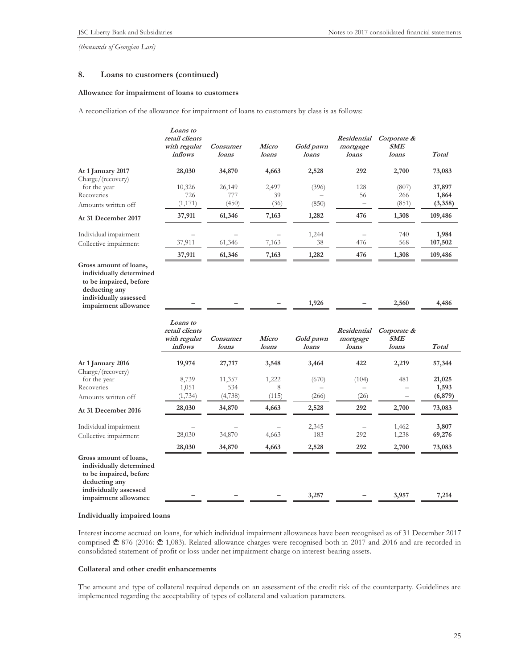### **8. Loans to customers (continued)**

#### **Allowance for impairment of loans to customers**

A reconciliation of the allowance for impairment of loans to customers by class is as follows:

|                                                                                                                                               | Loans to<br>retail clients<br>with regular<br>inflows        | Consumer<br>loans        | Micro<br>loans      | Gold pawn<br>loans | <b>Residential</b><br>mortgage<br>loans | Corporate &<br><b>SME</b><br>loans | Total                       |
|-----------------------------------------------------------------------------------------------------------------------------------------------|--------------------------------------------------------------|--------------------------|---------------------|--------------------|-----------------------------------------|------------------------------------|-----------------------------|
| At 1 January 2017                                                                                                                             | 28,030                                                       | 34,870                   | 4,663               | 2,528              | 292                                     | 2,700                              | 73,083                      |
| Charge/(recovery)<br>for the year<br>Recoveries                                                                                               | 10,326<br>726<br>(1, 171)                                    | 26,149<br>777<br>(450)   | 2,497<br>39<br>(36) | (396)<br>(850)     | 128<br>56                               | (807)<br>266<br>(851)              | 37,897<br>1,864<br>(3,358)  |
| Amounts written off                                                                                                                           | 37,911                                                       | 61,346                   | 7,163               | 1,282              | 476                                     | 1,308                              | 109,486                     |
| At 31 December 2017                                                                                                                           |                                                              |                          |                     |                    |                                         |                                    |                             |
| Individual impairment<br>Collective impairment                                                                                                | 37,911                                                       | 61,346                   | 7,163               | 1,244<br>38        | 476                                     | 740<br>568                         | 1,984<br>107,502            |
|                                                                                                                                               | 37,911                                                       | 61,346                   | 7,163               | 1,282              | 476                                     | 1,308                              | 109,486                     |
| Gross amount of loans,<br>individually determined<br>to be impaired, before<br>deducting any<br>individually assessed<br>impairment allowance |                                                              |                          |                     | 1,926              |                                         | 2,560                              | 4,486                       |
|                                                                                                                                               | Loans to<br>retail clients<br>with regular<br><i>inflows</i> | <b>Consumer</b><br>loans | Micro<br>loans      | Gold pawn<br>loans | <b>Residential</b><br>mortgage<br>loans | Corporate &<br><b>SME</b><br>loans | <b>Total</b>                |
| At 1 January 2016                                                                                                                             | 19,974                                                       | 27,717                   | 3,548               | 3,464              | 422                                     | 2,219                              | 57,344                      |
| Charge/(recovery)<br>for the year<br>Recoveries<br>Amounts written off                                                                        | 8,739<br>1,051<br>(1, 734)                                   | 11,357<br>534<br>(4,738) | 1,222<br>8<br>(115) | (670)<br>(266)     | (104)<br>(26)                           | 481<br>$\overline{\phantom{0}}$    | 21,025<br>1,593<br>(6, 879) |
| At 31 December 2016                                                                                                                           | 28,030                                                       | 34,870                   | 4,663               | 2,528              | 292                                     | 2,700                              | 73,083                      |
| Individual impairment<br>Collective impairment                                                                                                | 28,030                                                       | 34,870                   | 4,663               | 2,345<br>183       | 292                                     | 1,462<br>1,238                     | 3,807<br>69,276             |
|                                                                                                                                               | 28,030                                                       | 34,870                   | 4,663               | 2,528              | 292                                     | 2,700                              | 73,083                      |
| Gross amount of loans,<br>individually determined<br>to be impaired, before<br>deducting any<br>individually assessed                         |                                                              |                          |                     | 3,257              |                                         | 3,957                              | 7,214                       |
| impairment allowance                                                                                                                          |                                                              |                          |                     |                    |                                         |                                    |                             |

### **Individually impaired loans**

Interest income accrued on loans, for which individual impairment allowances have been recognised as of 31 December 2017 comprised ₾ 876 (2016: ₾ 1,083). Related allowance charges were recognised both in 2017 and 2016 and are recorded in consolidated statement of profit or loss under net impairment charge on interest-bearing assets.

### **Collateral and other credit enhancements**

The amount and type of collateral required depends on an assessment of the credit risk of the counterparty. Guidelines are implemented regarding the acceptability of types of collateral and valuation parameters.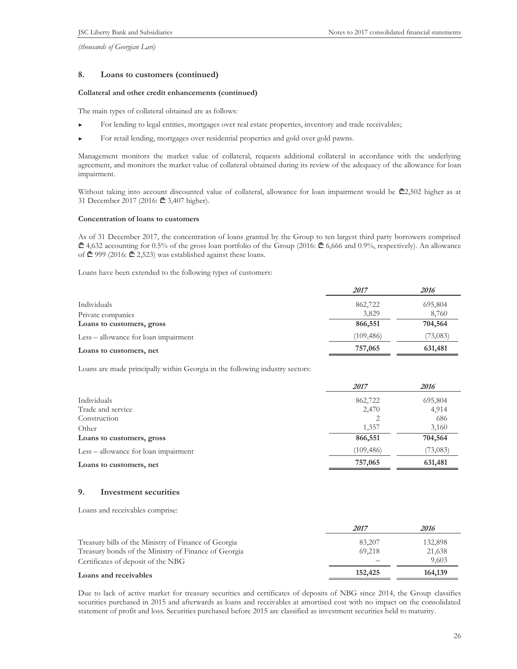### **8. Loans to customers (continued)**

#### **Collateral and other credit enhancements (continued)**

The main types of collateral obtained are as follows:

- ► For lending to legal entities, mortgages over real estate properties, inventory and trade receivables;
- ► For retail lending, mortgages over residential properties and gold over gold pawns.

Management monitors the market value of collateral, requests additional collateral in accordance with the underlying agreement, and monitors the market value of collateral obtained during its review of the adequacy of the allowance for loan impairment.

Without taking into account discounted value of collateral, allowance for loan impairment would be  $\mathbf{C}2,502$  higher as at 31 December 2017 (2016: ₾ 3,407 higher).

### **Concentration of loans to customers**

As of 31 December 2017, the concentration of loans granted by the Group to ten largest third party borrowers comprised ₾ 4,632 accounting for 0.5% of the gross loan portfolio of the Group (2016: ₾ 6,666 and 0.9%, respectively). An allowance of  $\spadesuit$  999 (2016:  $\spadesuit$  2,523) was established against these loans.

Loans have been extended to the following types of customers:

|                                      | 2017       | 2016     |
|--------------------------------------|------------|----------|
| Individuals                          | 862,722    | 695,804  |
| Private companies                    | 3,829      | 8,760    |
| Loans to customers, gross            | 866,551    | 704,564  |
| Less – allowance for loan impairment | (109, 486) | (73,083) |
| Loans to customers, net              | 757,065    | 631,481  |

Loans are made principally within Georgia in the following industry sectors:

|                                      | 2017       | 2016     |
|--------------------------------------|------------|----------|
| Individuals                          | 862,722    | 695,804  |
| Trade and service                    | 2,470      | 4,914    |
| Construction                         |            | 686      |
| Other                                | 1,357      | 3,160    |
| Loans to customers, gross            | 866,551    | 704,564  |
| Less – allowance for loan impairment | (109, 486) | (73,083) |
| Loans to customers, net              | 757,065    | 631,481  |

### **9. Investment securities**

Loans and receivables comprise:

| 2017    | 2016    |
|---------|---------|
| 83,207  | 132,898 |
| 69.218  | 21,638  |
|         | 9.603   |
| 152,425 | 164,139 |
|         |         |

Due to lack of active market for treasury securities and certificates of deposits of NBG since 2014, the Group classifies securities purchased in 2015 and afterwards as loans and receivables at amortised cost with no impact on the consolidated statement of profit and loss. Securities purchased before 2015 are classified as investment securities held to maturity.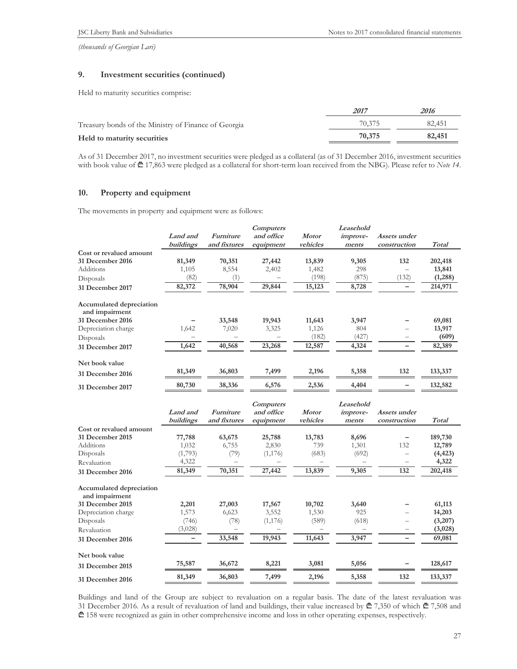### **9. Investment securities (continued)**

Held to maturity securities comprise:

|                                                      | 2017   | 2016   |
|------------------------------------------------------|--------|--------|
| Treasury bonds of the Ministry of Finance of Georgia | 70.375 | 82.451 |
| Held to maturity securities                          | 70,375 | 82,451 |

As of 31 December 2017, no investment securities were pledged as a collateral (as of 31 December 2016, investment securities with book value of ₾ 17,863 were pledged as a collateral for short-term loan received from the NBG). Please refer to *Note 14*.

### **10. Property and equipment**

The movements in property and equipment were as follows:

|                                                   | Land and<br>buildings    | Furniture<br>and fixtures | <b>Computers</b><br>and office<br>equipment | <b>Motor</b><br>vehicles | Leasehold<br><i>improve-</i><br>ments | <i>Assets under</i><br>construction | Total    |
|---------------------------------------------------|--------------------------|---------------------------|---------------------------------------------|--------------------------|---------------------------------------|-------------------------------------|----------|
| <b>Cost or revalued amount</b>                    |                          |                           |                                             |                          |                                       |                                     |          |
| 31 December 2016                                  | 81,349                   | 70,351                    | 27,442                                      | 13,839                   | 9,305                                 | 132                                 | 202,418  |
| Additions                                         | 1,105                    | 8,554                     | 2,402                                       | 1,482                    | 298                                   |                                     | 13,841   |
| Disposals                                         | (82)                     | (1)                       |                                             | (198)                    | (875)                                 | (132)                               | (1, 288) |
| 31 December 2017                                  | 82,372                   | 78,904                    | 29,844                                      | 15,123                   | 8,728                                 |                                     | 214,971  |
| <b>Accumulated depreciation</b><br>and impairment |                          |                           |                                             |                          |                                       |                                     |          |
| 31 December 2016                                  |                          | 33,548                    | 19,943                                      | 11,643                   | 3,947                                 |                                     | 69,081   |
| Depreciation charge                               | 1,642                    | 7,020                     | 3,325                                       | 1,126                    | 804                                   |                                     | 13,917   |
| Disposals                                         |                          |                           |                                             | (182)                    | (427)                                 | -                                   | (609)    |
| 31 December 2017                                  | 1,642                    | 40,568                    | 23,268                                      | 12,587                   | 4,324                                 |                                     | 82,389   |
| Net book value                                    |                          |                           |                                             |                          |                                       |                                     |          |
| <b>31 December 2016</b>                           | 81,349                   | 36,803                    | 7,499                                       | 2,196                    | 5,358                                 | 132                                 | 133,337  |
| <b>31 December 2017</b>                           | 80,730                   | 38,336                    | 6,576                                       | 2,536                    | 4,404                                 |                                     | 132,582  |
|                                                   | Land and<br>buildings    | Furniture<br>and fixtures | <b>Computers</b><br>and office<br>equipment | <b>Motor</b><br>vehicles | Leasehold<br>improve-<br>ments        | Assets under<br>construction        | Total    |
| Cost or revalued amount                           |                          |                           |                                             |                          |                                       |                                     |          |
| <b>31 December 2015</b>                           | 77,788                   | 63,675                    | 25,788                                      | 13,783                   | 8,696                                 |                                     | 189,730  |
| Additions                                         | 1,032                    | 6,755                     | 2,830                                       | 739                      | 1,301                                 | 132                                 | 12,789   |
| Disposals                                         | (1,793)                  | (79)                      | (1, 176)                                    | (683)                    | (692)                                 | $\overline{\phantom{0}}$            | (4, 423) |
| Revaluation                                       | 4,322                    |                           |                                             |                          |                                       |                                     | 4,322    |
| <b>31 December 2016</b>                           | 81,349                   | 70,351                    | 27,442                                      | 13,839                   | 9,305                                 | 132                                 | 202,418  |
| <b>Accumulated depreciation</b><br>and impairment |                          |                           |                                             |                          |                                       |                                     |          |
| <b>31 December 2015</b>                           | 2,201                    | 27,003                    | 17,567                                      | 10,702                   | 3,640                                 |                                     | 61,113   |
| Depreciation charge                               | 1,573                    | 6,623                     | 3,552                                       | 1,530                    | 925                                   |                                     | 14,203   |
| Disposals                                         |                          |                           |                                             |                          |                                       |                                     |          |
|                                                   | (746)                    | (78)                      | (1, 176)                                    | (589)                    | (618)                                 |                                     | (3,207)  |
| Revaluation                                       | (3,028)                  |                           |                                             |                          |                                       |                                     | (3,028)  |
| 31 December 2016                                  | $\overline{\phantom{0}}$ | 33,548                    | 19,943                                      | 11,643                   | 3,947                                 |                                     | 69,081   |
| Net book value                                    |                          |                           |                                             |                          |                                       |                                     |          |
| <b>31 December 2015</b>                           | 75,587                   | 36,672                    | 8,221                                       | 3,081                    | 5,056                                 |                                     | 128,617  |

Buildings and land of the Group are subject to revaluation on a regular basis. The date of the latest revaluation was 31 December 2016. As a result of revaluation of land and buildings, their value increased by ₾ 7,350 of which ₾ 7,508 and ₾ 158 were recognized as gain in other comprehensive income and loss in other operating expenses, respectively.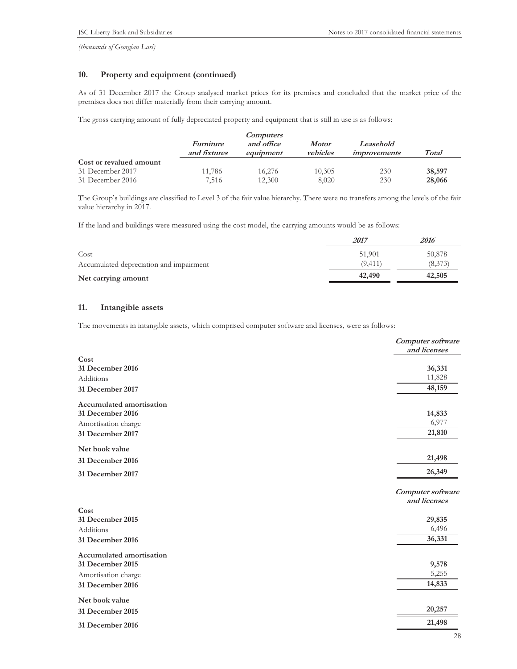### **10. Property and equipment (continued)**

As of 31 December 2017 the Group analysed market prices for its premises and concluded that the market price of the premises does not differ materially from their carrying amount.

The gross carrying amount of fully depreciated property and equipment that is still in use is as follows:

|                         |                           | <b>Computers</b>        |                          |                                  |        |
|-------------------------|---------------------------|-------------------------|--------------------------|----------------------------------|--------|
|                         | Furniture<br>and fixtures | and office<br>equipment | <b>Motor</b><br>vehicles | Leasehold<br><i>improvements</i> | Total  |
| Cost or revalued amount |                           |                         |                          |                                  |        |
| 31 December 2017        | 11.786                    | 16.276                  | 10,305                   | 230                              | 38,597 |
| 31 December 2016        | 7,516                     | 12.300                  | 8.020                    | 230                              | 28,066 |

The Group's buildings are classified to Level 3 of the fair value hierarchy. There were no transfers among the levels of the fair value hierarchy in 2017.

If the land and buildings were measured using the cost model, the carrying amounts would be as follows:

|                                         | <i>2017</i>       | 2016              |
|-----------------------------------------|-------------------|-------------------|
| Cost                                    | 51,901<br>(9.411) | 50,878<br>(8,373) |
| Accumulated depreciation and impairment |                   |                   |
| Net carrying amount                     | 42,490            | 42,505            |

### **11. Intangible assets**

The movements in intangible assets, which comprised computer software and licenses, were as follows:

|                                 | Computer software<br>and licenses |
|---------------------------------|-----------------------------------|
| Cost                            |                                   |
| 31 December 2016                | 36,331                            |
| <b>Additions</b>                | 11,828                            |
| 31 December 2017                | 48,159                            |
| <b>Accumulated amortisation</b> |                                   |
| 31 December 2016                | 14,833                            |
| Amortisation charge             | 6,977                             |
| 31 December 2017                | 21,810                            |
| Net book value                  |                                   |
| 31 December 2016                | 21,498                            |
| 31 December 2017                | 26,349                            |
|                                 | Computer software<br>and licenses |
| Cost                            |                                   |
| 31 December 2015                | 29,835                            |
| Additions                       | 6,496                             |
| 31 December 2016                | 36,331                            |
| <b>Accumulated amortisation</b> |                                   |
| 31 December 2015                | 9,578                             |
| Amortisation charge             | 5,255                             |
| 31 December 2016                | 14,833                            |
| Net book value                  |                                   |
| 31 December 2015                | 20,257                            |
| 31 December 2016                | 21,498                            |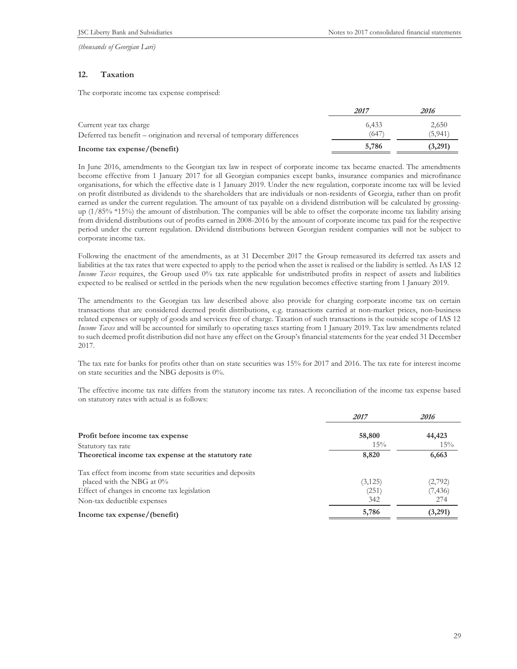### **12. Taxation**

The corporate income tax expense comprised:

|                                                                                                          | 2017           | 2016             |
|----------------------------------------------------------------------------------------------------------|----------------|------------------|
| Current year tax charge                                                                                  | 6.433<br>(647) | 2,650<br>(5.941) |
| Deferred tax benefit - origination and reversal of temporary differences<br>Income tax expense/(benefit) | 5,786          | (3,291)          |
|                                                                                                          |                |                  |

In June 2016, amendments to the Georgian tax law in respect of corporate income tax became enacted. The amendments become effective from 1 January 2017 for all Georgian companies except banks, insurance companies and microfinance organisations, for which the effective date is 1 January 2019. Under the new regulation, corporate income tax will be levied on profit distributed as dividends to the shareholders that are individuals or non-residents of Georgia, rather than on profit earned as under the current regulation. The amount of tax payable on a dividend distribution will be calculated by grossingup  $(1/85\% *15\%)$  the amount of distribution. The companies will be able to offset the corporate income tax liability arising from dividend distributions out of profits earned in 2008-2016 by the amount of corporate income tax paid for the respective period under the current regulation. Dividend distributions between Georgian resident companies will not be subject to corporate income tax.

Following the enactment of the amendments, as at 31 December 2017 the Group remeasured its deferred tax assets and liabilities at the tax rates that were expected to apply to the period when the asset is realised or the liability is settled. As IAS 12 *Income Taxes* requires, the Group used 0% tax rate applicable for undistributed profits in respect of assets and liabilities expected to be realised or settled in the periods when the new regulation becomes effective starting from 1 January 2019.

The amendments to the Georgian tax law described above also provide for charging corporate income tax on certain transactions that are considered deemed profit distributions, e.g. transactions carried at non-market prices, non-business related expenses or supply of goods and services free of charge. Taxation of such transactions is the outside scope of IAS 12 *Income Taxes* and will be accounted for similarly to operating taxes starting from 1 January 2019. Tax law amendments related to such deemed profit distribution did not have any effect on the Group's financial statements for the year ended 31 December 2017.

The tax rate for banks for profits other than on state securities was 15% for 2017 and 2016. The tax rate for interest income on state securities and the NBG deposits is 0%.

The effective income tax rate differs from the statutory income tax rates. A reconciliation of the income tax expense based on statutory rates with actual is as follows:

|                                                           | 2017     | 2016     |
|-----------------------------------------------------------|----------|----------|
| Profit before income tax expense                          | 58,800   | 44,423   |
| Statutory tax rate                                        | 15%      | 15%      |
| Theoretical income tax expense at the statutory rate      | 8,820    | 6,663    |
| Tax effect from income from state securities and deposits |          |          |
| placed with the NBG at $0\%$                              | (3, 125) | (2,792)  |
| Effect of changes in cncome tax legislation               | (251)    | (7, 436) |
| Non-tax deductible expenses                               | 342      | 274      |
| Income tax expense/(benefit)                              | 5,786    | (3,291)  |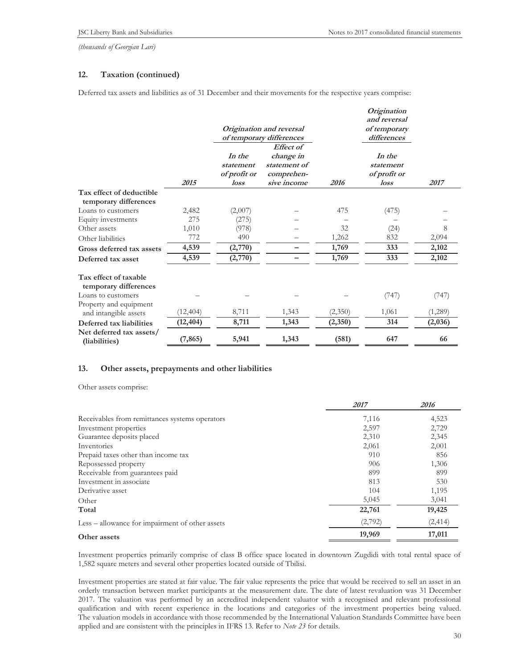### **12. Taxation (continued)**

Deferred tax assets and liabilities as of 31 December and their movements for the respective years comprise:

|                                                 |              |                                             | Origination and reversal<br>of temporary differences                       |         | Origination<br>and reversal<br>of temporary<br>differences |         |
|-------------------------------------------------|--------------|---------------------------------------------|----------------------------------------------------------------------------|---------|------------------------------------------------------------|---------|
|                                                 | 2015         | In the<br>statement<br>of profit or<br>loss | <b>Effect</b> of<br>change in<br>statement of<br>comprehen-<br>sive income | 2016    | In the<br>statement<br>of profit or<br>loss                | 2017    |
| Tax effect of deductible                        |              |                                             |                                                                            |         |                                                            |         |
| temporary differences<br>Loans to customers     |              |                                             |                                                                            | 475     |                                                            |         |
|                                                 | 2,482<br>275 | (2,007)                                     |                                                                            |         | (475)                                                      |         |
| Equity investments<br>Other assets              | 1,010        | (275)                                       |                                                                            | 32      |                                                            | 8       |
|                                                 | 772          | (978)<br>490                                |                                                                            |         | (24)<br>832                                                |         |
| Other liabilities                               |              |                                             |                                                                            | 1,262   |                                                            | 2,094   |
| Gross deferred tax assets                       | 4,539        | (2,770)                                     |                                                                            | 1,769   | 333                                                        | 2,102   |
| Deferred tax asset                              | 4,539        | (2,770)                                     |                                                                            | 1,769   | 333                                                        | 2,102   |
| Tax effect of taxable<br>temporary differences  |              |                                             |                                                                            |         |                                                            |         |
| Loans to customers                              |              |                                             |                                                                            |         | (747)                                                      | (747)   |
| Property and equipment<br>and intangible assets | (12, 404)    | 8,711                                       | 1,343                                                                      | (2,350) | 1,061                                                      | (1,289) |
| Deferred tax liabilities                        | (12, 404)    | 8,711                                       | 1,343                                                                      | (2,350) | 314                                                        | (2,036) |
| Net deferred tax assets/<br>(liabilities)       | (7, 865)     | 5,941                                       | 1,343                                                                      | (581)   | 647                                                        | 66      |

### **13. Other assets, prepayments and other liabilities**

Other assets comprise:

|                                                 | 2017    | 2016     |
|-------------------------------------------------|---------|----------|
| Receivables from remittances systems operators  | 7,116   | 4,523    |
| Investment properties                           | 2,597   | 2,729    |
| Guarantee deposits placed                       | 2,310   | 2,345    |
| Inventories                                     | 2,061   | 2,001    |
| Prepaid taxes other than income tax             | 910     | 856      |
| Repossessed property                            | 906     | 1,306    |
| Receivable from guarantees paid                 | 899     | 899      |
| Investment in associate                         | 813     | 530      |
| Derivative asset                                | 104     | 1,195    |
| Other                                           | 5,045   | 3,041    |
| Total                                           | 22,761  | 19,425   |
| Less – allowance for impairment of other assets | (2,792) | (2, 414) |
| Other assets                                    | 19,969  | 17,011   |

Investment properties primarily comprise of class B office space located in downtown Zugdidi with total rental space of 1,582 square meters and several other properties located outside of Tbilisi.

Investment properties are stated at fair value. The fair value represents the price that would be received to sell an asset in an orderly transaction between market participants at the measurement date. The date of latest revaluation was 31 December 2017. The valuation was performed by an accredited independent valuator with a recognised and relevant professional qualification and with recent experience in the locations and categories of the investment properties being valued. The valuation models in accordance with those recommended by the International Valuation Standards Committee have been applied and are consistent with the principles in IFRS 13. Refer to *Note 23* for details.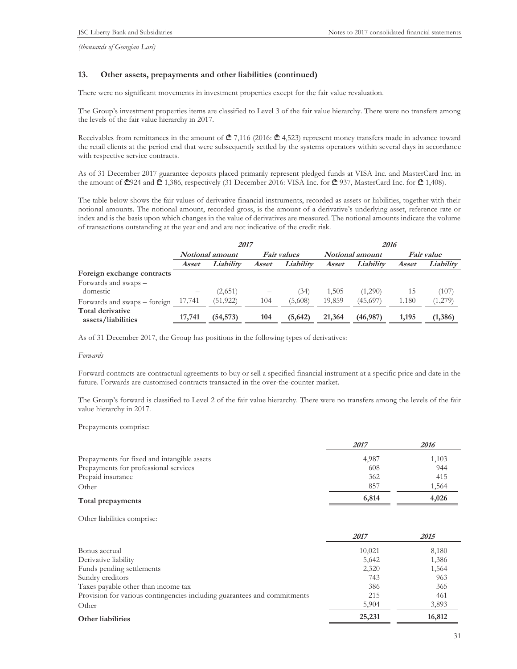### **13. Other assets, prepayments and other liabilities (continued)**

There were no significant movements in investment properties except for the fair value revaluation.

The Group's investment properties items are classified to Level 3 of the fair value hierarchy. There were no transfers among the levels of the fair value hierarchy in 2017.

Receivables from remittances in the amount of  $\spadesuit$  7,116 (2016:  $\spadesuit$  4,523) represent money transfers made in advance toward the retail clients at the period end that were subsequently settled by the systems operators within several days in accordance with respective service contracts.

As of 31 December 2017 guarantee deposits placed primarily represent pledged funds at VISA Inc. and MasterCard Inc. in the amount of ₾924 and ₾ 1,386, respectively (31 December 2016: VISA Inc. for ₾ 937, MasterCard Inc. for ₾ 1,408).

The table below shows the fair values of derivative financial instruments, recorded as assets or liabilities, together with their notional amounts. The notional amount, recorded gross, is the amount of a derivative's underlying asset, reference rate or index and is the basis upon which changes in the value of derivatives are measured. The notional amounts indicate the volume of transactions outstanding at the year end and are not indicative of the credit risk.

|                                        |        | <i>2017</i>     |       |                    |        | 2016            |       |                   |
|----------------------------------------|--------|-----------------|-------|--------------------|--------|-----------------|-------|-------------------|
|                                        |        | Notional amount |       | <i>Fair values</i> |        | Notional amount |       | <i>Fair value</i> |
|                                        | Asset  | Liability       | Asset | Liability          | Asset  | Liability       | Asset | Liability         |
| Foreign exchange contracts             |        |                 |       |                    |        |                 |       |                   |
| Forwards and swaps -                   |        |                 |       |                    |        |                 |       |                   |
| domestic                               |        | (2,651)         |       | (34)               | 1,505  | (1,290)         | 15    | (107)             |
| Forwards and swaps – foreign           | 17,741 | (51, 922)       | 104   | (5,608)            | 19,859 | (45,697)        | 1,180 | (1,279)           |
| Total derivative<br>assets/liabilities | 17,741 | (54, 573)       | 104   | (5,642)            | 21,364 | (46,987)        | 1,195 | (1, 386)          |

As of 31 December 2017, the Group has positions in the following types of derivatives:

#### *Forwards*

Forward contracts are contractual agreements to buy or sell a specified financial instrument at a specific price and date in the future. Forwards are customised contracts transacted in the over-the-counter market.

The Group's forward is classified to Level 2 of the fair value hierarchy. There were no transfers among the levels of the fair value hierarchy in 2017.

Prepayments comprise:

|                                             | 2017  | 2016  |
|---------------------------------------------|-------|-------|
| Prepayments for fixed and intangible assets | 4,987 | 1,103 |
| Prepayments for professional services       | 608   | 944   |
| Prepaid insurance                           | 362   | 415   |
| Other                                       | 857   | 1,564 |
| Total prepayments                           | 6.814 | 4,026 |

Other liabilities comprise:

|                                                                          | <i>2017</i> | <i>2015</i> |
|--------------------------------------------------------------------------|-------------|-------------|
| Bonus accrual                                                            | 10,021      | 8,180       |
| Derivative liability                                                     | 5,642       | 1,386       |
| Funds pending settlements                                                | 2,320       | 1,564       |
| Sundry creditors                                                         | 743         | 963         |
| Taxes payable other than income tax                                      | 386         | 365         |
| Provision for various contingencies including guarantees and commitments | 215         | 461         |
| Other                                                                    | 5,904       | 3,893       |
| Other liabilities                                                        | 25,231      | 16,812      |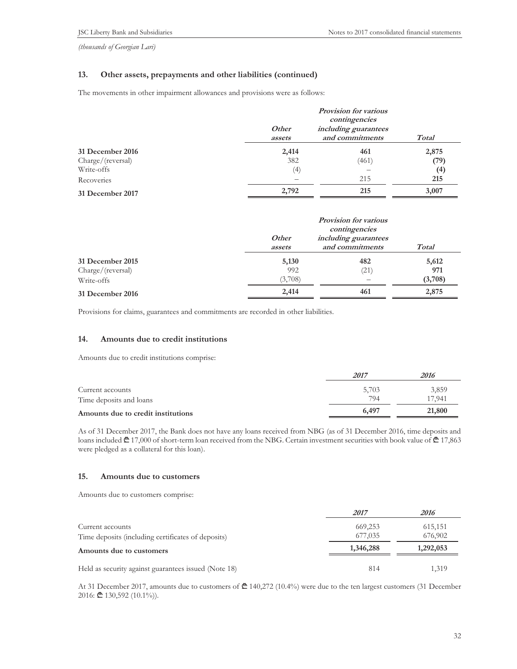### **13. Other assets, prepayments and other liabilities (continued)**

The movements in other impairment allowances and provisions were as follows:

|                   | <b>Provision for various</b><br>contingencies<br>including guarantees<br><i>Other</i><br>and commitments<br><b>Total</b><br>assets |       |       |  |  |
|-------------------|------------------------------------------------------------------------------------------------------------------------------------|-------|-------|--|--|
| 31 December 2016  | 2,414                                                                                                                              | 461   | 2,875 |  |  |
| Charge/(reversal) | 382                                                                                                                                | (461) | (79)  |  |  |
| Write-offs        | (4)                                                                                                                                |       | (4)   |  |  |
| Recoveries        |                                                                                                                                    | 215   | 215   |  |  |
| 31 December 2017  | 2,792                                                                                                                              | 215   | 3,007 |  |  |

|                   | Other<br>assets | <b>Provision for various</b><br>contingencies<br>including guarantees<br>and commitments | Total   |
|-------------------|-----------------|------------------------------------------------------------------------------------------|---------|
| 31 December 2015  | 5,130           | 482                                                                                      | 5,612   |
| Charge/(reversal) | 992             | (21)                                                                                     | 971     |
| Write-offs        | (3,708)         |                                                                                          | (3,708) |
| 31 December 2016  | 2,414           | 461                                                                                      | 2,875   |

Provisions for claims, guarantees and commitments are recorded in other liabilities.

### **14. Amounts due to credit institutions**

Amounts due to credit institutions comprise:

|                                             | 2017         | 2016            |
|---------------------------------------------|--------------|-----------------|
| Current accounts<br>Time deposits and loans | 5,703<br>794 | 3,859<br>17.941 |
| Amounts due to credit institutions          | 6.497        | 21,800          |

As of 31 December 2017, the Bank does not have any loans received from NBG (as of 31 December 2016, time deposits and loans included ₾ 17,000 of short-term loan received from the NBG. Certain investment securities with book value of ₾ 17,863 were pledged as a collateral for this loan).

### **15. Amounts due to customers**

Amounts due to customers comprise:

|                                                      | 2017      | 2016      |
|------------------------------------------------------|-----------|-----------|
| Current accounts                                     | 669.253   | 615,151   |
| Time deposits (including certificates of deposits)   | 677,035   | 676,902   |
| Amounts due to customers                             | 1,346,288 | 1,292,053 |
| Held as security against guarantees issued (Note 18) | 814       | 1.319     |

At 31 December 2017, amounts due to customers of ₾ 140,272 (10.4%) were due to the ten largest customers (31 December 2016: ₾ 130,592 (10.1%)).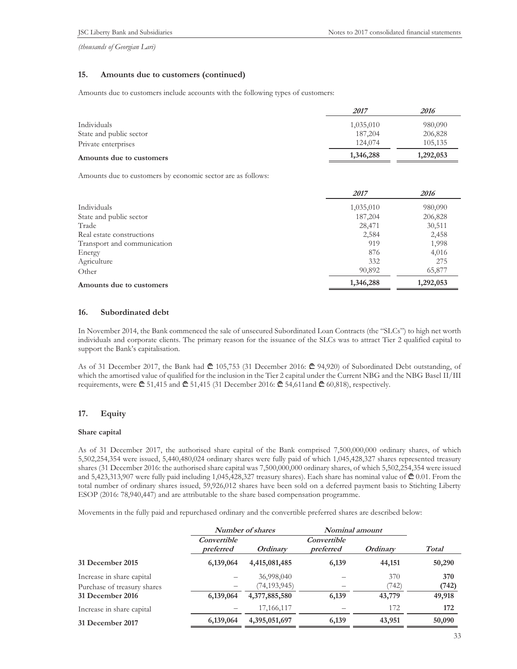### **15. Amounts due to customers (continued)**

Amounts due to customers include accounts with the following types of customers:

|                          | <i>2017</i> | 2016      |
|--------------------------|-------------|-----------|
| Individuals              | 1,035,010   | 980,090   |
| State and public sector  | 187,204     | 206,828   |
| Private enterprises      | 124,074     | 105,135   |
| Amounts due to customers | 1,346,288   | 1,292,053 |

Amounts due to customers by economic sector are as follows:

|                             | 2017      | 2016      |
|-----------------------------|-----------|-----------|
| Individuals                 | 1,035,010 | 980,090   |
| State and public sector     | 187,204   | 206,828   |
| Trade                       | 28,471    | 30,511    |
| Real estate constructions   | 2,584     | 2,458     |
| Transport and communication | 919       | 1,998     |
| Energy                      | 876       | 4,016     |
| Agriculture                 | 332       | 275       |
| Other                       | 90,892    | 65,877    |
| Amounts due to customers    | 1,346,288 | 1,292,053 |

### **16. Subordinated debt**

In November 2014, the Bank commenced the sale of unsecured Subordinated Loan Contracts (the "SLCs") to high net worth individuals and corporate clients. The primary reason for the issuance of the SLCs was to attract Tier 2 qualified capital to support the Bank's capitalisation.

As of 31 December 2017, the Bank had ₾ 105,753 (31 December 2016: ₾ 94,920) of Subordinated Debt outstanding, of which the amortised value of qualified for the inclusion in the Tier 2 capital under the Current NBG and the NBG Basel II/III requirements, were ₾ 51,415 and ₾ 51,415 (31 December 2016: ₾ 54,611and ₾ 60,818), respectively.

### **17. Equity**

### **Share capital**

As of 31 December 2017, the authorised share capital of the Bank comprised 7,500,000,000 ordinary shares, of which 5,502,254,354 were issued, 5,440,480,024 ordinary shares were fully paid of which 1,045,428,327 shares represented treasury shares (31 December 2016: the authorised share capital was 7,500,000,000 ordinary shares, of which 5,502,254,354 were issued and 5,423,313,907 were fully paid including 1,045,428,327 treasury shares). Each share has nominal value of  $\spadesuit$  0.01. From the total number of ordinary shares issued, 59,926,012 shares have been sold on a deferred payment basis to Stichting Liberty ESOP (2016: 78,940,447) and are attributable to the share based compensation programme.

Movements in the fully paid and repurchased ordinary and the convertible preferred shares are described below:

|                             |                          | Number of shares       |                          | Nominal amount         |        |  |
|-----------------------------|--------------------------|------------------------|--------------------------|------------------------|--------|--|
|                             | Convertible<br>preferred | <i><b>Ordinary</b></i> | Convertible<br>preferred | <i><b>Ordinary</b></i> | Total  |  |
| 31 December 2015            | 6,139,064                | 4,415,081,485          | 6,139                    | 44,151                 | 50,290 |  |
| Increase in share capital   |                          | 36,998,040             |                          | 370                    | 370    |  |
| Purchase of treasury shares |                          | (74,193,945)           |                          | (742)                  | (742)  |  |
| 31 December 2016            | 6,139,064                | 4,377,885,580          | 6,139                    | 43,779                 | 49,918 |  |
| Increase in share capital   |                          | 17,166,117             |                          | 172                    | 172    |  |
| 31 December 2017            | 6,139,064                | 4,395,051,697          | 6,139                    | 43,951                 | 50,090 |  |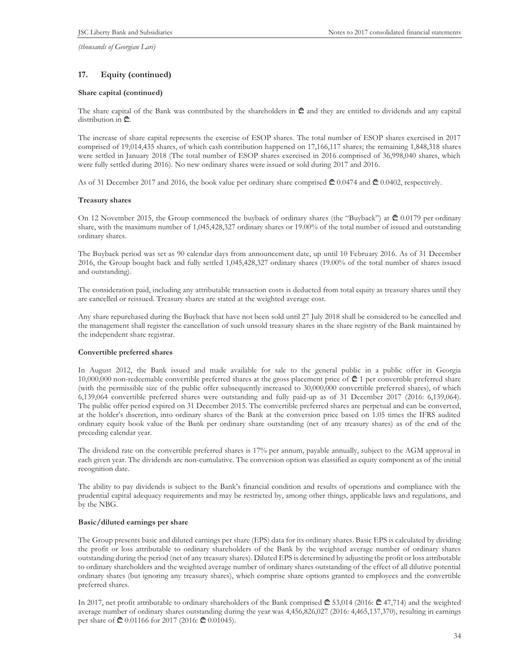### **17. Equity (continued)**

### **Share capital (continued)**

The share capital of the Bank was contributed by the shareholders in ₾ and they are entitled to dividends and any capital distribution in ₾.

The increase of share capital represents the exercise of ESOP shares. The total number of ESOP shares exercised in 2017 comprised of 19,014,435 shares, of which cash contribution happened on 17,166,117 shares; the remaining 1,848,318 shares were settled in January 2018 (The total number of ESOP shares exercised in 2016 comprised of 36,998,040 shares, which were fully settled during 2016). No new ordinary shares were issued or sold during 2017 and 2016.

As of 31 December 2017 and 2016, the book value per ordinary share comprised  $\triangle$  0.0474 and  $\triangle$  0.0402, respectively.

### **Treasury shares**

On 12 November 2015, the Group commenced the buyback of ordinary shares (the "Buyback") at  $\Phi$  0.0179 per ordinary share, with the maximum number of 1,045,428,327 ordinary shares or 19.00% of the total number of issued and outstanding ordinary shares.

The Buyback period was set as 90 calendar days from announcement date, up until 10 February 2016. As of 31 December 2016, the Group bought back and fully settled 1,045,428,327 ordinary shares (19.00% of the total number of shares issued and outstanding).

The consideration paid, including any attributable transaction costs is deducted from total equity as treasury shares until they are cancelled or reissued. Treasury shares are stated at the weighted average cost.

Any share repurchased during the Buyback that have not been sold until 27 July 2018 shall be considered to be cancelled and the management shall register the cancellation of such unsold treasury shares in the share registry of the Bank maintained by the independent share registrar.

### **Convertible preferred shares**

In August 2012, the Bank issued and made available for sale to the general public in a public offer in Georgia 10,000,000 non-redeemable convertible preferred shares at the gross placement price of ₾ 1 per convertible preferred share (with the permissible size of the public offer subsequently increased to 30,000,000 convertible preferred shares), of which 6,139,064 convertible preferred shares were outstanding and fully paid-up as of 31 December 2017 (2016: 6,139,064). The public offer period expired on 31 December 2015. The convertible preferred shares are perpetual and can be converted, at the holder's discretion, into ordinary shares of the Bank at the conversion price based on 1.05 times the IFRS audited ordinary equity book value of the Bank per ordinary share outstanding (net of any treasury shares) as of the end of the preceding calendar year.

The dividend rate on the convertible preferred shares is 17% per annum, payable annually, subject to the AGM approval in each given year. The dividends are non-cumulative. The conversion option was classified as equity component as of the initial recognition date.

The ability to pay dividends is subject to the Bank's financial condition and results of operations and compliance with the prudential capital adequacy requirements and may be restricted by, among other things, applicable laws and regulations, and by the NBG.

### **Basic/diluted earnings per share**

The Group presents basic and diluted earnings per share (EPS) data for its ordinary shares. Basic EPS is calculated by dividing the profit or loss attributable to ordinary shareholders of the Bank by the weighted average number of ordinary shares outstanding during the period (net of any treasury shares). Diluted EPS is determined by adjusting the profit or loss attributable to ordinary shareholders and the weighted average number of ordinary shares outstanding of the effect of all dilutive potential ordinary shares (but ignoring any treasury shares), which comprise share options granted to employees and the convertible preferred shares.

In 2017, net profit attributable to ordinary shareholders of the Bank comprised ₾ 53,014 (2016: ₾ 47,714) and the weighted average number of ordinary shares outstanding during the year was 4,456,826,027 (2016: 4,465,137,370), resulting in earnings per share of ₾ 0.01166 for 2017 (2016: ₾ 0.01045).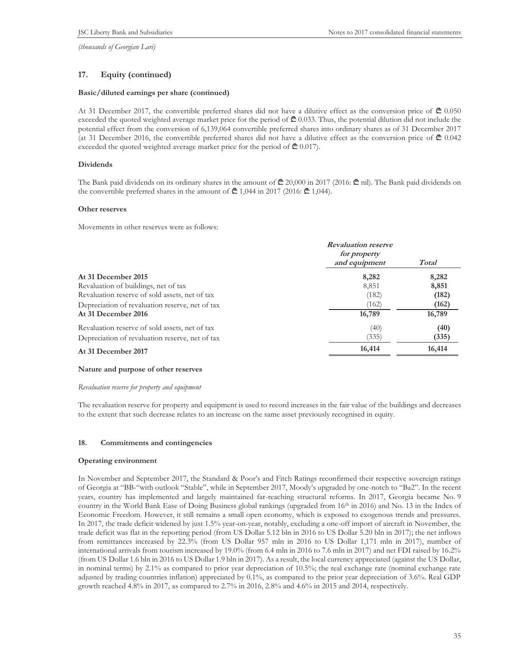### **17. Equity (continued)**

### **Basic/diluted earnings per share (continued)**

At 31 December 2017, the convertible preferred shares did not have a dilutive effect as the conversion price of ₾ 0.050 exceeded the quoted weighted average market price for the period of  $\triangle$  0.033. Thus, the potential dilution did not include the potential effect from the conversion of 6,139,064 convertible preferred shares into ordinary shares as of 31 December 2017 (at 31 December 2016, the convertible preferred shares did not have a dilutive effect as the conversion price of  $\spadesuit$  0.042 exceeded the quoted weighted average market price for the period of  $\mathbf{\Phi}$  0.017).

### **Dividends**

The Bank paid dividends on its ordinary shares in the amount of  $\triangle$  20,000 in 2017 (2016:  $\triangle$  nil). The Bank paid dividends on the convertible preferred shares in the amount of  $\mathbb{C}$  1,044 in 2017 (2016:  $\mathbb{C}$  1,044).

### **Other reserves**

Movements in other reserves were as follows:

|                                                 | <b>Revaluation reserve</b><br>for property<br>Total<br>and equipment |        |  |  |
|-------------------------------------------------|----------------------------------------------------------------------|--------|--|--|
| At 31 December 2015                             | 8,282                                                                | 8,282  |  |  |
| Revaluation of buildings, net of tax            | 8,851                                                                | 8,851  |  |  |
| Revaluation reserve of sold assets, net of tax  | (182)                                                                | (182)  |  |  |
| Depreciation of revaluation reserve, net of tax | (162)                                                                | (162)  |  |  |
| At 31 December 2016                             | 16,789                                                               | 16,789 |  |  |
| Revaluation reserve of sold assets, net of tax  | (40)                                                                 | (40)   |  |  |
| Depreciation of revaluation reserve, net of tax | (335)                                                                | (335)  |  |  |
| At 31 December 2017                             | 16,414                                                               | 16,414 |  |  |

### **Nature and purpose of other reserves**

*Revaluation reserve for property and equipment* 

The revaluation reserve for property and equipment is used to record increases in the fair value of the buildings and decreases to the extent that such decrease relates to an increase on the same asset previously recognised in equity.

### **18. Commitments and contingencies**

### **Operating environment**

In November and September 2017, the Standard & Poor's and Fitch Ratings reconfirmed their respective sovereign ratings of Georgia at "BB-"with outlook "Stable", while in September 2017, Moody's upgraded by one-notch to "Ba2". In the recent years, country has implemented and largely maintained far-reaching structural reforms. In 2017, Georgia became No. 9 country in the World Bank Ease of Doing Business global rankings (upgraded from 16th in 2016) and No. 13 in the Index of Economic Freedom. However, it still remains a small open economy, which is exposed to exogenous trends and pressures. In 2017, the trade deficit widened by just 1.5% year-on-year, notably, excluding a one-off import of aircraft in November, the trade deficit was flat in the reporting period (from US Dollar 5.12 bln in 2016 to US Dollar 5.20 bln in 2017); the net inflows from remittances increased by 22.3% (from US Dollar 957 mln in 2016 to US Dollar 1,171 mln in 2017), number of international arrivals from tourism increased by 19.0% (from 6.4 mln in 2016 to 7.6 mln in 2017) and net FDI raised by 16.2% (from US Dollar 1.6 bln in 2016 to US Dollar 1.9 bln in 2017). As a result, the local currency appreciated (against the US Dollar, in nominal terms) by 2.1% as compared to prior year depreciation of 10.5%; the real exchange rate (nominal exchange rate adjusted by trading countries inflation) appreciated by 0.1%, as compared to the prior year depreciation of 3.6%. Real GDP growth reached 4.8% in 2017, as compared to 2.7% in 2016, 2.8% and 4.6% in 2015 and 2014, respectively.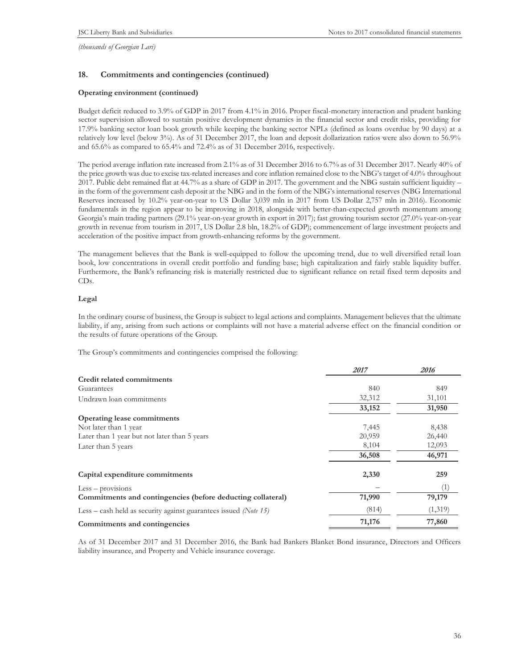### **18. Commitments and contingencies (continued)**

### **Operating environment (continued)**

Budget deficit reduced to 3.9% of GDP in 2017 from 4.1% in 2016. Proper fiscal-monetary interaction and prudent banking sector supervision allowed to sustain positive development dynamics in the financial sector and credit risks, providing for 17.9% banking sector loan book growth while keeping the banking sector NPLs (defined as loans overdue by 90 days) at a relatively low level (below 3%). As of 31 December 2017, the loan and deposit dollarization ratios were also down to 56.9% and 65.6% as compared to 65.4% and 72.4% as of 31 December 2016, respectively.

The period average inflation rate increased from 2.1% as of 31 December 2016 to 6.7% as of 31 December 2017. Nearly 40% of the price growth was due to excise tax-related increases and core inflation remained close to the NBG's target of 4.0% throughout 2017. Public debt remained flat at 44.7% as a share of GDP in 2017. The government and the NBG sustain sufficient liquidity – in the form of the government cash deposit at the NBG and in the form of the NBG's international reserves (NBG International Reserves increased by 10.2% year-on-year to US Dollar 3,039 mln in 2017 from US Dollar 2,757 mln in 2016). Economic fundamentals in the region appear to be improving in 2018, alongside with better-than-expected growth momentum among Georgia's main trading partners (29.1% year-on-year growth in export in 2017); fast growing tourism sector (27.0% year-on-year growth in revenue from tourism in 2017, US Dollar 2.8 bln, 18.2% of GDP); commencement of large investment projects and acceleration of the positive impact from growth-enhancing reforms by the government.

The management believes that the Bank is well-equipped to follow the upcoming trend, due to well diversified retail loan book, low concentrations in overall credit portfolio and funding base; high capitalization and fairly stable liquidity buffer. Furthermore, the Bank's refinancing risk is materially restricted due to significant reliance on retail fixed term deposits and CDs.

### **Legal**

In the ordinary course of business, the Group is subject to legal actions and complaints. Management believes that the ultimate liability, if any, arising from such actions or complaints will not have a material adverse effect on the financial condition or the results of future operations of the Group.

The Group's commitments and contingencies comprised the following:

|                                                                  | 2017   | 2016    |
|------------------------------------------------------------------|--------|---------|
| Credit related commitments                                       |        |         |
| Guarantees                                                       | 840    | 849     |
| Undrawn loan commitments                                         | 32,312 | 31,101  |
|                                                                  | 33,152 | 31,950  |
| <b>Operating lease commitments</b>                               |        |         |
| Not later than 1 year                                            | 7,445  | 8,438   |
| Later than 1 year but not later than 5 years                     | 20,959 | 26,440  |
| Later than 5 years                                               | 8,104  | 12,093  |
|                                                                  | 36,508 | 46,971  |
| Capital expenditure commitments                                  | 2,330  | 259     |
| Less - provisions                                                |        | (1)     |
| Commitments and contingencies (before deducting collateral)      | 71,990 | 79,179  |
| Less - cash held as security against guarantees issued (Note 15) | (814)  | (1,319) |
| Commitments and contingencies                                    | 71,176 | 77,860  |

As of 31 December 2017 and 31 December 2016, the Bank had Bankers Blanket Bond insurance, Directors and Officers liability insurance, and Property and Vehicle insurance coverage.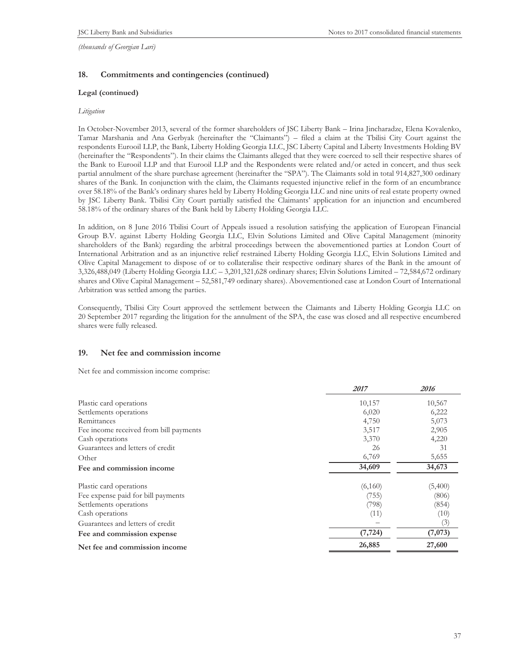### **18. Commitments and contingencies (continued)**

### **Legal (continued)**

#### *Litigation*

In October-November 2013, several of the former shareholders of JSC Liberty Bank – Irina Jincharadze, Elena Kovalenko, Tamar Marshania and Ana Gerbyak (hereinafter the "Claimants") – filed a claim at the Tbilisi City Court against the respondents Eurooil LLP, the Bank, Liberty Holding Georgia LLC, JSC Liberty Capital and Liberty Investments Holding BV (hereinafter the "Respondents"). In their claims the Claimants alleged that they were coerced to sell their respective shares of the Bank to Eurooil LLP and that Eurooil LLP and the Respondents were related and/or acted in concert, and thus seek partial annulment of the share purchase agreement (hereinafter the "SPA"). The Claimants sold in total 914,827,300 ordinary shares of the Bank. In conjunction with the claim, the Claimants requested injunctive relief in the form of an encumbrance over 58.18% of the Bank's ordinary shares held by Liberty Holding Georgia LLC and nine units of real estate property owned by JSC Liberty Bank. Tbilisi City Court partially satisfied the Claimants' application for an injunction and encumbered 58.18% of the ordinary shares of the Bank held by Liberty Holding Georgia LLC.

In addition, on 8 June 2016 Tbilisi Court of Appeals issued a resolution satisfying the application of European Financial Group B.V. against Liberty Holding Georgia LLC, Elvin Solutions Limited and Olive Capital Management (minority shareholders of the Bank) regarding the arbitral proceedings between the abovementioned parties at London Court of International Arbitration and as an injunctive relief restrained Liberty Holding Georgia LLC, Elvin Solutions Limited and Olive Capital Management to dispose of or to collateralise their respective ordinary shares of the Bank in the amount of 3,326,488,049 (Liberty Holding Georgia LLC – 3,201,321,628 ordinary shares; Elvin Solutions Limited – 72,584,672 ordinary shares and Olive Capital Management – 52,581,749 ordinary shares). Abovementioned case at London Court of International Arbitration was settled among the parties.

Consequently, Tbilisi City Court approved the settlement between the Claimants and Liberty Holding Georgia LLC on 20 September 2017 regarding the litigation for the annulment of the SPA, the case was closed and all respective encumbered shares were fully released.

### **19. Net fee and commission income**

Net fee and commission income comprise:

|                                        | <i>2017</i> | 2016    |
|----------------------------------------|-------------|---------|
| Plastic card operations                | 10,157      | 10,567  |
| Settlements operations                 | 6,020       | 6,222   |
| Remittances                            | 4,750       | 5,073   |
| Fee income received from bill payments | 3,517       | 2,905   |
| Cash operations                        | 3,370       | 4,220   |
| Guarantees and letters of credit       | 26          | 31      |
| Other                                  | 6,769       | 5,655   |
| Fee and commission income              | 34,609      | 34,673  |
| Plastic card operations                | (6,160)     | (5,400) |
| Fee expense paid for bill payments     | (755)       | (806)   |
| Settlements operations                 | (798)       | (854)   |
| Cash operations                        | (11)        | (10)    |
| Guarantees and letters of credit       |             | (3)     |
| Fee and commission expense             | (7, 724)    | (7,073) |
| Net fee and commission income          | 26,885      | 27,600  |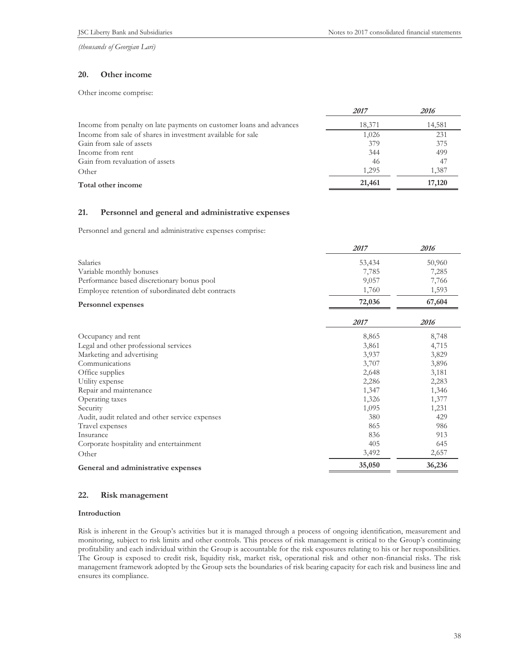### **20. Other income**

Other income comprise:

|                                                                     | 2017   | 2016   |
|---------------------------------------------------------------------|--------|--------|
| Income from penalty on late payments on customer loans and advances | 18,371 | 14,581 |
| Income from sale of shares in investment available for sale         | 1,026  | 231    |
| Gain from sale of assets                                            | 379    | 375    |
| Income from rent                                                    | 344    | 499    |
| Gain from revaluation of assets                                     | 46     | 47     |
| Other                                                               | 1.295  | 1.387  |
| Total other income                                                  | 21,461 | 17,120 |

### **21. Personnel and general and administrative expenses**

Personnel and general and administrative expenses comprise:

|                                                   | 2017   | 2016   |
|---------------------------------------------------|--------|--------|
| Salaries                                          | 53,434 | 50,960 |
| Variable monthly bonuses                          | 7,785  | 7,285  |
| Performance based discretionary bonus pool        | 9,057  | 7,766  |
| Employee retention of subordinated debt contracts | 1,760  | 1,593  |
| Personnel expenses                                | 72,036 | 67,604 |
|                                                   | 2017   | 2016   |
| Occupancy and rent                                | 8,865  | 8,748  |
| Legal and other professional services             | 3,861  | 4,715  |
| Marketing and advertising                         | 3,937  | 3,829  |
| Communications                                    | 3,707  | 3,896  |
| Office supplies                                   | 2,648  | 3,181  |
| Utility expense                                   | 2,286  | 2,283  |
| Repair and maintenance                            | 1,347  | 1,346  |
| Operating taxes                                   | 1,326  | 1,377  |
| Security                                          | 1,095  | 1,231  |
| Audit, audit related and other service expenses   | 380    | 429    |
| Travel expenses                                   | 865    | 986    |
| Insurance                                         | 836    | 913    |
| Corporate hospitality and entertainment           | 405    | 645    |
| Other                                             | 3,492  | 2,657  |
| General and administrative expenses               | 35,050 | 36,236 |

### **22. Risk management**

### **Introduction**

Risk is inherent in the Group's activities but it is managed through a process of ongoing identification, measurement and monitoring, subject to risk limits and other controls. This process of risk management is critical to the Group's continuing profitability and each individual within the Group is accountable for the risk exposures relating to his or her responsibilities. The Group is exposed to credit risk, liquidity risk, market risk, operational risk and other non-financial risks. The risk management framework adopted by the Group sets the boundaries of risk bearing capacity for each risk and business line and ensures its compliance.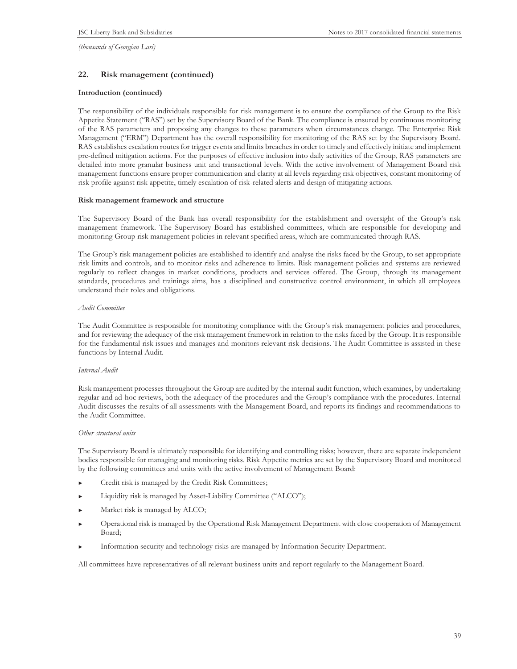### **22. Risk management (continued)**

#### **Introduction (continued)**

The responsibility of the individuals responsible for risk management is to ensure the compliance of the Group to the Risk Appetite Statement ("RAS") set by the Supervisory Board of the Bank. The compliance is ensured by continuous monitoring of the RAS parameters and proposing any changes to these parameters when circumstances change. The Enterprise Risk Management ("ERM") Department has the overall responsibility for monitoring of the RAS set by the Supervisory Board. RAS establishes escalation routes for trigger events and limits breaches in order to timely and effectively initiate and implement pre-defined mitigation actions. For the purposes of effective inclusion into daily activities of the Group, RAS parameters are detailed into more granular business unit and transactional levels. With the active involvement of Management Board risk management functions ensure proper communication and clarity at all levels regarding risk objectives, constant monitoring of risk profile against risk appetite, timely escalation of risk-related alerts and design of mitigating actions.

#### **Risk management framework and structure**

The Supervisory Board of the Bank has overall responsibility for the establishment and oversight of the Group's risk management framework. The Supervisory Board has established committees, which are responsible for developing and monitoring Group risk management policies in relevant specified areas, which are communicated through RAS.

The Group's risk management policies are established to identify and analyse the risks faced by the Group, to set appropriate risk limits and controls, and to monitor risks and adherence to limits. Risk management policies and systems are reviewed regularly to reflect changes in market conditions, products and services offered. The Group, through its management standards, procedures and trainings aims, has a disciplined and constructive control environment, in which all employees understand their roles and obligations.

#### *Audit Committee*

The Audit Committee is responsible for monitoring compliance with the Group's risk management policies and procedures, and for reviewing the adequacy of the risk management framework in relation to the risks faced by the Group. It is responsible for the fundamental risk issues and manages and monitors relevant risk decisions. The Audit Committee is assisted in these functions by Internal Audit.

#### *Internal Audit*

Risk management processes throughout the Group are audited by the internal audit function, which examines, by undertaking regular and ad-hoc reviews, both the adequacy of the procedures and the Group's compliance with the procedures. Internal Audit discusses the results of all assessments with the Management Board, and reports its findings and recommendations to the Audit Committee.

#### *Other structural units*

The Supervisory Board is ultimately responsible for identifying and controlling risks; however, there are separate independent bodies responsible for managing and monitoring risks. Risk Appetite metrics are set by the Supervisory Board and monitored by the following committees and units with the active involvement of Management Board:

- ► Credit risk is managed by the Credit Risk Committees;
- Liquidity risk is managed by Asset-Liability Committee ("ALCO");
- Market risk is managed by ALCO;
- ► Operational risk is managed by the Operational Risk Management Department with close cooperation of Management Board;
- Information security and technology risks are managed by Information Security Department.

All committees have representatives of all relevant business units and report regularly to the Management Board.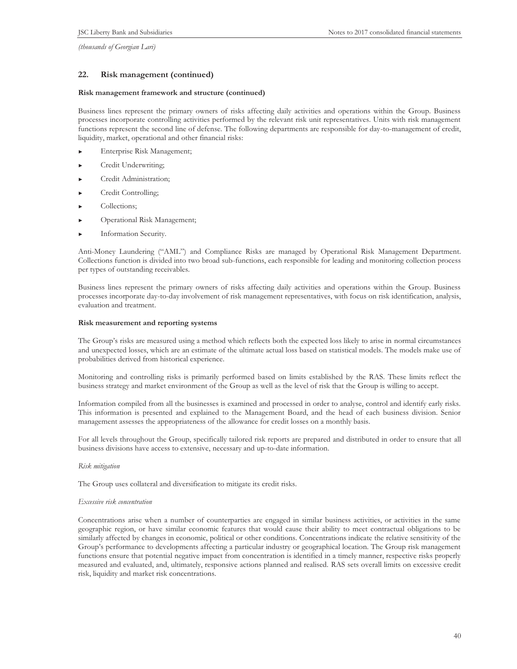### **22. Risk management (continued)**

### **Risk management framework and structure (continued)**

Business lines represent the primary owners of risks affecting daily activities and operations within the Group. Business processes incorporate controlling activities performed by the relevant risk unit representatives. Units with risk management functions represent the second line of defense. The following departments are responsible for day-to-management of credit, liquidity, market, operational and other financial risks:

- ► Enterprise Risk Management;
- ► Credit Underwriting;
- ► Credit Administration;
- ► Credit Controlling;
- Collections;
- ► Operational Risk Management;
- Information Security.

Anti-Money Laundering ("AML") and Compliance Risks are managed by Operational Risk Management Department. Collections function is divided into two broad sub-functions, each responsible for leading and monitoring collection process per types of outstanding receivables.

Business lines represent the primary owners of risks affecting daily activities and operations within the Group. Business processes incorporate day-to-day involvement of risk management representatives, with focus on risk identification, analysis, evaluation and treatment.

#### **Risk measurement and reporting systems**

The Group's risks are measured using a method which reflects both the expected loss likely to arise in normal circumstances and unexpected losses, which are an estimate of the ultimate actual loss based on statistical models. The models make use of probabilities derived from historical experience.

Monitoring and controlling risks is primarily performed based on limits established by the RAS. These limits reflect the business strategy and market environment of the Group as well as the level of risk that the Group is willing to accept.

Information compiled from all the businesses is examined and processed in order to analyse, control and identify early risks. This information is presented and explained to the Management Board, and the head of each business division. Senior management assesses the appropriateness of the allowance for credit losses on a monthly basis.

For all levels throughout the Group, specifically tailored risk reports are prepared and distributed in order to ensure that all business divisions have access to extensive, necessary and up-to-date information.

#### *Risk mitigation*

The Group uses collateral and diversification to mitigate its credit risks.

#### *Excessive risk concentration*

Concentrations arise when a number of counterparties are engaged in similar business activities, or activities in the same geographic region, or have similar economic features that would cause their ability to meet contractual obligations to be similarly affected by changes in economic, political or other conditions. Concentrations indicate the relative sensitivity of the Group's performance to developments affecting a particular industry or geographical location. The Group risk management functions ensure that potential negative impact from concentration is identified in a timely manner, respective risks properly measured and evaluated, and, ultimately, responsive actions planned and realised. RAS sets overall limits on excessive credit risk, liquidity and market risk concentrations.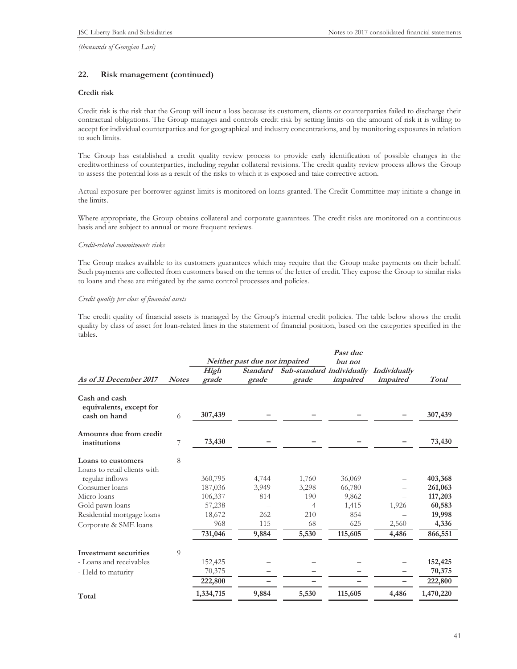### **22. Risk management (continued)**

### **Credit risk**

Credit risk is the risk that the Group will incur a loss because its customers, clients or counterparties failed to discharge their contractual obligations. The Group manages and controls credit risk by setting limits on the amount of risk it is willing to accept for individual counterparties and for geographical and industry concentrations, and by monitoring exposures in relation to such limits.

The Group has established a credit quality review process to provide early identification of possible changes in the creditworthiness of counterparties, including regular collateral revisions. The credit quality review process allows the Group to assess the potential loss as a result of the risks to which it is exposed and take corrective action.

Actual exposure per borrower against limits is monitored on loans granted. The Credit Committee may initiate a change in the limits.

Where appropriate, the Group obtains collateral and corporate guarantees. The credit risks are monitored on a continuous basis and are subject to annual or more frequent reviews.

#### *Credit-related commitments risks*

The Group makes available to its customers guarantees which may require that the Group make payments on their behalf. Such payments are collected from customers based on the terms of the letter of credit. They expose the Group to similar risks to loans and these are mitigated by the same control processes and policies.

### *Credit quality per class of financial assets*

The credit quality of financial assets is managed by the Group's internal credit policies. The table below shows the credit quality by class of asset for loan-related lines in the statement of financial position, based on the categories specified in the tables.

|                                                          |              |           |                               |       | Past due                               |          |           |
|----------------------------------------------------------|--------------|-----------|-------------------------------|-------|----------------------------------------|----------|-----------|
|                                                          |              |           | Neither past due nor impaired |       | but not                                |          |           |
|                                                          |              | High      | Standard                      |       | Sub-standard individually Individually |          |           |
| As of 31 December 2017                                   | <b>Notes</b> | grade     | grade                         | grade | impaired                               | impaired | Total     |
| Cash and cash<br>equivalents, except for<br>cash on hand | 6            | 307,439   |                               |       |                                        |          | 307,439   |
|                                                          |              |           |                               |       |                                        |          |           |
| Amounts due from credit                                  |              |           |                               |       |                                        |          |           |
| institutions                                             | 7            | 73,430    |                               |       |                                        |          | 73,430    |
| Loans to customers                                       | 8            |           |                               |       |                                        |          |           |
| Loans to retail clients with                             |              |           |                               |       |                                        |          |           |
| regular inflows                                          |              | 360,795   | 4,744                         | 1,760 | 36,069                                 |          | 403,368   |
| Consumer loans                                           |              | 187,036   | 3,949                         | 3,298 | 66,780                                 |          | 261,063   |
| Micro loans                                              |              | 106,337   | 814                           | 190   | 9,862                                  |          | 117,203   |
| Gold pawn loans                                          |              | 57,238    |                               | 4     | 1,415                                  | 1,926    | 60,583    |
| Residential mortgage loans                               |              | 18,672    | 262                           | 210   | 854                                    |          | 19,998    |
| Corporate & SME loans                                    |              | 968       | 115                           | 68    | 625                                    | 2,560    | 4,336     |
|                                                          |              | 731,046   | 9,884                         | 5,530 | 115,605                                | 4,486    | 866,551   |
| <b>Investment securities</b>                             | 9            |           |                               |       |                                        |          |           |
| - Loans and receivables                                  |              | 152,425   |                               |       |                                        |          | 152,425   |
| - Held to maturity                                       |              | 70,375    |                               |       |                                        |          | 70,375    |
|                                                          |              | 222,800   |                               |       |                                        |          | 222,800   |
| Total                                                    |              | 1,334,715 | 9,884                         | 5,530 | 115,605                                | 4,486    | 1,470,220 |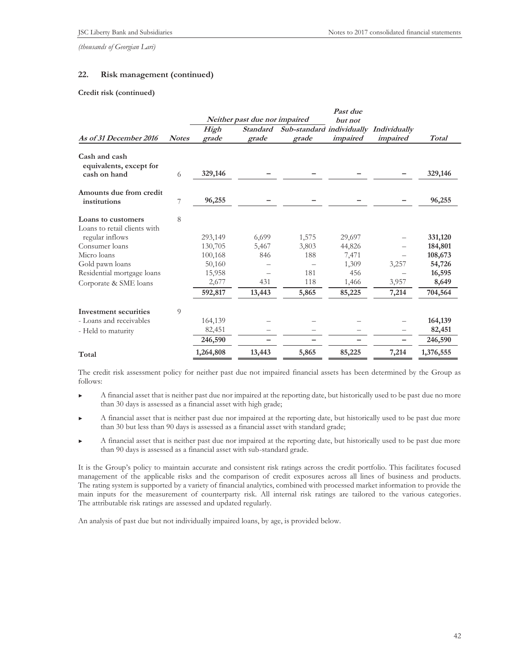### **22. Risk management (continued)**

### **Credit risk (continued)**

|                                          |              |               |                               |       | Past due                                           |          |           |
|------------------------------------------|--------------|---------------|-------------------------------|-------|----------------------------------------------------|----------|-----------|
|                                          |              |               | Neither past due nor impaired |       | but not                                            |          |           |
| As of 31 December 2016                   | <b>Notes</b> | High<br>grade | <b>Standard</b><br>grade      | grade | Sub-standard individually Individually<br>impaired | impaired | Total     |
|                                          |              |               |                               |       |                                                    |          |           |
| Cash and cash<br>equivalents, except for |              |               |                               |       |                                                    |          |           |
| cash on hand                             | 6            | 329,146       |                               |       |                                                    |          | 329,146   |
| Amounts due from credit                  |              |               |                               |       |                                                    |          |           |
| institutions                             | 7            | 96,255        |                               |       |                                                    |          | 96,255    |
| Loans to customers                       | 8            |               |                               |       |                                                    |          |           |
| Loans to retail clients with             |              |               |                               |       |                                                    |          |           |
| regular inflows                          |              | 293,149       | 6,699                         | 1,575 | 29,697                                             |          | 331,120   |
| Consumer loans                           |              | 130,705       | 5,467                         | 3,803 | 44,826                                             |          | 184,801   |
| Micro loans                              |              | 100,168       | 846                           | 188   | 7,471                                              |          | 108,673   |
| Gold pawn loans                          |              | 50,160        |                               |       | 1,309                                              | 3,257    | 54,726    |
| Residential mortgage loans               |              | 15,958        |                               | 181   | 456                                                |          | 16,595    |
| Corporate & SME loans                    |              | 2,677         | 431                           | 118   | 1,466                                              | 3,957    | 8,649     |
|                                          |              | 592,817       | 13,443                        | 5,865 | 85,225                                             | 7,214    | 704,564   |
| <b>Investment securities</b>             | 9            |               |                               |       |                                                    |          |           |
| - Loans and receivables                  |              | 164,139       |                               |       |                                                    |          | 164,139   |
| - Held to maturity                       |              | 82,451        |                               |       |                                                    |          | 82,451    |
|                                          |              | 246,590       |                               |       |                                                    |          | 246,590   |
| Total                                    |              | 1,264,808     | 13,443                        | 5,865 | 85,225                                             | 7,214    | 1,376,555 |

The credit risk assessment policy for neither past due not impaired financial assets has been determined by the Group as follows:

- ► A financial asset that is neither past due nor impaired at the reporting date, but historically used to be past due no more than 30 days is assessed as a financial asset with high grade;
- A financial asset that is neither past due nor impaired at the reporting date, but historically used to be past due more than 30 but less than 90 days is assessed as a financial asset with standard grade;
- ► A financial asset that is neither past due nor impaired at the reporting date, but historically used to be past due more than 90 days is assessed as a financial asset with sub-standard grade.

It is the Group's policy to maintain accurate and consistent risk ratings across the credit portfolio. This facilitates focused management of the applicable risks and the comparison of credit exposures across all lines of business and products. The rating system is supported by a variety of financial analytics, combined with processed market information to provide the main inputs for the measurement of counterparty risk. All internal risk ratings are tailored to the various categories. The attributable risk ratings are assessed and updated regularly.

An analysis of past due but not individually impaired loans, by age, is provided below.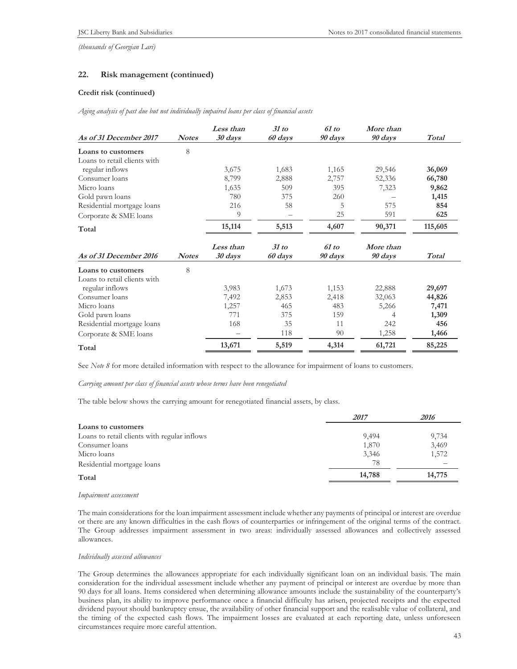### **22. Risk management (continued)**

### **Credit risk (continued)**

*Aging analysis of past due but not individually impaired loans per class of financial assets* 

| As of 31 December 2017       | <b>Notes</b> | Less than<br>30 days | 31 to<br>60 days | 61 to<br>90 days | More than<br>90 days | Total        |
|------------------------------|--------------|----------------------|------------------|------------------|----------------------|--------------|
| Loans to customers           | 8            |                      |                  |                  |                      |              |
| Loans to retail clients with |              |                      |                  |                  |                      |              |
| regular inflows              |              | 3,675                | 1,683            | 1,165            | 29,546               | 36,069       |
| Consumer loans               |              | 8,799                | 2,888            | 2,757            | 52,336               | 66,780       |
| Micro loans                  |              | 1,635                | 509              | 395              | 7,323                | 9,862        |
| Gold pawn loans              |              | 780                  | 375              | 260              |                      | 1,415        |
| Residential mortgage loans   |              | 216                  | 58               | 5                | 575                  | 854          |
| Corporate & SME loans        |              | 9                    |                  | 25               | 591                  | 625          |
| Total                        |              | 15,114               | 5,513            | 4,607            | 90,371               | 115,605      |
|                              |              | Less than            | 31 to            | 61 to            | More than            |              |
| As of 31 December 2016       | <b>Notes</b> | 30 days              | 60 days          | 90 days          | 90 days              | <b>Total</b> |
| Loans to customers           | 8            |                      |                  |                  |                      |              |
| Loans to retail clients with |              |                      |                  |                  |                      |              |
| regular inflows              |              | 3,983                | 1,673            | 1,153            | 22,888               | 29,697       |
| Consumer loans               |              | 7,492                | 2,853            | 2,418            | 32,063               | 44,826       |
| Micro loans                  |              | 1,257                | 465              | 483              | 5,266                | 7,471        |
| Gold pawn loans              |              | 771                  | 375              | 159              | 4                    | 1,309        |
| Residential mortgage loans   |              | 168                  | 35               | 11               | 242                  | 456          |
| Corporate & SME loans        |              |                      | 118              | 90               | 1,258                | 1,466        |
| Total                        |              | 13,671               | 5,519            | 4,314            | 61,721               | 85,225       |

See *Note 8* for more detailed information with respect to the allowance for impairment of loans to customers.

#### *Carrying amount per class of financial assets whose terms have been renegotiated*

The table below shows the carrying amount for renegotiated financial assets, by class.

|                                              | 2017   | 2016   |
|----------------------------------------------|--------|--------|
| Loans to customers                           |        |        |
| Loans to retail clients with regular inflows | 9,494  | 9,734  |
| Consumer loans                               | 1,870  | 3,469  |
| Micro loans                                  | 3,346  | 1,572  |
| Residential mortgage loans                   | 78     |        |
| Total                                        | 14,788 | 14,775 |

#### *Impairment assessment*

The main considerations for the loan impairment assessment include whether any payments of principal or interest are overdue or there are any known difficulties in the cash flows of counterparties or infringement of the original terms of the contract. The Group addresses impairment assessment in two areas: individually assessed allowances and collectively assessed allowances.

#### *Individually assessed allowances*

The Group determines the allowances appropriate for each individually significant loan on an individual basis. The main consideration for the individual assessment include whether any payment of principal or interest are overdue by more than 90 days for all loans. Items considered when determining allowance amounts include the sustainability of the counterparty's business plan, its ability to improve performance once a financial difficulty has arisen, projected receipts and the expected dividend payout should bankruptcy ensue, the availability of other financial support and the realisable value of collateral, and the timing of the expected cash flows. The impairment losses are evaluated at each reporting date, unless unforeseen circumstances require more careful attention.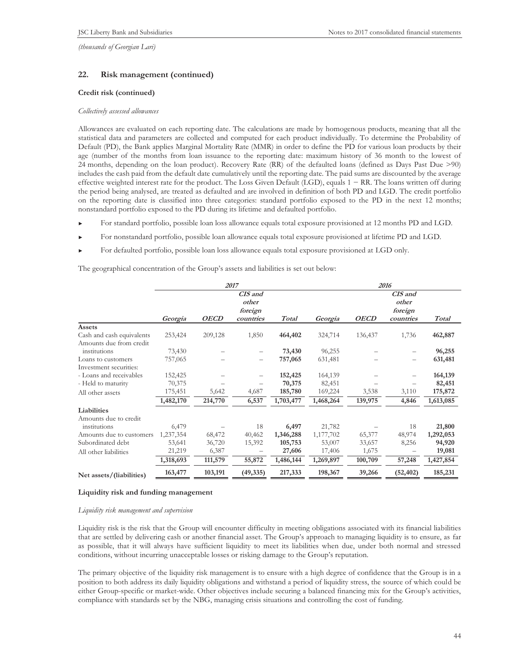### **22. Risk management (continued)**

#### **Credit risk (continued)**

#### *Collectively assessed allowances*

Allowances are evaluated on each reporting date. The calculations are made by homogenous products, meaning that all the statistical data and parameters are collected and computed for each product individually. To determine the Probability of Default (PD), the Bank applies Marginal Mortality Rate (MMR) in order to define the PD for various loan products by their age (number of the months from loan issuance to the reporting date: maximum history of 36 month to the lowest of 24 months, depending on the loan product). Recovery Rate (RR) of the defaulted loans (defined as Days Past Due >90) includes the cash paid from the default date cumulatively until the reporting date. The paid sums are discounted by the average effective weighted interest rate for the product. The Loss Given Default (LGD), equals 1 − RR. The loans written off during the period being analysed, are treated as defaulted and are involved in definition of both PD and LGD. The credit portfolio on the reporting date is classified into three categories: standard portfolio exposed to the PD in the next 12 months; nonstandard portfolio exposed to the PD during its lifetime and defaulted portfolio.

- For standard portfolio, possible loan loss allowance equals total exposure provisioned at 12 months PD and LGD.
- ► For nonstandard portfolio, possible loan allowance equals total exposure provisioned at lifetime PD and LGD.
- For defaulted portfolio, possible loan loss allowance equals total exposure provisioned at LGD only.

The geographical concentration of the Group's assets and liabilities is set out below:

|                                                      |           |             | 2017                                     |           | 2016      |             |                                          |              |
|------------------------------------------------------|-----------|-------------|------------------------------------------|-----------|-----------|-------------|------------------------------------------|--------------|
|                                                      | Georgia   | <b>OECD</b> | CIS and<br>other<br>foreign<br>countries | Total     | Georgia   | <b>OECD</b> | CIS and<br>other<br>foreign<br>countries | <b>Total</b> |
| Assets                                               |           |             |                                          |           |           |             |                                          |              |
| Cash and cash equivalents<br>Amounts due from credit | 253,424   | 209,128     | 1,850                                    | 464,402   | 324,714   | 136,437     | 1,736                                    | 462,887      |
| institutions                                         | 73,430    |             |                                          | 73,430    | 96,255    |             |                                          | 96,255       |
| Loans to customers                                   | 757,065   |             | -                                        | 757,065   | 631,481   |             |                                          | 631,481      |
| Investment securities:                               |           |             |                                          |           |           |             |                                          |              |
| - Loans and receivables                              | 152,425   |             |                                          | 152,425   | 164,139   |             |                                          | 164,139      |
| - Held to maturity                                   | 70,375    |             |                                          | 70,375    | 82,451    |             |                                          | 82,451       |
| All other assets                                     | 175,451   | 5,642       | 4,687                                    | 185,780   | 169,224   | 3,538       | 3,110                                    | 175,872      |
|                                                      | 1,482,170 | 214,770     | 6,537                                    | 1,703,477 | 1,468,264 | 139,975     | 4,846                                    | 1,613,085    |
| Liabilities                                          |           |             |                                          |           |           |             |                                          |              |
| Amounts due to credit                                |           |             |                                          |           |           |             |                                          |              |
| institutions                                         | 6,479     |             | 18                                       | 6,497     | 21,782    |             | 18                                       | 21,800       |
| Amounts due to customers                             | 1,237,354 | 68,472      | 40,462                                   | 1,346,288 | 1,177,702 | 65,377      | 48,974                                   | 1,292,053    |
| Subordinated debt                                    | 53,641    | 36,720      | 15,392                                   | 105,753   | 53,007    | 33,657      | 8,256                                    | 94,920       |
| All other liabilities                                | 21,219    | 6,387       |                                          | 27,606    | 17,406    | 1,675       |                                          | 19,081       |
|                                                      | 1,318,693 | 111,579     | 55,872                                   | 1,486,144 | 1,269,897 | 100,709     | 57,248                                   | 1,427,854    |
| Net assets/(liabilities)                             | 163,477   | 103,191     | (49, 335)                                | 217,333   | 198,367   | 39,266      | (52, 402)                                | 185,231      |

#### **Liquidity risk and funding management**

#### *Liquidity risk management and supervision*

Liquidity risk is the risk that the Group will encounter difficulty in meeting obligations associated with its financial liabilities that are settled by delivering cash or another financial asset. The Group's approach to managing liquidity is to ensure, as far as possible, that it will always have sufficient liquidity to meet its liabilities when due, under both normal and stressed conditions, without incurring unacceptable losses or risking damage to the Group's reputation.

The primary objective of the liquidity risk management is to ensure with a high degree of confidence that the Group is in a position to both address its daily liquidity obligations and withstand a period of liquidity stress, the source of which could be either Group-specific or market-wide. Other objectives include securing a balanced financing mix for the Group's activities, compliance with standards set by the NBG, managing crisis situations and controlling the cost of funding.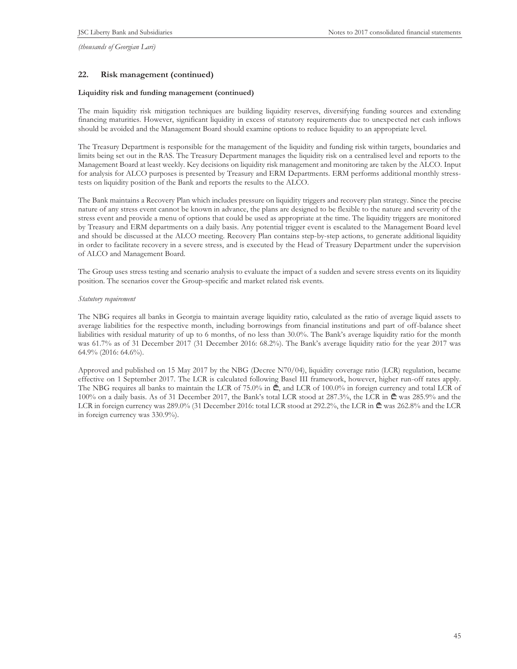### **22. Risk management (continued)**

#### **Liquidity risk and funding management (continued)**

The main liquidity risk mitigation techniques are building liquidity reserves, diversifying funding sources and extending financing maturities. However, significant liquidity in excess of statutory requirements due to unexpected net cash inflows should be avoided and the Management Board should examine options to reduce liquidity to an appropriate level.

The Treasury Department is responsible for the management of the liquidity and funding risk within targets, boundaries and limits being set out in the RAS. The Treasury Department manages the liquidity risk on a centralised level and reports to the Management Board at least weekly. Key decisions on liquidity risk management and monitoring are taken by the ALCO. Input for analysis for ALCO purposes is presented by Treasury and ERM Departments. ERM performs additional monthly stresstests on liquidity position of the Bank and reports the results to the ALCO.

The Bank maintains a Recovery Plan which includes pressure on liquidity triggers and recovery plan strategy. Since the precise nature of any stress event cannot be known in advance, the plans are designed to be flexible to the nature and severity of the stress event and provide a menu of options that could be used as appropriate at the time. The liquidity triggers are monitored by Treasury and ERM departments on a daily basis. Any potential trigger event is escalated to the Management Board level and should be discussed at the ALCO meeting. Recovery Plan contains step-by-step actions, to generate additional liquidity in order to facilitate recovery in a severe stress, and is executed by the Head of Treasury Department under the supervision of ALCO and Management Board.

The Group uses stress testing and scenario analysis to evaluate the impact of a sudden and severe stress events on its liquidity position. The scenarios cover the Group-specific and market related risk events.

#### *Statutory requirement*

The NBG requires all banks in Georgia to maintain average liquidity ratio, calculated as the ratio of average liquid assets to average liabilities for the respective month, including borrowings from financial institutions and part of off-balance sheet liabilities with residual maturity of up to 6 months, of no less than 30.0%. The Bank's average liquidity ratio for the month was 61.7% as of 31 December 2017 (31 December 2016: 68.2%). The Bank's average liquidity ratio for the year 2017 was 64.9% (2016: 64.6%).

Approved and published on 15 May 2017 by the NBG (Decree N70/04), liquidity coverage ratio (LCR) regulation, became effective on 1 September 2017. The LCR is calculated following Basel III framework, however, higher run-off rates apply. The NBG requires all banks to maintain the LCR of 75.0% in ₾, and LCR of 100.0% in foreign currency and total LCR of 100% on a daily basis. As of 31 December 2017, the Bank's total LCR stood at 287.3%, the LCR in ₾ was 285.9% and the LCR in foreign currency was 289.0% (31 December 2016: total LCR stood at 292.2%, the LCR in ₾ was 262.8% and the LCR in foreign currency was 330.9%).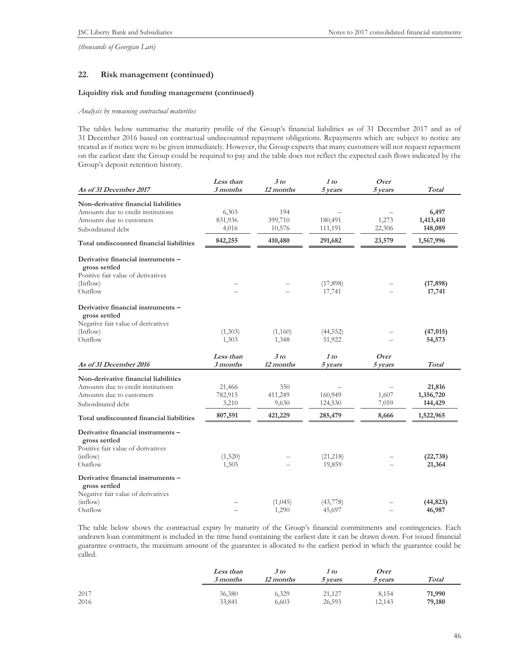### **22. Risk management (continued)**

### **Liquidity risk and funding management (continued)**

#### *Analysis by remaining contractual maturities*

The tables below summarise the maturity profile of the Group's financial liabilities as of 31 December 2017 and as of 31 December 2016 based on contractual undiscounted repayment obligations. Repayments which are subject to notice are treated as if notice were to be given immediately. However, the Group expects that many customers will not request repayment on the earliest date the Group could be required to pay and the table does not reflect the expected cash flows indicated by the Group's deposit retention history.

| As of 31 December 2017                                                                                           | Less than<br>3 months | 3 to<br>12 months | 1 to<br>5 years     | Over<br>5 years | Total               |
|------------------------------------------------------------------------------------------------------------------|-----------------------|-------------------|---------------------|-----------------|---------------------|
| Non-derivative financial liabilities                                                                             |                       |                   |                     |                 |                     |
| Amounts due to credit institutions                                                                               | 6,303                 | 194               |                     |                 | 6,497               |
| Amounts due to customers                                                                                         | 831,936               | 399,710           | 180,491             | 1,273           | 1,413,410           |
| Subordinated debt                                                                                                | 4,016                 | 10,576            | 111,191             | 22,306          | 148,089             |
| Total undiscounted financial liabilities                                                                         | 842,255               | 410,480           | 291,682             | 23,579          | 1,567,996           |
| Derivative financial instruments -<br>gross settled                                                              |                       |                   |                     |                 |                     |
| Positive fair value of derivatives                                                                               |                       |                   |                     |                 |                     |
| (Inflow)                                                                                                         |                       |                   | (17,898)            |                 | (17, 898)           |
| Outflow                                                                                                          |                       |                   | 17,741              |                 | 17,741              |
| Derivative financial instruments -<br>gross settled                                                              |                       |                   |                     |                 |                     |
| Negative fair value of derivatives<br>(Inflow)                                                                   | (1,303)               | (1,160)           | (44, 552)           |                 | (47, 015)           |
| Outflow                                                                                                          | 1,303                 | 1,348             | 51,922              |                 | 54,573              |
|                                                                                                                  |                       |                   |                     |                 |                     |
|                                                                                                                  | Less than             | 3 to              | 1 to                | Over            |                     |
| As of 31 December 2016                                                                                           | 3 months              | 12 months         | 5 years             | 5 years         | Total               |
| Non-derivative financial liabilities                                                                             |                       |                   |                     |                 |                     |
| Amounts due to credit institutions                                                                               | 21,466                | 350               |                     |                 | 21,816              |
| Amounts due to customers                                                                                         | 782,915               | 411,249           | 160,949             | 1,607           | 1,356,720           |
| Subordinated debt                                                                                                | 3,210                 | 9,630             | 124,530             | 7,059           | 144,429             |
| Total undiscounted financial liabilities                                                                         | 807,591               | 421,229           | 285,479             | 8,666           | 1,522,965           |
| Derivative financial instruments -<br>gross settled<br>Positive fair value of derivatives<br>(inflow)<br>Outflow | (1,520)<br>1,505      |                   | (21, 218)<br>19,859 |                 | (22, 738)<br>21,364 |
|                                                                                                                  |                       |                   |                     |                 |                     |
| Derivative financial instruments -<br>gross settled                                                              |                       |                   |                     |                 |                     |
| Negative fair value of derivatives<br>(inflow)                                                                   |                       | (1,045)           | (43,778)            |                 | (44, 823)           |

The table below shows the contractual expiry by maturity of the Group's financial commitments and contingencies. Each undrawn loan commitment is included in the time band containing the earliest date it can be drawn down. For issued financial guarantee contracts, the maximum amount of the guarantee is allocated to the earliest period in which the guarantee could be called.

|      | Less than<br>3 months | 3 to<br>12 months | 1 to<br><i>5 vears</i> | Over<br><i>5 vears</i> | Total  |
|------|-----------------------|-------------------|------------------------|------------------------|--------|
| 2017 | 36,380                | 6,329             | 21,127                 | 8.154                  | 71,990 |
| 2016 | 33,841                | 6,603             | 26,593                 | 12.143                 | 79,180 |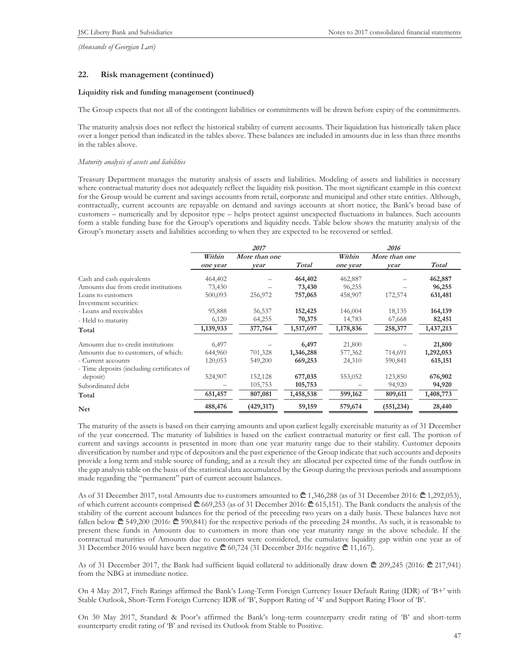### **22. Risk management (continued)**

#### **Liquidity risk and funding management (continued)**

The Group expects that not all of the contingent liabilities or commitments will be drawn before expiry of the commitments.

The maturity analysis does not reflect the historical stability of current accounts. Their liquidation has historically taken place over a longer period than indicated in the tables above. These balances are included in amounts due in less than three months in the tables above.

#### *Maturity analysis of assets and liabilities*

Treasury Department manages the maturity analysis of assets and liabilities. Modeling of assets and liabilities is necessary where contractual maturity does not adequately reflect the liquidity risk position. The most significant example in this context for the Group would be current and savings accounts from retail, corporate and municipal and other state entities. Although, contractually, current accounts are repayable on demand and savings accounts at short notice, the Bank's broad base of customers – numerically and by depositor type – helps protect against unexpected fluctuations in balances. Such accounts form a stable funding base for the Group's operations and liquidity needs. Table below shows the maturity analysis of the Group's monetary assets and liabilities according to when they are expected to be recovered or settled.

|                                            | 2017      |               |           | 2016      |               |              |  |
|--------------------------------------------|-----------|---------------|-----------|-----------|---------------|--------------|--|
|                                            | Within    | More than one |           | Within    | More than one |              |  |
|                                            | one year  | vear          | Total     | one year  | vear          | <b>Total</b> |  |
| Cash and cash equivalents                  | 464,402   |               | 464,402   | 462,887   |               | 462,887      |  |
| Amounts due from credit institutions       | 73,430    |               | 73,430    | 96,255    |               | 96,255       |  |
| Loans to customers                         | 500,093   | 256,972       | 757,065   | 458,907   | 172,574       | 631,481      |  |
| Investment securities:                     |           |               |           |           |               |              |  |
| - Loans and receivables                    | 95,888    | 56,537        | 152,425   | 146,004   | 18,135        | 164,139      |  |
| - Held to maturity                         | 6,120     | 64,255        | 70,375    | 14,783    | 67,668        | 82,451       |  |
| Total                                      | 1,139,933 | 377,764       | 1,517,697 | 1,178,836 | 258,377       | 1,437,213    |  |
| Amounts due to credit institutions         | 6,497     |               | 6,497     | 21,800    |               | 21,800       |  |
| Amounts due to customers, of which:        | 644,960   | 701,328       | 1,346,288 | 577,362   | 714,691       | 1,292,053    |  |
| - Current accounts                         | 120,053   | 549,200       | 669,253   | 24,310    | 590,841       | 615,151      |  |
| - Time deposits (including certificates of |           |               |           |           |               |              |  |
| deposit)                                   | 524,907   | 152,128       | 677,035   | 553,052   | 123,850       | 676,902      |  |
| Subordinated debt                          |           | 105,753       | 105,753   |           | 94,920        | 94,920       |  |
| Total                                      | 651,457   | 807,081       | 1,458,538 | 599,162   | 809,611       | 1,408,773    |  |
| <b>Net</b>                                 | 488,476   | (429, 317)    | 59,159    | 579,674   | (551, 234)    | 28,440       |  |

The maturity of the assets is based on their carrying amounts and upon earliest legally exercisable maturity as of 31 December of the year concerned. The maturity of liabilities is based on the earliest contractual maturity or first call. The portion of current and savings accounts is presented in more than one year maturity range due to their stability. Customer deposits diversification by number and type of depositors and the past experience of the Group indicate that such accounts and deposits provide a long term and stable source of funding, and as a result they are allocated per expected time of the funds outflow in the gap analysis table on the basis of the statistical data accumulated by the Group during the previous periods and assumptions made regarding the "permanent" part of current account balances.

As of 31 December 2017, total Amounts due to customers amounted to ₾ 1,346,288 (as of 31 December 2016: ₾ 1,292,053), of which current accounts comprised ₾ 669,253 (as of 31 December 2016: ₾ 615,151). The Bank conducts the analysis of the stability of the current account balances for the period of the preceding two years on a daily basis. These balances have not fallen below  $\mathbf{\hat{C}}$  549,200 (2016:  $\mathbf{\hat{C}}$  590,841) for the respective periods of the preceding 24 months. As such, it is reasonable to present these funds in Amounts due to customers in more than one year maturity range in the above schedule. If the contractual maturities of Amounts due to customers were considered, the cumulative liquidity gap within one year as of 31 December 2016 would have been negative ₾ 60,724 (31 December 2016: negative ₾ 11,167).

As of 31 December 2017, the Bank had sufficient liquid collateral to additionally draw down ₾ 209,245 (2016: ₾ 217,941) from the NBG at immediate notice.

On 4 May 2017, Fitch Ratings affirmed the Bank's Long-Term Foreign Currency Issuer Default Rating (IDR) of 'B+' with Stable Outlook, Short-Term Foreign Currency IDR of 'B', Support Rating of '4' and Support Rating Floor of 'B'.

On 30 May 2017, Standard & Poor's affirmed the Bank's long-term counterparty credit rating of 'B' and short-term counterparty credit rating of 'B' and revised its Outlook from Stable to Positive.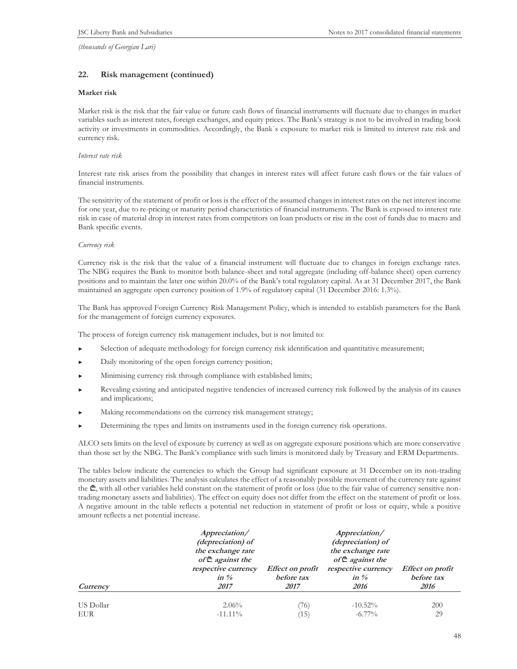### **22. Risk management (continued)**

#### **Market risk**

Market risk is the risk that the fair value or future cash flows of financial instruments will fluctuate due to changes in market variables such as interest rates, foreign exchanges, and equity prices. The Bank's strategy is not to be involved in trading book activity or investments in commodities. Accordingly, the Bank`s exposure to market risk is limited to interest rate risk and currency risk.

#### *Interest rate risk*

Interest rate risk arises from the possibility that changes in interest rates will affect future cash flows or the fair values of financial instruments.

The sensitivity of the statement of profit or loss is the effect of the assumed changes in interest rates on the net interest income for one year, due to re-pricing or maturity period characteristics of financial instruments. The Bank is exposed to interest rate risk in case of material drop in interest rates from competitors on loan products or rise in the cost of funds due to macro and Bank specific events.

#### *Currency risk*

Currency risk is the risk that the value of a financial instrument will fluctuate due to changes in foreign exchange rates. The NBG requires the Bank to monitor both balance-sheet and total aggregate (including off-balance sheet) open currency positions and to maintain the later one within 20.0% of the Bank's total regulatory capital. As at 31 December 2017, the Bank maintained an aggregate open currency position of 1.9% of regulatory capital (31 December 2016: 1.3%).

The Bank has approved Foreign Currency Risk Management Policy, which is intended to establish parameters for the Bank for the management of foreign currency exposures.

The process of foreign currency risk management includes, but is not limited to:

- Selection of adequate methodology for foreign currency risk identification and quantitative measurement;
- Daily monitoring of the open foreign currency position;
- Minimising currency risk through compliance with established limits;
- Revealing existing and anticipated negative tendencies of increased currency risk followed by the analysis of its causes and implications;
- Making recommendations on the currency risk management strategy;
- Determining the types and limits on instruments used in the foreign currency risk operations.

ALCO sets limits on the level of exposure by currency as well as on aggregate exposure positions which are more conservative than those set by the NBG. The Bank's compliance with such limits is monitored daily by Treasury and ERM Departments.

The tables below indicate the currencies to which the Group had significant exposure at 31 December on its non-trading monetary assets and liabilities. The analysis calculates the effect of a reasonably possible movement of the currency rate against the ₾, with all other variables held constant on the statement of profit or loss (due to the fair value of currency sensitive nontrading monetary assets and liabilities). The effect on equity does not differ from the effect on the statement of profit or loss. A negative amount in the table reflects a potential net reduction in statement of profit or loss or equity, while a positive amount reflects a net potential increase.

| Currency                | Appreciation/<br>(depreciation) of<br>the exchange rate<br>of $\triangle$ against the<br>respective currency<br>in $\%$<br>2017 | Effect on profit<br>before tax<br>2017 | Appreciation/<br>(depreciation) of<br>the exchange rate<br>of $\triangle$ against the<br>respective currency<br>in $\%$<br>2016 | Effect on profit<br>before tax<br>2016 |
|-------------------------|---------------------------------------------------------------------------------------------------------------------------------|----------------------------------------|---------------------------------------------------------------------------------------------------------------------------------|----------------------------------------|
|                         |                                                                                                                                 |                                        |                                                                                                                                 |                                        |
| US Dollar<br><b>EUR</b> | $2.06\%$<br>$-11.11\%$                                                                                                          | (76)<br>(15)                           | $-10.52%$<br>$-6.77\%$                                                                                                          | 200<br>29                              |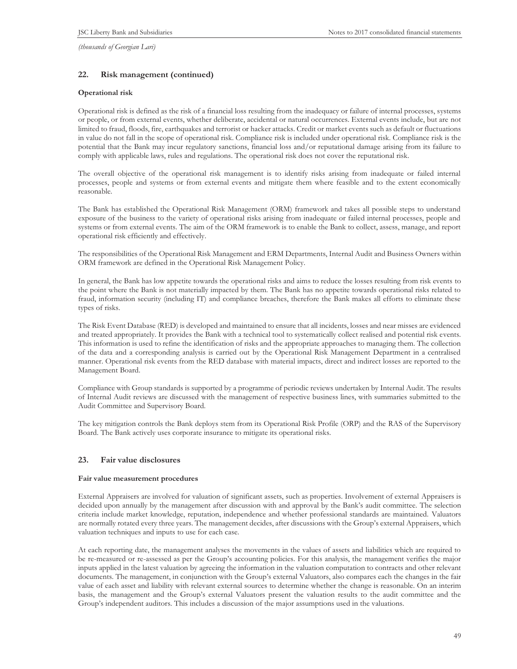### **22. Risk management (continued)**

### **Operational risk**

Operational risk is defined as the risk of a financial loss resulting from the inadequacy or failure of internal processes, systems or people, or from external events, whether deliberate, accidental or natural occurrences. External events include, but are not limited to fraud, floods, fire, earthquakes and terrorist or hacker attacks. Credit or market events such as default or fluctuations in value do not fall in the scope of operational risk. Compliance risk is included under operational risk. Compliance risk is the potential that the Bank may incur regulatory sanctions, financial loss and/or reputational damage arising from its failure to comply with applicable laws, rules and regulations. The operational risk does not cover the reputational risk.

The overall objective of the operational risk management is to identify risks arising from inadequate or failed internal processes, people and systems or from external events and mitigate them where feasible and to the extent economically reasonable.

The Bank has established the Operational Risk Management (ORM) framework and takes all possible steps to understand exposure of the business to the variety of operational risks arising from inadequate or failed internal processes, people and systems or from external events. The aim of the ORM framework is to enable the Bank to collect, assess, manage, and report operational risk efficiently and effectively.

The responsibilities of the Operational Risk Management and ERM Departments, Internal Audit and Business Owners within ORM framework are defined in the Operational Risk Management Policy.

In general, the Bank has low appetite towards the operational risks and aims to reduce the losses resulting from risk events to the point where the Bank is not materially impacted by them. The Bank has no appetite towards operational risks related to fraud, information security (including IT) and compliance breaches, therefore the Bank makes all efforts to eliminate these types of risks.

The Risk Event Database (RED) is developed and maintained to ensure that all incidents, losses and near misses are evidenced and treated appropriately. It provides the Bank with a technical tool to systematically collect realised and potential risk events. This information is used to refine the identification of risks and the appropriate approaches to managing them. The collection of the data and a corresponding analysis is carried out by the Operational Risk Management Department in a centralised manner. Operational risk events from the RED database with material impacts, direct and indirect losses are reported to the Management Board.

Compliance with Group standards is supported by a programme of periodic reviews undertaken by Internal Audit. The results of Internal Audit reviews are discussed with the management of respective business lines, with summaries submitted to the Audit Committee and Supervisory Board.

The key mitigation controls the Bank deploys stem from its Operational Risk Profile (ORP) and the RAS of the Supervisory Board. The Bank actively uses corporate insurance to mitigate its operational risks.

### **23. Fair value disclosures**

### **Fair value measurement procedures**

External Appraisers are involved for valuation of significant assets, such as properties. Involvement of external Appraisers is decided upon annually by the management after discussion with and approval by the Bank's audit committee. The selection criteria include market knowledge, reputation, independence and whether professional standards are maintained. Valuators are normally rotated every three years. The management decides, after discussions with the Group's external Appraisers, which valuation techniques and inputs to use for each case.

At each reporting date, the management analyses the movements in the values of assets and liabilities which are required to be re-measured or re-assessed as per the Group's accounting policies. For this analysis, the management verifies the major inputs applied in the latest valuation by agreeing the information in the valuation computation to contracts and other relevant documents. The management, in conjunction with the Group's external Valuators, also compares each the changes in the fair value of each asset and liability with relevant external sources to determine whether the change is reasonable. On an interim basis, the management and the Group's external Valuators present the valuation results to the audit committee and the Group's independent auditors. This includes a discussion of the major assumptions used in the valuations.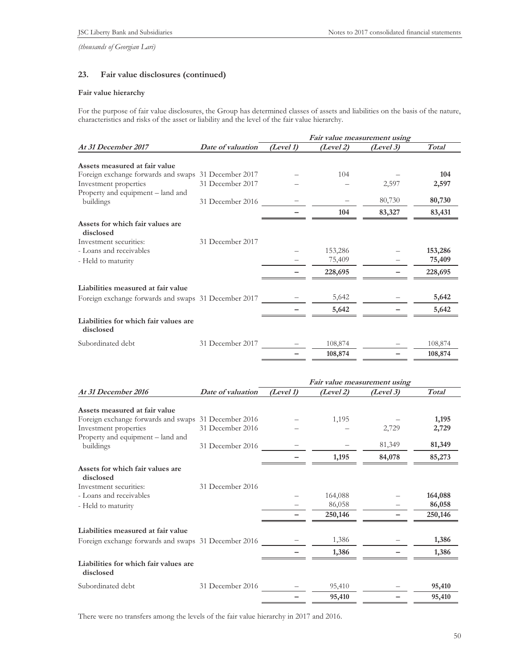### **23. Fair value disclosures (continued)**

### **Fair value hierarchy**

For the purpose of fair value disclosures, the Group has determined classes of assets and liabilities on the basis of the nature, characteristics and risks of the asset or liability and the level of the fair value hierarchy.

|                                                      |                   | Fair value measurement using |           |                              |              |  |
|------------------------------------------------------|-------------------|------------------------------|-----------|------------------------------|--------------|--|
| <i>At 31 December 2017</i>                           | Date of valuation | (Level 1)                    | (Level 2) | (Level 3)                    | Total        |  |
|                                                      |                   |                              |           |                              |              |  |
| Assets measured at fair value                        |                   |                              |           |                              |              |  |
| Foreign exchange forwards and swaps 31 December 2017 |                   |                              | 104       |                              | 104          |  |
| Investment properties                                | 31 December 2017  |                              |           | 2,597                        | 2,597        |  |
| Property and equipment - land and<br>buildings       | 31 December 2016  |                              |           | 80,730                       | 80,730       |  |
|                                                      |                   |                              | 104       | 83,327                       | 83,431       |  |
| Assets for which fair values are                     |                   |                              |           |                              |              |  |
| disclosed                                            |                   |                              |           |                              |              |  |
| Investment securities:                               | 31 December 2017  |                              |           |                              |              |  |
| - Loans and receivables                              |                   |                              | 153,286   |                              | 153,286      |  |
| - Held to maturity                                   |                   |                              | 75,409    |                              | 75,409       |  |
|                                                      |                   |                              | 228,695   |                              | 228,695      |  |
|                                                      |                   |                              |           |                              |              |  |
| Liabilities measured at fair value                   |                   |                              |           |                              |              |  |
| Foreign exchange forwards and swaps 31 December 2017 |                   |                              | 5,642     |                              | 5,642        |  |
|                                                      |                   |                              | 5,642     |                              | 5,642        |  |
| Liabilities for which fair values are<br>disclosed   |                   |                              |           |                              |              |  |
| Subordinated debt                                    | 31 December 2017  |                              | 108,874   |                              | 108,874      |  |
|                                                      |                   |                              | 108,874   |                              | 108,874      |  |
|                                                      |                   |                              |           |                              |              |  |
|                                                      |                   |                              |           | Fair value measurement using |              |  |
| At 31 December 2016                                  | Date of valuation | (Level 1)                    | (Level 2) | (Level 3)                    | <b>Total</b> |  |
|                                                      |                   |                              |           |                              |              |  |
| Assets measured at fair value                        |                   |                              |           |                              |              |  |
| Foreign exchange forwards and swaps 31 December 2016 |                   |                              | 1,195     |                              | 1,195        |  |
| Investment properties                                | 31 December 2016  |                              |           | 2,729                        | 2,729        |  |
| Property and equipment - land and                    |                   |                              |           | 81,349                       | 81,349       |  |
| buildings                                            | 31 December 2016  |                              |           |                              |              |  |
|                                                      |                   |                              | 1,195     | 84,078                       | 85,273       |  |
| Assets for which fair values are                     |                   |                              |           |                              |              |  |
| disclosed                                            | 31 December 2016  |                              |           |                              |              |  |
| Investment securities:                               |                   |                              |           |                              |              |  |
| - Loans and receivables                              |                   |                              | 164,088   |                              | 164,088      |  |
| - Held to maturity                                   |                   |                              | 86,058    |                              | 86,058       |  |
|                                                      |                   |                              | 250,146   |                              | 250,146      |  |
| Liabilities measured at fair value                   |                   |                              |           |                              |              |  |
| Foreign exchange forwards and swaps 31 December 2016 |                   |                              | 1,386     |                              | 1,386        |  |
|                                                      |                   |                              | 1,386     |                              | 1,386        |  |
| Liabilities for which fair values are<br>disclosed   |                   |                              |           |                              |              |  |
| Subordinated debt                                    | 31 December 2016  |                              | 95,410    |                              | 95,410       |  |
|                                                      |                   |                              | 95,410    |                              | 95,410       |  |
|                                                      |                   |                              |           |                              |              |  |

There were no transfers among the levels of the fair value hierarchy in 2017 and 2016.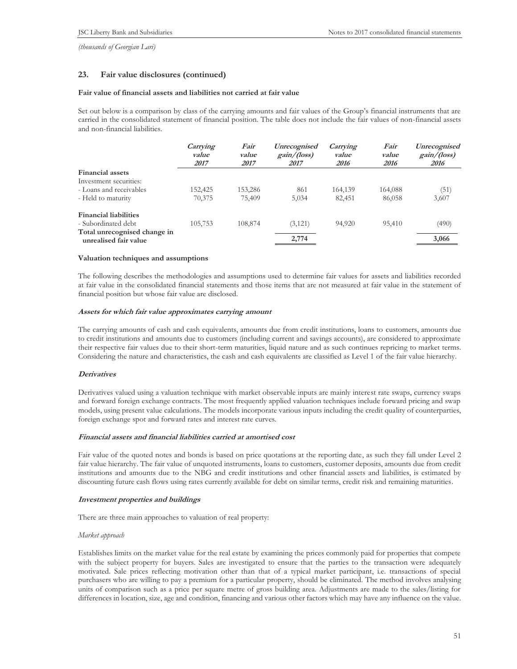### **23. Fair value disclosures (continued)**

### **Fair value of financial assets and liabilities not carried at fair value**

Set out below is a comparison by class of the carrying amounts and fair values of the Group's financial instruments that are carried in the consolidated statement of financial position. The table does not include the fair values of non-financial assets and non-financial liabilities.

|                                                       | Carrying<br>value<br>2017 | Fair<br>value<br>2017 | Unrecognised<br>$\frac{gain}{loss}$<br>2017 | Carrying<br>value<br>2016 | Fair<br>value<br>2016 | Unrecognised<br>gain/(loss)<br>2016 |
|-------------------------------------------------------|---------------------------|-----------------------|---------------------------------------------|---------------------------|-----------------------|-------------------------------------|
| <b>Financial assets</b>                               |                           |                       |                                             |                           |                       |                                     |
| Investment securities:                                |                           |                       |                                             |                           |                       |                                     |
| - Loans and receivables                               | 152,425                   | 153,286               | 861                                         | 164,139                   | 164,088               | (51)                                |
| - Held to maturity                                    | 70,375                    | 75,409                | 5,034                                       | 82,451                    | 86,058                | 3,607                               |
| <b>Financial liabilities</b>                          |                           |                       |                                             |                           |                       |                                     |
| - Subordinated debt                                   | 105,753                   | 108,874               | (3,121)                                     | 94,920                    | 95,410                | (490)                               |
| Total unrecognised change in<br>unrealised fair value |                           |                       | 2,774                                       |                           |                       | 3,066                               |

#### **Valuation techniques and assumptions**

The following describes the methodologies and assumptions used to determine fair values for assets and liabilities recorded at fair value in the consolidated financial statements and those items that are not measured at fair value in the statement of financial position but whose fair value are disclosed.

#### **Assets for which fair value approximates carrying amount**

The carrying amounts of cash and cash equivalents, amounts due from credit institutions, loans to customers, amounts due to credit institutions and amounts due to customers (including current and savings accounts), are considered to approximate their respective fair values due to their short-term maturities, liquid nature and as such continues repricing to market terms. Considering the nature and characteristics, the cash and cash equivalents are classified as Level 1 of the fair value hierarchy.

### **Derivatives**

Derivatives valued using a valuation technique with market observable inputs are mainly interest rate swaps, currency swaps and forward foreign exchange contracts. The most frequently applied valuation techniques include forward pricing and swap models, using present value calculations. The models incorporate various inputs including the credit quality of counterparties, foreign exchange spot and forward rates and interest rate curves.

### **Financial assets and financial liabilities carried at amortised cost**

Fair value of the quoted notes and bonds is based on price quotations at the reporting date, as such they fall under Level 2 fair value hierarchy. The fair value of unquoted instruments, loans to customers, customer deposits, amounts due from credit institutions and amounts due to the NBG and credit institutions and other financial assets and liabilities, is estimated by discounting future cash flows using rates currently available for debt on similar terms, credit risk and remaining maturities.

### **Investment properties and buildings**

There are three main approaches to valuation of real property:

### *Market approach*

Establishes limits on the market value for the real estate by examining the prices commonly paid for properties that compete with the subject property for buyers. Sales are investigated to ensure that the parties to the transaction were adequately motivated. Sale prices reflecting motivation other than that of a typical market participant, i.e. transactions of special purchasers who are willing to pay a premium for a particular property, should be eliminated. The method involves analysing units of comparison such as a price per square metre of gross building area. Adjustments are made to the sales/listing for differences in location, size, age and condition, financing and various other factors which may have any influence on the value.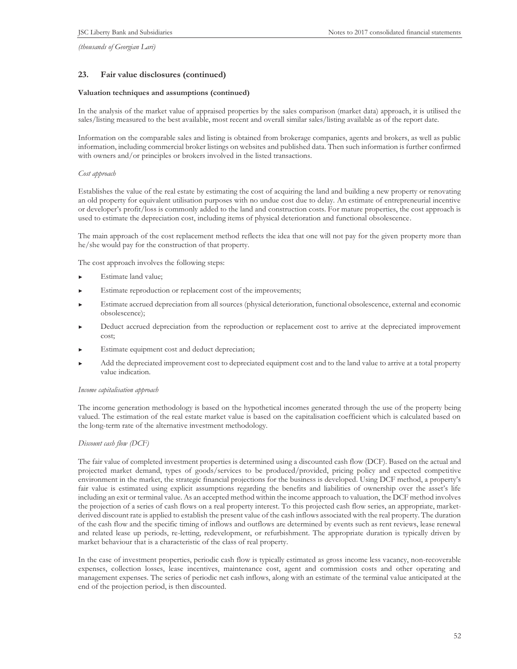### **23. Fair value disclosures (continued)**

### **Valuation techniques and assumptions (continued)**

In the analysis of the market value of appraised properties by the sales comparison (market data) approach, it is utilised the sales/listing measured to the best available, most recent and overall similar sales/listing available as of the report date.

Information on the comparable sales and listing is obtained from brokerage companies, agents and brokers, as well as public information, including commercial broker listings on websites and published data. Then such information is further confirmed with owners and/or principles or brokers involved in the listed transactions.

### *Cost approach*

Establishes the value of the real estate by estimating the cost of acquiring the land and building a new property or renovating an old property for equivalent utilisation purposes with no undue cost due to delay. An estimate of entrepreneurial incentive or developer's profit/loss is commonly added to the land and construction costs. For mature properties, the cost approach is used to estimate the depreciation cost, including items of physical deterioration and functional obsolescence.

The main approach of the cost replacement method reflects the idea that one will not pay for the given property more than he/she would pay for the construction of that property.

The cost approach involves the following steps:

- ► Estimate land value;
- ► Estimate reproduction or replacement cost of the improvements;
- ► Estimate accrued depreciation from all sources (physical deterioration, functional obsolescence, external and economic obsolescence);
- Deduct accrued depreciation from the reproduction or replacement cost to arrive at the depreciated improvement cost;
- Estimate equipment cost and deduct depreciation;
- Add the depreciated improvement cost to depreciated equipment cost and to the land value to arrive at a total property value indication.

#### *Income capitalisation approach*

The income generation methodology is based on the hypothetical incomes generated through the use of the property being valued. The estimation of the real estate market value is based on the capitalisation coefficient which is calculated based on the long-term rate of the alternative investment methodology.

### *Discount cash flow (DCF)*

The fair value of completed investment properties is determined using a discounted cash flow (DCF). Based on the actual and projected market demand, types of goods/services to be produced/provided, pricing policy and expected competitive environment in the market, the strategic financial projections for the business is developed. Using DCF method, a property's fair value is estimated using explicit assumptions regarding the benefits and liabilities of ownership over the asset's life including an exit or terminal value. As an accepted method within the income approach to valuation, the DCF method involves the projection of a series of cash flows on a real property interest. To this projected cash flow series, an appropriate, marketderived discount rate is applied to establish the present value of the cash inflows associated with the real property. The duration of the cash flow and the specific timing of inflows and outflows are determined by events such as rent reviews, lease renewal and related lease up periods, re-letting, redevelopment, or refurbishment. The appropriate duration is typically driven by market behaviour that is a characteristic of the class of real property.

In the case of investment properties, periodic cash flow is typically estimated as gross income less vacancy, non-recoverable expenses, collection losses, lease incentives, maintenance cost, agent and commission costs and other operating and management expenses. The series of periodic net cash inflows, along with an estimate of the terminal value anticipated at the end of the projection period, is then discounted.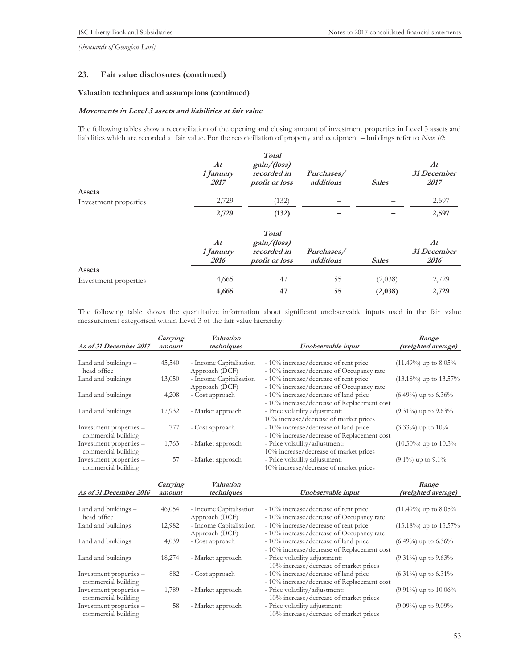### **23. Fair value disclosures (continued)**

### **Valuation techniques and assumptions (continued)**

#### **Movements in Level 3 assets and liabilities at fair value**

The following tables show a reconciliation of the opening and closing amount of investment properties in Level 3 assets and liabilities which are recorded at fair value. For the reconciliation of property and equipment – buildings refer to *Note 10*:

|                       | At<br>1 <i>January</i><br>2017 | <b>Total</b><br>gain/(loss)<br>recorded in<br>profit or loss | Purchases/<br>additions | <b>Sales</b> | At<br>31 December<br>2017 |
|-----------------------|--------------------------------|--------------------------------------------------------------|-------------------------|--------------|---------------------------|
| Assets                |                                |                                                              |                         |              |                           |
| Investment properties | 2,729                          | (132)                                                        |                         |              | 2,597                     |
|                       | 2,729                          | (132)                                                        |                         |              | 2,597                     |
|                       | At<br>1 <i>January</i><br>2016 | Total<br>gain/(loss)<br>recorded in<br>profit or loss        | Purchases/<br>additions | <b>Sales</b> | At<br>31 December<br>2016 |
| Assets                |                                |                                                              |                         |              |                           |
| Investment properties | 4,665                          | 47                                                           | 55                      | (2,038)      | 2,729                     |
|                       | 4,665                          | 47                                                           | 55                      | (2,038)      | 2,729                     |

The following table shows the quantitative information about significant unobservable inputs used in the fair value measurement categorised within Level 3 of the fair value hierarchy:

| As of 31 December 2017  | Carrying<br>amount | Valuation<br>techniques | Unobservable input                          | Range<br>(weighted average) |
|-------------------------|--------------------|-------------------------|---------------------------------------------|-----------------------------|
|                         |                    |                         |                                             |                             |
| Land and buildings -    | 45,540             | - Income Capitalisation | - 10% increase/decrease of rent price       | $(11.49\%)$ up to 8.05%     |
| head office             |                    | Approach (DCF)          | - 10% increase/decrease of Occupancy rate   |                             |
| Land and buildings      | 13,050             | - Income Capitalisation | - 10% increase/decrease of rent price       | $(13.18\%)$ up to $13.57\%$ |
|                         |                    | Approach (DCF)          | - 10% increase/decrease of Occupancy rate   |                             |
| Land and buildings      | 4,208              | - Cost approach         | - 10% increase/decrease of land price       | $(6.49\%)$ up to $6.36\%$   |
|                         |                    |                         | - 10% increase/decrease of Replacement cost |                             |
| Land and buildings      | 17,932             | - Market approach       | - Price volatility adjustment:              | $(9.31\%)$ up to $9.63\%$   |
|                         |                    |                         | 10% increase/decrease of market prices      |                             |
| Investment properties - | 777                | - Cost approach         | - 10% increase/decrease of land price       | $(3.33\%)$ up to $10\%$     |
| commercial building     |                    |                         | - 10% increase/decrease of Replacement cost |                             |
| Investment properties - | 1,763              | - Market approach       | - Price volatility/adjustment:              | $(10.30\%)$ up to $10.3\%$  |
| commercial building     |                    |                         | 10% increase/decrease of market prices      |                             |
| Investment properties - | 57                 | - Market approach       | - Price volatility adjustment:              | $(9.1\%)$ up to $9.1\%$     |
| commercial building     |                    |                         | 10% increase/decrease of market prices      |                             |
|                         | Carrying           | Valuation               |                                             | Range                       |
| As of 31 December 2016  | amount             | techniques              | Unobservable input                          | (weighted average)          |

| Land and buildings -    | 46,054 | - Income Capitalisation | - 10% increase/decrease of rent price       | $(11.49\%)$ up to 8.05%     |
|-------------------------|--------|-------------------------|---------------------------------------------|-----------------------------|
| head office             |        | Approach (DCF)          | - 10% increase/decrease of Occupancy rate   |                             |
| Land and buildings      | 12,982 | - Income Capitalisation | - 10% increase/decrease of rent price       | $(13.18\%)$ up to $13.57\%$ |
|                         |        | Approach (DCF)          | - 10% increase/decrease of Occupancy rate   |                             |
| Land and buildings      | 4,039  | - Cost approach         | - 10% increase/decrease of land price       | $(6.49\%)$ up to $6.36\%$   |
|                         |        |                         | - 10% increase/decrease of Replacement cost |                             |
| Land and buildings      | 18,274 | - Market approach       | - Price volatility adjustment:              | $(9.31\%)$ up to $9.63\%$   |
|                         |        |                         | 10% increase/decrease of market prices      |                             |
| Investment properties - | 882    | - Cost approach         | - 10% increase/decrease of land price       | $(6.31\%)$ up to 6.31%      |
| commercial building     |        |                         | - 10% increase/decrease of Replacement cost |                             |
| Investment properties - | 1,789  | - Market approach       | - Price volatility/adjustment:              | $(9.91\%)$ up to $10.06\%$  |
| commercial building     |        |                         | 10% increase/decrease of market prices      |                             |
| Investment properties - | 58     | - Market approach       | - Price volatility adjustment:              | $(9.09\%)$ up to $9.09\%$   |
| commercial building     |        |                         | 10% increase/decrease of market prices      |                             |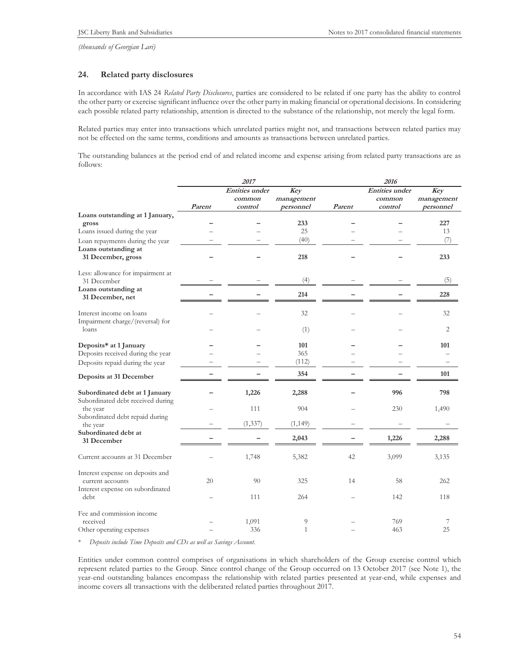### **24. Related party disclosures**

In accordance with IAS 24 *Related Party Disclosures*, parties are considered to be related if one party has the ability to control the other party or exercise significant influence over the other party in making financial or operational decisions. In considering each possible related party relationship, attention is directed to the substance of the relationship, not merely the legal form.

Related parties may enter into transactions which unrelated parties might not, and transactions between related parties may not be effected on the same terms, conditions and amounts as transactions between unrelated parties.

The outstanding balances at the period end of and related income and expense arising from related party transactions are as follows:

|                                               | 2017                         |          | 2016                         |        |         |              |
|-----------------------------------------------|------------------------------|----------|------------------------------|--------|---------|--------------|
|                                               | <b>Entities</b> under<br>Key |          | <b>Entities</b> under<br>Key |        |         |              |
|                                               |                              | common   | management                   |        | common  | management   |
|                                               | Parent                       | control  | personnel                    | Parent | control | personnel    |
| Loans outstanding at 1 January,               |                              |          |                              |        |         |              |
| gross                                         |                              |          | 233                          |        |         | 227          |
| Loans issued during the year                  |                              |          | 25                           |        |         | 13           |
| Loan repayments during the year               |                              |          | (40)                         |        |         | (7)          |
| Loans outstanding at                          |                              |          |                              |        |         |              |
| 31 December, gross                            |                              |          | 218                          |        |         | 233          |
| Less: allowance for impairment at             |                              |          |                              |        |         |              |
| 31 December                                   |                              |          | (4)                          |        |         | (5)          |
| Loans outstanding at                          |                              |          |                              |        |         |              |
| 31 December, net                              |                              |          | 214                          |        |         | 228          |
| Interest income on loans                      |                              |          | 32                           |        |         | 32           |
| Impairment charge/(reversal) for<br>loans     |                              |          | (1)                          |        |         | $\mathbf{2}$ |
| Deposits* at 1 January                        |                              |          | 101                          |        |         | 101          |
| Deposits received during the year             |                              |          | 365                          |        |         |              |
| Deposits repaid during the year               |                              |          | (112)                        |        |         |              |
| Deposits at 31 December                       |                              |          | 354                          |        |         | 101          |
| Subordinated debt at 1 January                |                              | 1,226    | 2,288                        |        | 996     | 798          |
| Subordinated debt received during<br>the year |                              | 111      | 904                          |        | 230     | 1,490        |
| Subordinated debt repaid during<br>the year   |                              | (1, 337) | (1, 149)                     |        |         |              |
| Subordinated debt at<br>31 December           |                              |          | 2,043                        |        | 1,226   | 2,288        |
| Current accounts at 31 December               |                              | 1,748    | 5,382                        | 42     | 3,099   | 3,135        |
| Interest expense on deposits and              |                              |          |                              |        |         |              |
| current accounts                              | 20                           | 90       | 325                          | 14     | 58      | 262          |
| Interest expense on subordinated<br>debt      |                              | 111      | 264                          |        | 142     | 118          |
| Fee and commission income                     |                              |          |                              |        |         |              |
| received                                      |                              | 1,091    | 9                            |        | 769     | 7            |
| Other operating expenses                      |                              | 336      | $\mathbf{1}$                 |        | 463     | 25           |

\* *Deposits include Time Deposits and CDs as well as Savings Account.*

Entities under common control comprises of organisations in which shareholders of the Group exercise control which represent related parties to the Group. Since control change of the Group occurred on 13 October 2017 (see Note 1), the year-end outstanding balances encompass the relationship with related parties presented at year-end, while expenses and income covers all transactions with the deliberated related parties throughout 2017.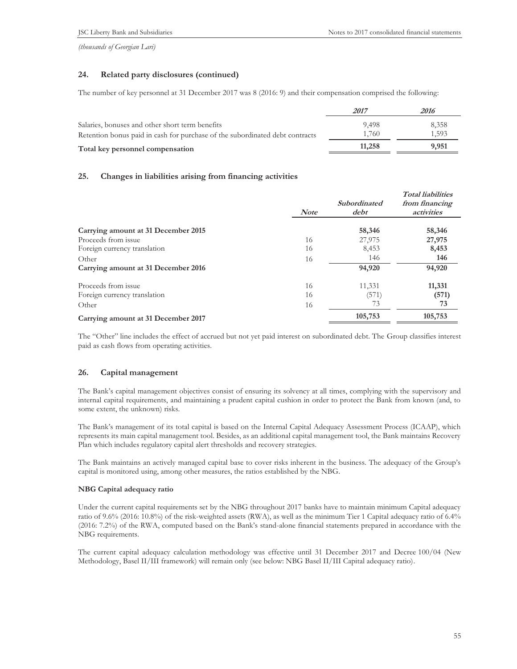### **24. Related party disclosures (continued)**

The number of key personnel at 31 December 2017 was 8 (2016: 9) and their compensation comprised the following:

|                                                                              | 2017   | 2016  |
|------------------------------------------------------------------------------|--------|-------|
| Salaries, bonuses and other short term benefits                              | 9.498  | 8,358 |
| Retention bonus paid in cash for purchase of the subordinated debt contracts | 1.760  | 1.593 |
| Total key personnel compensation                                             | 11,258 | 9.951 |

### **25. Changes in liabilities arising from financing activities**

|                                     | <b>Note</b> | <i>Subordinated</i><br>debt | <b>Total liabilities</b><br>from financing<br>activities |
|-------------------------------------|-------------|-----------------------------|----------------------------------------------------------|
| Carrying amount at 31 December 2015 |             | 58,346                      | 58,346                                                   |
| Proceeds from issue                 | 16          |                             |                                                          |
|                                     |             | 27,975                      | 27,975                                                   |
| Foreign currency translation        | 16          | 8,453                       | 8,453                                                    |
| Other                               | 16          | 146                         | 146                                                      |
| Carrying amount at 31 December 2016 |             | 94,920                      | 94,920                                                   |
| Proceeds from issue                 | 16          | 11,331                      | 11,331                                                   |
| Foreign currency translation        | 16          | (571)                       | (571)                                                    |
| Other                               | 16          | 73                          | 73                                                       |
| Carrying amount at 31 December 2017 |             | 105,753                     | 105,753                                                  |

The "Other" line includes the effect of accrued but not yet paid interest on subordinated debt. The Group classifies interest paid as cash flows from operating activities.

### **26. Capital management**

The Bank's capital management objectives consist of ensuring its solvency at all times, complying with the supervisory and internal capital requirements, and maintaining a prudent capital cushion in order to protect the Bank from known (and, to some extent, the unknown) risks.

The Bank's management of its total capital is based on the Internal Capital Adequacy Assessment Process (ICAAP), which represents its main capital management tool. Besides, as an additional capital management tool, the Bank maintains Recovery Plan which includes regulatory capital alert thresholds and recovery strategies.

The Bank maintains an actively managed capital base to cover risks inherent in the business. The adequacy of the Group's capital is monitored using, among other measures, the ratios established by the NBG.

### **NBG Capital adequacy ratio**

Under the current capital requirements set by the NBG throughout 2017 banks have to maintain minimum Capital adequacy ratio of 9.6% (2016: 10.8%) of the risk-weighted assets (RWA), as well as the minimum Tier 1 Capital adequacy ratio of 6.4% (2016: 7.2%) of the RWA, computed based on the Bank's stand-alone financial statements prepared in accordance with the NBG requirements.

The current capital adequacy calculation methodology was effective until 31 December 2017 and Decree 100/04 (New Methodology, Basel II/III framework) will remain only (see below: NBG Basel II/III Capital adequacy ratio).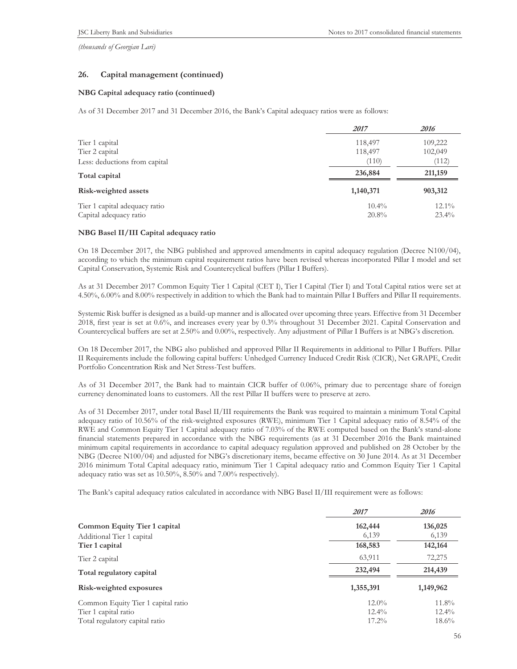### **26. Capital management (continued)**

### **NBG Capital adequacy ratio (continued)**

As of 31 December 2017 and 31 December 2016, the Bank's Capital adequacy ratios were as follows:

|                               | 2017      | 2016     |
|-------------------------------|-----------|----------|
| Tier 1 capital                | 118,497   | 109,222  |
| Tier 2 capital                | 118,497   | 102,049  |
| Less: deductions from capital | (110)     | (112)    |
| Total capital                 | 236,884   | 211,159  |
| Risk-weighted assets          | 1,140,371 | 903,312  |
| Tier 1 capital adequacy ratio | $10.4\%$  | $12.1\%$ |
| Capital adequacy ratio        | 20.8%     | $23.4\%$ |

### **NBG Basel II/III Capital adequacy ratio**

On 18 December 2017, the NBG published and approved amendments in capital adequacy regulation (Decree N100/04), according to which the minimum capital requirement ratios have been revised whereas incorporated Pillar I model and set Capital Conservation, Systemic Risk and Countercyclical buffers (Pillar I Buffers).

As at 31 December 2017 Common Equity Tier 1 Capital (CET I), Tier I Capital (Tier I) and Total Capital ratios were set at 4.50%, 6.00% and 8.00% respectively in addition to which the Bank had to maintain Pillar I Buffers and Pillar II requirements.

Systemic Risk buffer is designed as a build-up manner and is allocated over upcoming three years. Effective from 31 December 2018, first year is set at 0.6%, and increases every year by 0.3% throughout 31 December 2021. Capital Conservation and Countercyclical buffers are set at 2.50% and 0.00%, respectively. Any adjustment of Pillar I Buffers is at NBG's discretion.

On 18 December 2017, the NBG also published and approved Pillar II Requirements in additional to Pillar I Buffers. Pillar II Requirements include the following capital buffers: Unhedged Currency Induced Credit Risk (CICR), Net GRAPE, Credit Portfolio Concentration Risk and Net Stress-Test buffers.

As of 31 December 2017, the Bank had to maintain CICR buffer of 0.06%, primary due to percentage share of foreign currency denominated loans to customers. All the rest Pillar II buffers were to preserve at zero.

As of 31 December 2017, under total Basel II/III requirements the Bank was required to maintain a minimum Total Capital adequacy ratio of 10.56% of the risk-weighted exposures (RWE), minimum Tier 1 Capital adequacy ratio of 8.54% of the RWE and Common Equity Tier 1 Capital adequacy ratio of 7.03% of the RWE computed based on the Bank's stand-alone financial statements prepared in accordance with the NBG requirements (as at 31 December 2016 the Bank maintained minimum capital requirements in accordance to capital adequacy regulation approved and published on 28 October by the NBG (Decree N100/04) and adjusted for NBG's discretionary items, became effective on 30 June 2014. As at 31 December 2016 minimum Total Capital adequacy ratio, minimum Tier 1 Capital adequacy ratio and Common Equity Tier 1 Capital adequacy ratio was set as 10.50%, 8.50% and 7.00% respectively).

The Bank's capital adequacy ratios calculated in accordance with NBG Basel II/III requirement were as follows:

|                                    | 2017      | 2016      |
|------------------------------------|-----------|-----------|
| Common Equity Tier 1 capital       | 162,444   | 136,025   |
| Additional Tier 1 capital          | 6,139     | 6,139     |
| Tier 1 capital                     | 168,583   | 142,164   |
| Tier 2 capital                     | 63,911    | 72,275    |
| Total regulatory capital           | 232,494   | 214,439   |
| Risk-weighted exposures            | 1,355,391 | 1,149,962 |
| Common Equity Tier 1 capital ratio | $12.0\%$  | 11.8%     |
| Tier 1 capital ratio               | $12.4\%$  | $12.4\%$  |
| Total regulatory capital ratio     | $17.2\%$  | 18.6%     |